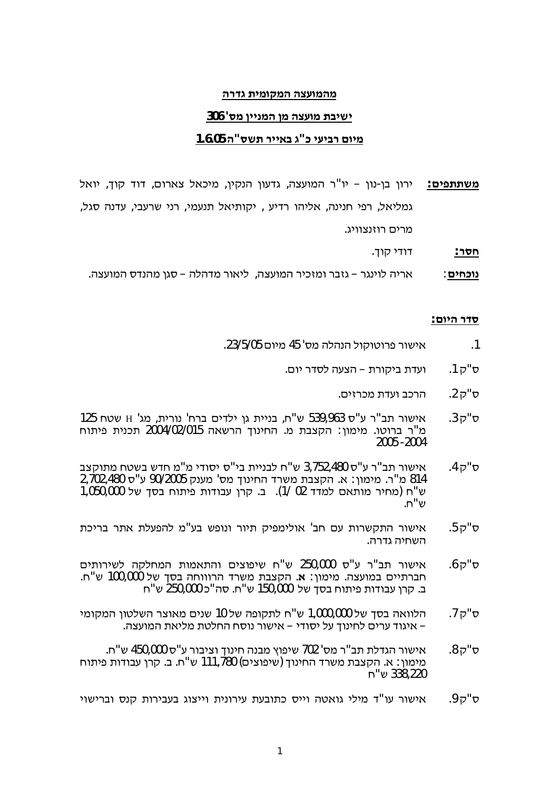#### מהמועצה המקומית גדרה

#### **306 '«¨©££ª¨©¨°¬¨´£³£**

#### **1.6.05 "«³´ ²££ "¥ £¬£²§£¨**

 $2$  **משתתפים**∶ ירון בן-נון – יו"ר המועצה, גדעון הנקין, מיכאל צארום, דוד קוך, יואל גמליאל, רפי חנינה, אליהו רדיע , יקותיאל תנעמי, רני שרעבי, עדנה סגל, מרים רוזנצוויג.

.¤± £ **:²«¡**

.°¬¨«ª¨©« –¦¨²£¦ ,°¬¨²£¥ ¨² –²ª£¦£² :**§£¡¥ª**

#### **:§£²«**

- .23/5/05§£¨ 45 '«¨¦ª¦±¢²®²³£ .1
	- ס"ק 1. ועדת ביקורת הצעה לסדר יום.
		- ס"ק 2. הרכב ועדת מכרזים.
- 125 ס"ק 3.  $\cdot$  אישור תב"ר ע"ס 539,963 ש"ח, בניית גן ילדים ברח' נורית, מג' H שטח מ"ר ברוטו. מימון: הקצבת מ. החינוך הרשאה 2004/02/015 תכנית פיתוח 2005 -2004
- °±´¨¡¢³³¡¨"¨£«£«"£´££ª¦¡"³ 3,752,480«"¬²"´²³£ .4±"« 814 מ"ר. מימון: א. הקצבת משרד החינוך מס' מענק 90/2005 ע"ס 480,2702,480 ש"ח (מחיר מותאם למדד 02 /1). ב. קרו עבודות פיתוח בסד של 1,050,000 .ש"ח
- ס"ק 5. אישור התקשרות עם חב' אולימפיק תיור ונופש בע"מ להפעלת אתר בריכת  $\overline{a}$ השחיה גדרה
- §£´²£³¦ ±¦¡¨ ´¨´ §£°®£³ ¡"³ 250,000 «"¬ ²"´ ²³£ .6±"« חברתיים במועצה. מימון∶ א. הקצבת משרד הרוווחה בסך של 100,000 ש"ח. ב. קרן עבודות פיתוח בסך של 150,000 ש"ח. סה"כ 250,000 ש"ח
- £¨±¨©¢¦³²°¨§£ª³ 10¦³®±´¦¡"³ 1,000,000¦³¤«¦ .7±"« . איגוד ערים לחינוך על יסודי – אישור נוסח החלטת מליאת המועצה –
- .¡"³ 450,000«"¬²£°¤ª£¡ª¨ ¯®£³ 702 '«¨²"´´¦²³£ .8±"« מימון : א. הקצבת משרד החינוד (שיפוצים) 111,780 ש"ח. ב. קרן עבודות פיתוח 1°338,220 ש"ח
- ס"ק 9. אישור עו"ד מילי גואטה וייס כתובעת עירונית וייצוג בעבירות קנס וברישוי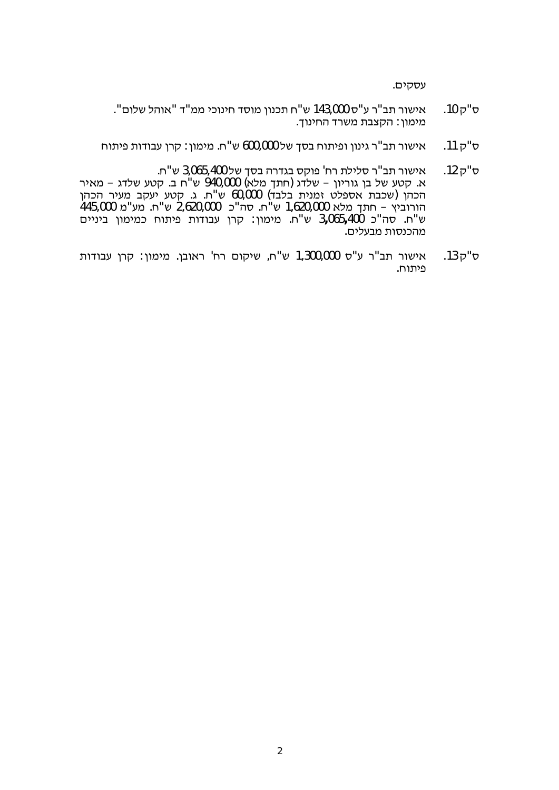.§£±«¬

- ."§¦³¦""¨¨£¥ª£¡«¨©ª¥´¡"³ 143,000«"¬²"´²³£ .10±"« .<br>מימון: הקצבת משרד החינוך
- ס"ק 11. אישור תב"ר גינון ופיתוח בסך של 600,000 ש"ח. מימון: קרן עבודות פיתוח
- ס"ק 12. אישור תב"ר סלילת רח' פוקס בגדרה בסד של 3,065,400 ש"ח. ×. קטע של בן גוריון – שלדג (חתך מלא) 940,000 ש"ח ב. קטע שלדג – מאיר הכהן (שכבת אספלט זמנית בלבד) 60,000 ש"ח. ג. קטע יעקב מעיר הכהן הורוביץ – חתך מלא 1,620,000 ש"ח. סה"כ 2,620,000 ש"ח. מע"מ 445,000 §££ª£ ©¨£¨¥ ¡´£® ´¬ ©²± :©¨£¨ .¡"³ 3**,**065**,**400 ¥"« .¡"³ מהכנסות מבעלים.
- ס"ק 13. אישור תב"ר ע"ס 1,300,000 ש"ח, שיקום רח' ראובן. מימון: קרן עבודות פיתוח.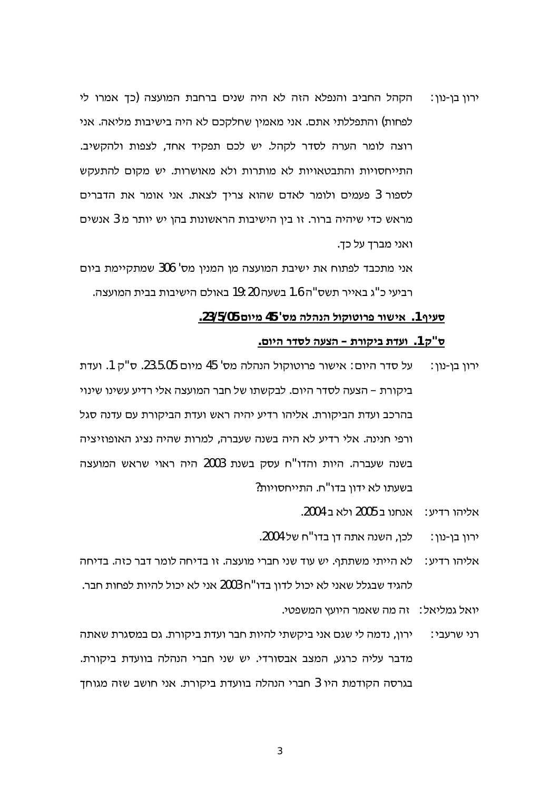הקהל החביב והנפלא הזה לא היה שנים ברחבת המועצה (כך אמרו לי ירון בן-נון: לפחות) והתפללתי אתם. אני מאמין שחלקכם לא היה בישיבות מליאה. אני רוצה לומר הערה לסדר לקהל. יש לכם תפקיד אחד, לצפות ולהקשיב. התייחסויות והתבטאויות לא מותרות ולא מאושרות. יש מקום להתעקש לספור 3 פעמים ולומר לאדם שהוא צריך לצאת. אני אומר את הדברים מראש כדי שיהיה ברור. זו בין הישיבות הראשונות בהן יש יותר מ 3 אנשים ואני מברד על כד.

אני מתכבד לפתוח את ישיבת המועצה מן המנין מס' 306 שמתקיימת ביום רביעי כ"ג באייר תשס"ה 1.6 בשעה 19:20 באולם הישיבות בבית המועצה.

#### סעיף 1. אישור פרוטוקול הנהלה מס' 45 מיום 23/5/05.

#### ס"ק 1. ועדת ביקורת – הצעה לסדר היום.

- על סדר היום: אישור פרוטוקול הנהלה מס' 45 מיום 23.5.05. ס"ק 1. ועדת ירוו בו-נוו: ביקורת – הצעה לסדר היום. לבקשתו של חבר המועצה אלי רדיע עשינו שינוי בהרכב ועדת הביקורת. אליהו רדיע יהיה ראש ועדת הביקורת עם עדנה סגל ורפי חנינה. אלי רדיע לא היה בשנה שעברה, למרות שהיה נציג האופוזיציה בשנה שעברה. היות והדו"ח עסק בשנת 2003 היה ראוי שראש המועצה בשעתו לא ידון בדו"ח. התייחסויות?
	- אליהו רדיע: אנחנו ב 2005 ולא ב 2004.
	- לכו, השנה אתה דן בדו"ח של 2004. ירון בן-נון:
- לא הייתי משתתף. יש עוד שני חברי מועצה. זו בדיחה לומר דבר כזה. בדיחה : אליהו רדיע להגיד שבגלל שאני לא יכול לדוו בדו"ח 2003 אני לא יכול להיות לפחות חבר.
	- יואל גמליאל: זה מה שאמר היועץ המשפטי.
- ירון, נדמה לי שגם אני ביקשתי להיות חבר ועדת ביקורת. גם במסגרת שאתה רני שרעבי∶ מדבר עליה כרגע, המצב אבסורדי. יש שני חברי הנהלה בוועדת ביקורת. בגרסה הקודמת היו 3 חברי הנהלה בוועדת ביקורת. אני חושב שזה מגוחד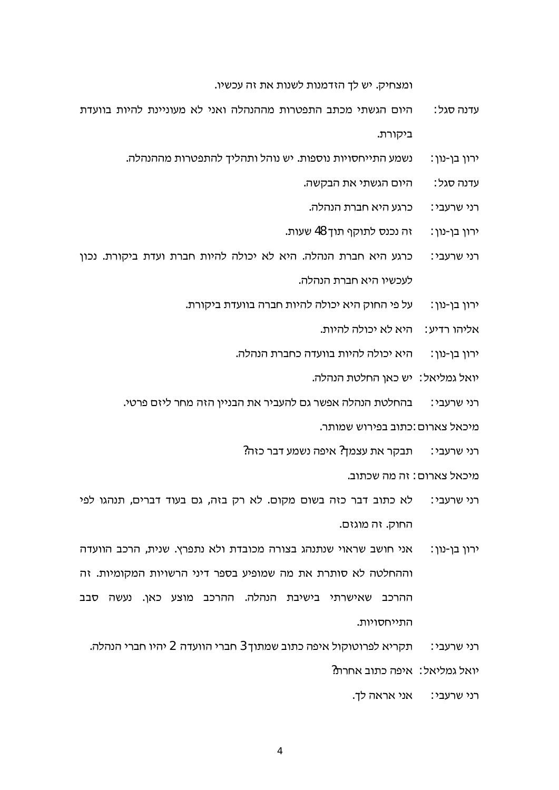ומצחיק. יש לך הזדמנות לשנות את זה עכשיו.

- היום הגשתי מכתב התפטרות מההנהלה ואני לא מעוניינת להיות בוועדת עדנה סגל : ביקורת.
	- נשמע התייחסויות נוספות. יש נוהל ותהליך להתפטרות מההנהלה. : ירון בן-נון
		- היום הגשתי את הבקשה. עדנה סגל∶
			- כרגע היא חברת הנהלה. רני שרעבי∶
		- ּזה נכנס לתוקף תוך 48 שעות. ירון בן-נון:
- כרגע היא חברת הנהלה. היא לא יכולה להיות חברת ועדת ביקורת. נכון רני שרעבי: לעכשיו היא חברת הנהלה.
	- על פי החוק היא יכולה להיות חברה בוועדת ביקורת. ירון בן-נון:
		- אליהו רדיע∶ היא לא יכולה להיות.
		- היא יכולה להיות בוועדה כחברת הנהלה. ירון בן-נון:
			- יואל גמליאל∶ יש כאן החלטת הנהלה.

בהחלטת הנהלה אפשר גם להעביר את הבניין הזה מחר ליזם פרטי. רני שרעבי∶

מיכאל צארום :כתוב בפירוש שמותר.

רני שרעבי: תבקר את עצמך? איפה נשמע דבר כזה?

מיכאל צארום : זה מה שכתוב.

- לא כתוב דבר כזה בשום מקום. לא רק בזה, גם בעוד דברים, תנהגו לפי רני שרעבי∶ החוק. זה מוגזם.
- אני חושב שראוי שנתנהג בצורה מכובדת ולא נתפרץ. שנית, הרכב הוועדה ירון בן-נון: וההחלטה לא סותרת את מה שמופיע בספר דיני הרשויות המקומיות. זה ההרכב שאישרתי בישיבת הנהלה. ההרכב מוצע כאן. נעשה סבב התייחסויות.

תקריא לפרוטוקול איפה כתוב שמתוך 3 חברי הוועדה 2 יהיו חברי הנהלה. רני שרעבי:

יואל גמליאל: איפה כתוב אחרת?

רני שרעבי: אני אראה לך.

 $\overline{4}$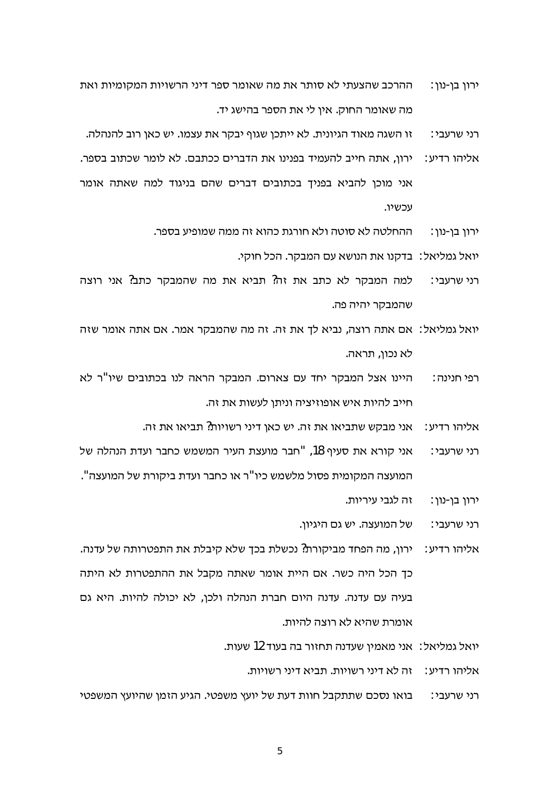- ההרכב שהצעתי לא סותר את מה שאומר ספר דיני הרשויות המקומיות ואת ירון בן-נון: מה שאומר החוק. איו לי את הספר בהישג יד.
- זו השגה מאוד הגיונית. לא ייתכן שגוף יבקר את עצמו. יש כאן רוב להנהלה. רני שרעבי∶
- : אליהו רדיע ירון, אתה חייב להעמיד בפנינו את הדברים ככתבם. לא לומר שכתוב בספר. אני מוכן להביא בפניך בכתובים דברים שהם בניגוד למה שאתה אומר עכשיו.
	- ההחלטה לא סוטה ולא חורגת כהוא זה ממה שמופיע בספר. ירון בן-נון:
		- יואל גמליאל: בדקנו את הנושא עם המבקר. הכל חוקי.
- למה המבקר לא כתב את זה? תביא את מה שהמבקר כתב? אני רוצה רני שרעבי∶ שהמבקר יהיה פה.
- יואל גמליאל: אם אתה רוצה, נביא לך את זה. זה מה שהמבקר אמר. אם אתה אומר שזה לא נכון, תראה.
- היינו אצל המבקר יחד עם צארום. המבקר הראה לנו בכתובים שיו"ר לא רפי חנינה : חייב להיות איש אופוזיציה וניתן לעשות את זה.
	- אני מבקש שתביאו את זה. יש כאן דיני רשויות? תביאו את זה. : אליהו רדיע
- אני קורא את סעיף 18, "חבר מועצת העיר המשמש כחבר ועדת הנהלה של רני שרעבי∶ המועצה המקומית פסול מלשמש כיו"ר או כחבר ועדת ביקורת של המועצה".
	- זה לגבי עיריות. ירון בן-נון:
	- של המועצה. יש גם היגיון. רני שרעבי∶
- ירון, מה הפחד מביקורת? נכשלת בכך שלא קיבלת את התפטרותה של עדנה. : אליהו רדיע כך הכל היה כשר. אם היית אומר שאתה מקבל את ההתפטרות לא היתה בעיה עם עדנה. עדנה היום חברת הנהלה ולכן, לא יכולה להיות. היא גם אומרת שהיא לא רוצה להיות.
	- יואל גמליאל: אני מאמין שעדנה תחזור בה בעוד 12 שעות.
		- אליהו רדיע: זה לא דיני רשויות. תביא דיני רשויות.
- רני שרעבי: נואו נסכם שתתקבל חוות דעת של יועץ משפטי. הגיע הזמן שהיועץ המשפטי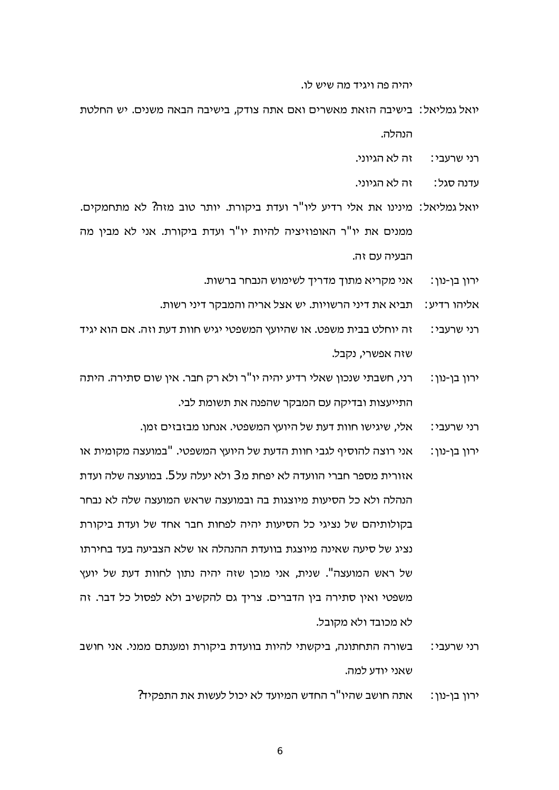יהיה פה ויגיד מה שיש לו.

- יואל גמליאל: "בישיבה הזאת מאשרים ואם אתה צודק. בישיבה הבאה משנים, יש החלטת הנהלה.
	- ַזה לא הגיוני. ∵רני שרעבי
	- זה לא הגיוני. עדנה סגל∶
- יואל גמליאל: מינינו את אלי רדיע ליו"ר ועדת ביקורת. יותר טוב מזה? לא מתחמקים. ממנים את יו"ר האופוזיציה להיות יו"ר ועדת ביקורת. אני לא מבין מה הרעיה עם זה
	- אני מקריא מתוך מדריך לשימוש הנבחר ברשות. ירון בן-נון:
	- תביא את דיני הרשויות. יש אצל אריה והמבקר דיני רשות. אליהו רדיע∶
- זה יוחלט בבית משפט. או שהיועץ המשפטי יגיש חוות דעת וזה. אם הוא יגיד רני שרעבי∶ שזה אפשרי, נקבל.
- רני, חשבתי שנכון שאלי רדיע יהיה יו"ר ולא רק חבר. אין שום סתירה. היתה ירוו בו-נוו∶ התייעצות ובדיקה עם המבקר שהפנה את תשומת לבי.
	- אלי, שיגישו חוות דעת של היועץ המשפטי. אנחנו מבזבזים זמן. רני שרעבי∶
- אני רוצה להוסיף לגבי חוות הדעת של היועץ המשפטי. "במועצה מקומית או ∶ירון בן-נון אזורית מספר חברי הוועדה לא יפחת מ 3 ולא יעלה על 5. במועצה שלה ועדת הנהלה ולא כל הסיעות מיוצגות בה ובמועצה שראש המועצה שלה לא נבחר בקולותיהם של נציגי כל הסיעות יהיה לפחות חבר אחד של ועדת ביקורת נציג של סיעה שאינה מיוצגת בוועדת ההנהלה או שלא הצביעה בעד בחירתו של ראש המועצה". שנית, אני מוכו שזה יהיה נתון לחוות דעת של יועץ משפטי ואין סתירה בין הדברים. צריך גם להקשיב ולא לפסול כל דבר. זה לא מכובד ולא מקובל.
- בשורה התחתונה, ביקשתי להיות בוועדת ביקורת ומענתם ממני. אני חושב רני שרעבי: שאני יודע למה.
	- אתה חושב שהיו"ר החדש המיועד לא יכול לעשות את התפקיד? ירון בן-נון: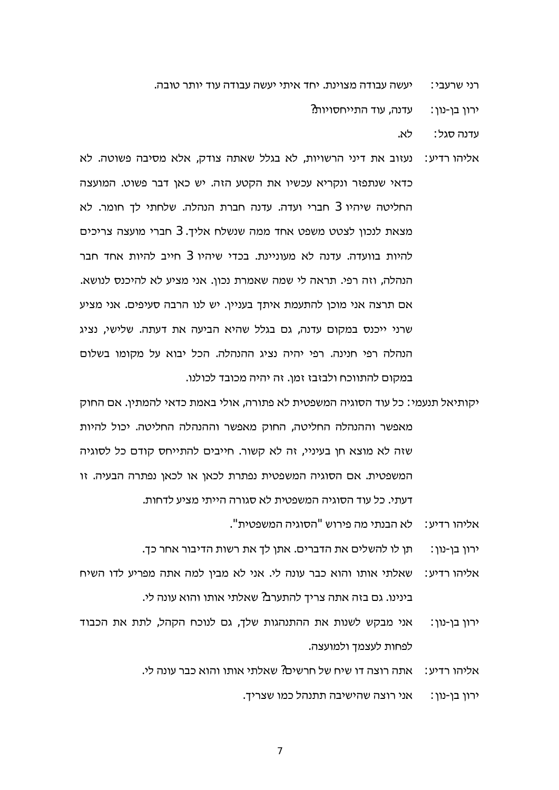יעשה עבודה מצוינת. יחד איתי יעשה עבודה עוד יותר טובה. רני שרעבי∶

> עדנה, עוד התייחסויות? ורוו בו-נוו:

> > לא. עדנה סגל∶

- נעזוב את דיני הרשויות, לא בגלל שאתה צודק, אלא מסיבה פשוטה. לא :אליהו רדיע כדאי שנתפזר ונקריא עכשיו את הקטע הזה. יש כאן דבר פשוט. המועצה החליטה שיהיו 3 חברי ועדה. עדנה חברת הנהלה. שלחתי לך חומר. לא מצאת לנכון לצטט משפט אחד ממה שנשלח אליך. 3 חברי מועצה צריכים להיות בוועדה. עדנה לא מעוניינת. בכדי שיהיו 3 חייב להיות אחד חבר הנהלה, וזה רפי. תראה לי שמה שאמרת נכון. אני מציע לא להיכנס לנושא. אם תרצה אני מוכן להתעמת איתך בעניין. יש לנו הרבה סעיפים. אני מציע שרני ייכנס במקום עדנה. גם בגלל שהיא הביעה את דעתה. שלישי. נציג הנהלה רפי חנינה. רפי יהיה נציג ההנהלה. הכל יבוא על מקומו בשלום במקום להתווכח ולבזבז זמן. זה יהיה מכובד לכולנו.
- יקותיאל תנעמי: כל עוד הסוגיה המשפטית לא פתורה, אולי באמת כדאי להמתין. אם החוק מאפשר וההנהלה החליטה, החוק מאפשר וההנהלה החליטה. יכול להיות שזה לא מוצא חן בעיניי, זה לא קשור. חייבים להתייחס קודם כל לסוגיה המשפטית. אם הסוגיה המשפטית נפתרת לכאן או לכאן נפתרה הבעיה. זו דעתי. כל עוד הסוגיה המשפטית לא סגורה הייתי מציע לדחות.
	- לא הבנתי מה פירוש "הסוגיה המשפטית". אליהו רדיע∶
	- תן לו להשלים את הדברים. אתן לך את רשות הדיבור אחר כך. ירון בן-נון :
- שאלתי אותו והוא כבר עונה לי. אני לא מבין למה אתה מפריע לדו השיח : אליהו רדיע בינינו. גם בזה אתה צריך להתערב? שאלתי אותו והוא עונה לי.
- אני מבקש לשנות את ההתנהגות שלך, גם לנוכח הקהל, לתת את הכבוד ירון בן-נון: לפחות לעצמך ולמועצה.
	- אתה רוצה דו שיח של חרשים? שאלתי אותו והוא כבר עונה לי. : אליהו רדיע
		- אני רוצה שהישיבה תתנהל כמו שצריך. ירון בן-נון :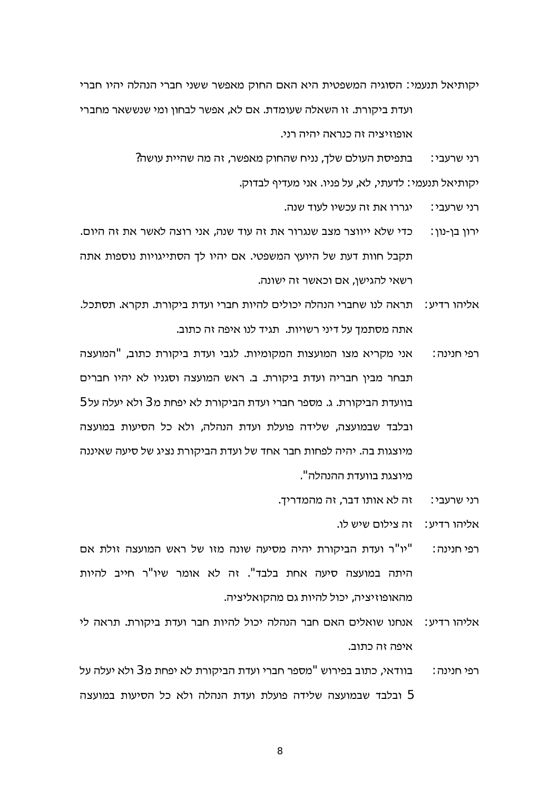יקותיאל תנעמי: הסוגיה המשפטית היא האם החוק מאפשר ששני חברי הנהלה יהיו חברי

ועדת ביקורת. זו השאלה שעומדת. אם לא, אפשר לבחוו ומי שנששאר מחברי אופוזיציה זה כנראה יהיה רני.

> בתפיסת העולם שלך, נניח שהחוק מאפשר, זה מה שהיית עושה? רני שרעבי∶ יקותיאל תנעמי: לדעתי, לא, על פניו. אני מעדיף לבדוק.

> > יגררו את זה עכשיו לעוד שנה. רני שרעבי∶

- כדי שלא ייווצר מצב שנגרור את זה עוד שנה, אני רוצה לאשר את זה היום. ירון בן-נון: תקבל חוות דעת של היועץ המשפטי. אם יהיו לך הסתייגויות נוספות אתה רשאי להגישן, אם וכאשר זה ישונה.
- תראה לנו שחברי הנהלה יכולים להיות חברי ועדת ביקורת. תקרא. תסתכל. : אליהו רדיע אתה מסתמד על דיני רשויות. תגיד לנו איפה זה כתוב.
- אני מקריא מצו המועצות המקומיות. לגבי ועדת ביקורת כתוב, "המועצה רפי חנינה : תבחר מבין חבריה ועדת ביקורת. ב. ראש המועצה וסגניו לא יהיו חברים בוועדת הביקורת. ג. מספר חברי ועדת הביקורת לא יפחת מ 3 ולא יעלה על 5 ובלבד שבמועצה. שלידה פועלת ועדת הנהלה. ולא כל הסיעות במועצה מיוצגות בה. יהיה לפחות חבר אחד של ועדת הביקורת נציג של סיעה שאיננה מיוצגת בוועדת ההנהלה".
	- זה לא אותו דבר, זה מהמדריך. רני שרעבי∶

אליהו רדיע: ה צילום שיש לו.

- וי"ר ועדת הביקורת יהיה מסיעה שונה מזו של ראש המועצה זולת אם" רפי חנינה : היתה במועצה סיעה אחת בלבד". זה לא אומר שיו"ר חייב להיות מהאופוזיציה, יכול להיות גם מהקואליציה.
- אנחנו שואלים האם חבר הנהלה יכול להיות חבר ועדת ביקורת. תראה לי : אליהו רדיע איפה זה כתוב.
- בוודאי, כתוב בפירוש "מספר חברי ועדת הביקורת לא יפחת מ 3 ולא יעלה על רפי חנינה : 5 ובלבד שבמועצה שלידה פועלת ועדת הנהלה ולא כל הסיעות במועצה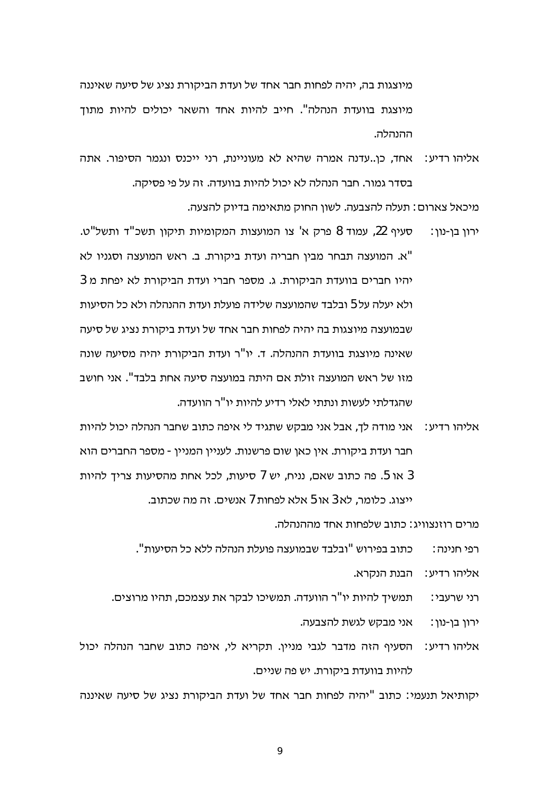מיוצגות בה, יהיה לפחות חבר אחד של ועדת הביקורת נציג של סיעה שאיננה מיוצגת בוועדת הנהלה". חייב להיות אחד והשאר יכולים להיות מתוד ההנהלה.

אליהו רדיע: אחד, כן..עדנה אמרה שהיא לא מעוניינת, רני ייכנס ונגמר הסיפור. אתה בסדר גמור. חבר הנהלה לא יכול להיות בוועדה. זה על פי פסיקה.

מיכאל צארום : תעלה להצבעה. לשוו החוק מתאימה בדיוק להצעה.

- סעיף 22, עמוד 8 פרק א' צו המועצות המקומיות תיקון תשכ"ד ותשל"ט. ירון בן-נון: "א. המועצה תבחר מבין חבריה ועדת ביקורת. ב. ראש המועצה וסגניו לא יהיו חברים בוועדת הביקורת. ג. מספר חברי ועדת הביקורת לא יפחת מ 3 ולא יעלה על 5 ובלבד שהמועצה שלידה פועלת ועדת ההנהלה ולא כל הסיעות שבמועצה מיוצגות בה יהיה לפחות חבר אחד של ועדת ביקורת נציג של סיעה שאינה מיוצגת בוועדת ההנהלה. ד. יו"ר ועדת הביקורת יהיה מסיעה שונה מזו של ראש המועצה זולת אם היתה במועצה סיעה אחת בלבד". אני חושב שהגדלתי לעשות ונתתי לאלי רדיע להיות יו"ר הוועדה.
- אליהו רדיע∶ אני מודה לך, אבל אני מבקש שתגיד לי איפה כתוב שחבר הנהלה יכול להיות חבר ועדת ביקורת. אין כאן שום פרשנות. לעניין המניין - מספר החברים הוא או 5. פה כתוב שאם, נניח, יש 7 סיעות, לכל אחת מהסיעות צריך להיות 5 ייצוג. כלומר, לא 3 או 5 אלא לפחות 7 אנשים. זה מה שכתוב.

מרים רוזנצוויג∶ כתוב שלפחות אחד מההנהלה.

כתוב בפירוש "ובלבד שבמועצה פועלת הנהלה ללא כל הסיעות". רפי חנינה :

אליהו רדיע∶ הבנת הנקרא.

תמשיך להיות יו"ר הוועדה. תמשיכו לבקר את עצמכם, תהיו מרוצים. רני שרעבי∶

> אני מבקש לגשת להצבעה. ירון בן-נון:

אליהו רדיע: הסעיף הזה מדבר לגבי מניין. תקריא לי, איפה כתוב שחבר הנהלה יכול להיות בוועדת ביקורת. יש פה שניים.

יקותיאל תנעמי: כתוב "יהיה לפחות חבר אחד של ועדת הביקורת נציג של סיעה שאיננה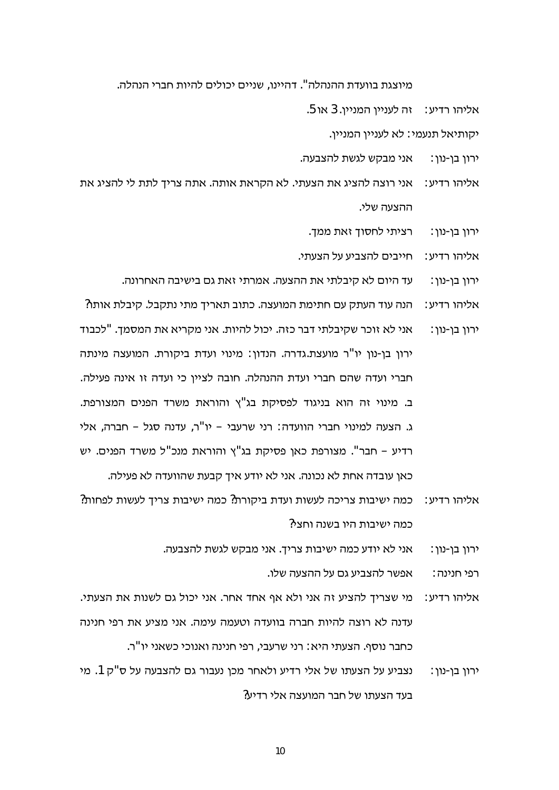מיוצגת בוועדת ההנהלה". דהיינו, שניים יכולים להיות חברי הנהלה.

- .5 אליהו רדיע: הה לענייו המנייו. 3 או
	- יקותיאל תנעמי: לא לעניין המניין.
- אני מבקש לגשת להצבעה. ירון בן-נון:
- אליהו רדיע: אני רוצה להציג את הצעתי. לא הקראת אותה. אתה צריך לתת לי להציג את ההצעה שלי.
	- רציתי לחסוך זאת ממך. ירון בן-נון:
	- אליהו רדיע: חייבים להצביע על הצעתי.
	- עד היום לא קיבלתי את ההצעה. אמרתי זאת גם בישיבה האחרונה. ירון בן-נון:
- הנה עוד העתק עם חתימת המועצה. כתוב תאריך מתי נתקבל. קיבלת אותו? : אליהו רדיע אני לא זוכר שקיבלתי דבר כזה. יכול להיות. אני מקריא את המסמד. "לכבוד ירון בן-נון: ירון בן-נון יו"ר מועצת.גדרה. הנדון: מינוי ועדת ביקורת. המועצה מינתה חברי ועדה שהם חברי ועדת ההנהלה. חובה לציין כי ועדה זו אינה פעילה. ב. מינוי זה הוא בניגוד לפסיקת בג"ץ והוראת משרד הפנים המצורפת. ג. הצעה למינוי חברי הוועדה: רני שרעבי – יו"ר, עדנה סגל – חברה, אלי רדיע - חבר". מצורפת כאן פסיקת בג"ץ והוראת מנכ"ל משרד הפנים. יש כאן עובדה אחת לא נכונה. אני לא יודע איך קבעת שהוועדה לא פעילה.
- כמה ישיבות צריכה לעשות ועדת ביקורת? כמה ישיבות צריך לעשות לפחות? : אליהו רדיע כמה ישיבות היו בשנה וחצי?
	- אני לא יודע כמה ישיבות צריך. אני מבקש לגשת להצבעה. ירון בן-נון:

אפשר להצביע גם על ההצעה שלו. רפי חנינה∶

- מי שצריך להציע זה אני ולא אף אחד אחר. אני יכול גם לשנות את הצעתי. :אליהו רדיע עדנה לא רוצה להיות חברה בוועדה וטעמה עימה. אני מציע את רפי חנינה כחבר נוסף. הצעתי היא : רני שרעבי, רפי חנינה ואנוכי כשאני יו"ר.
- נצביע על הצעתו של אלי רדיע ולאחר מכן נעבור גם להצבעה על ס"ק 1. מי ירוו בו-נוו: בעד הצעתו של חבר המועצה אלי רדיע?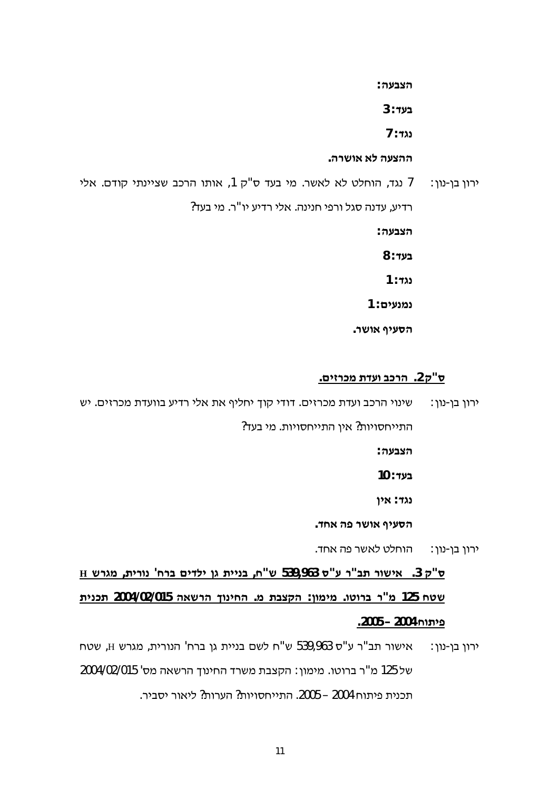**:¬°**

**3 :¬**

**7 :ª**

.<del>ההצעה לא אושרה</del>

- ירון בן-נון: [1 נגד, הוחלט לא לאשר. מי בעד ס"ק 1, אותו הרכב שציינתי קודם. אלי רדיע, עדנה סגל ורפי חנינה. אלי רדיע יו<sup>יי</sup>ר. מי בעד? **:¬° 8 :¬ 1 :ª 1 : גמנעים** 
	- .**הסעיף אושר**

#### **.§£ ²¥¨´¬¥² .2±"«**

ירון בן-נון: שינוי הרכב ועדת מכרזים. דודי קוך יחליף את אלי רדיע בוועדת מכרזים. יש התייחסויות? אין התייחסויות. מי בעד?

**:¬°**

- **10 :¬**
- **(גד: אין**

.**הסעיף אושר פה אחד** 

ירון בן-נון : = הוחלט לאשר פה אחד.

**H ³²¨ ,´£²ª '¡² §£¦£ © ´££ª ,¡"³ 539,963 «"¬ ²"´ ²³£ .3 ±"« ´£ª¥´ 2004/02/015 ³² ¤ª£¡ .¨ ´°± :©¨£¨ .¢² ²"¨ 125 ¡¢³ 42005 – 2005**.

ירון בן-נון: אישור תב"ר ע"ס 539,963 ש"ח לשם בניית גן ברח' הנורית, מגרש H, שטח של 125 מ"ר ברוטו. מימון: הקצבת משרד החינוך הרשאה מס' 2004/02/015 תכנית פיתוח 2004 – 2005. התייחסויות? הערות? ליאור יסביר.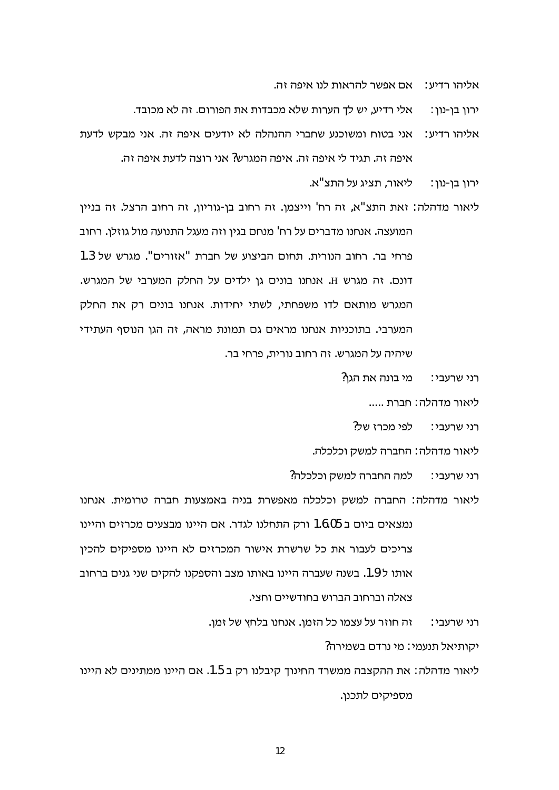אליהו רדיע $\cdot$  אם אפשר להראות לנו איפה זה.

אלי רדיע. יש לד הערות שלא מכבדות את הפורום. זה לא מכובד. ירוו בו-נוו∶

אליהו רדיע: אני בטוח ומשוכנע שחברי ההנהלה לא יודעים איפה זה. אני מבקש לדעת איפה זה, תגיד לי איפה זה, איפה המגרש? אני רוצה לדעת איפה זה,

> ליאור. תציג על התצ"א. ירוו בו-נוו:

ליאור מדהלה: זאת התצ"א, זה רח' וייצמן. זה רחוב בן-גוריון, זה רחוב הרצל. זה בניין המועצה. אנחנו מדברים על רח' מנחם בגין וזה מעגל התנועה מול גוזלן. רחוב פרחי בר. רחוב הנורית. תחום הביצוע של חברת "אזורים". מגרש של 1.3 דונם. זה מגרש H. אנחנו בונים גן ילדים על החלק המערבי של המגרש. המגרש מותאם לדו משפחתי, לשתי יחידות. אנחנו בונים רק את החלק המערבי. בתוכניות אנחנו מראים גם תמונת מראה, זה הגן הנוסף העתידי שיהיה על המגרש. זה רחוב נורית, פרחי בר.

> מי בונה את הגו? רני שרעבי∶

> > ליאור מדהלה: חברת .....

לפי מכרז של? רני שרעבי∶

ליאור מדהלה: החברה למשק וכלכלה.

למה החברה למשק וכלכלה? רני שרעבי∶

ליאור מדהלה: החברה למשק וכלכלה מאפשרת בניה באמצעות חברה טרומית. אנחנו נמצאים ביום ב 1.6.05 ורק התחלנו לגדר. אם היינו מבצעים מכרזים והיינו צריכים לעבור את כל שרשרת אישור המכרזים לא היינו מספיקים להכין אותו ל 1.9. בשנה שעברה היינו באותו מצב והספקנו להקים שני גנים ברחוב צאלה וברחוב הברוש בחודשיים וחצי.

> זה חוזר על עצמו כל הזמן. אנחנו בלחץ של זמן. רני שרעבי∶

> > יקותיאל תנעמי: מי נרדם בשמירה?

ליאור מדהלה: את ההקצבה ממשרד החינוך קיבלנו רק ב 1.5. אם היינו ממתינים לא היינו מספיקים לתכנו.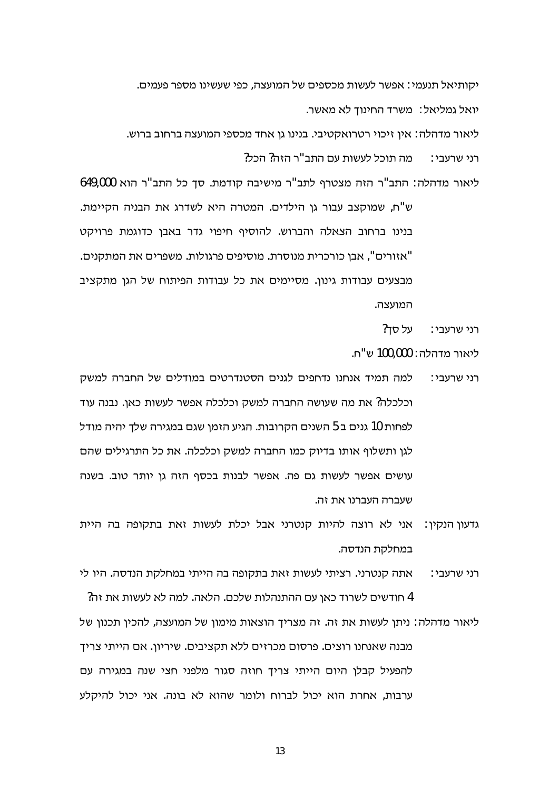יקותיאל תנעמי: אפשר לעשות מכספים של המועצה, כפי שעשינו מספר פעמים. יואל גמליאל∶ משרד החינוד לא מאשר.

ליאור מדהלה: אין זיכוי רטרואקטיבי. בנינו גן אחד מכספי המועצה ברחוב ברוש.

מה תוכל לעשות עם התב"ר הזה? הכל? רני שרעבי∶

ליאור מדהלה: התב"ר הזה מצטרף לתב"ר מישיבה קודמת. סד כל התב"ר הוא 649,000

ש"ח, שמוקצב עבור גן הילדים. המטרה היא לשדרג את הבניה הקיימת. בנינו ברחוב הצאלה והברוש. להוסיף חיפוי גדר באבן כדוגמת פרויקט "אזורים", אבו כורכרית מנוסרת. מוסיפים פרגולות. משפרים את המתקנים. מבצעים עבודות גינון. מסיימים את כל עבודות הפיתוח של הגן מתקציב המועצה.

> על סד? רני שרעבי∷

ליאור מדהלה: 100,000 ש"ח.

- למה תמיד אנחנו נדחפים לגנים הסטנדרטים במודלים של החברה למשק רני שרעבי∶ וכלכלה? את מה שעושה החברה למשק וכלכלה אפשר לעשות כאן. נבנה עוד לפחות 10 גנים ב 5 השנים הקרובות. הגיע הזמן שגם במגירה שלד יהיה מודל לגן ותשלוף אותו בדיוק כמו החברה למשק וכלכלה. את כל התרגילים שהם עושים אפשר לעשות גם פה. אפשר לבנות בכסף הזה גן יותר טוב. בשנה שעברה העברנו את זה.
- גדעון הנקין: אני לא רוצה להיות קנטרני אבל יכלת לעשות זאת בתקופה בה היית במחלקת הנדסה.
- אתה קנטרני. רציתי לעשות זאת בתקופה בה הייתי במחלקת הנדסה. היו לי רני שרעבי: 4 חודשים לשרוד כאן עם ההתנהלות שלכם. הלאה. למה לא לעשות את זה?
- ליאור מדהלה: ניתן לעשות את זה. זה מצריך הוצאות מימון של המועצה, להכין תכנון של מבנה שאנחנו רוצים. פרסום מכרזים ללא תקציבים. שיריון. אם הייתי צריך להפעיל קבלן היום הייתי צריך חוזה סגור מלפני חצי שנה במגירה עם ערבות, אחרת הוא יכול לברוח ולומר שהוא לא בונה. אני יכול להיקלע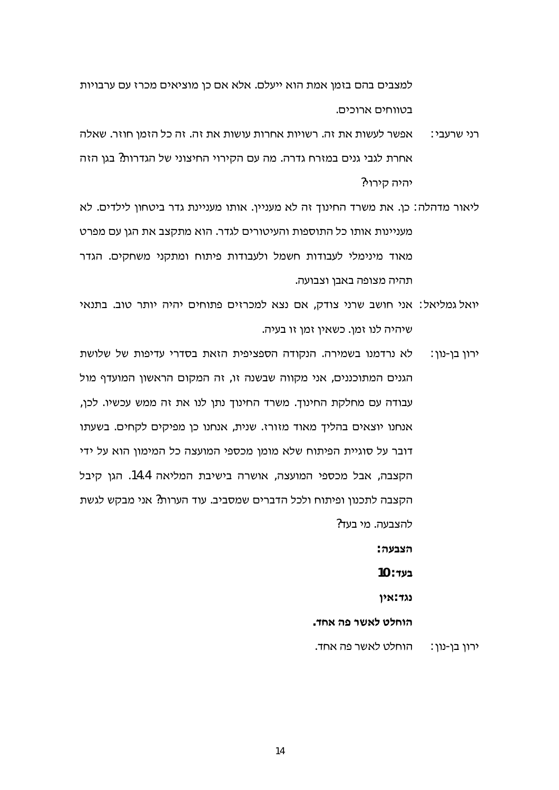למצבים בהם בזמן אמת הוא ייעלם. אלא אם כן מוציאים מכרז עם ערבויות בטווחים ארוכים.

- אפשר לעשות את זה. רשויות אחרות עושות את זה. זה כל הזמן חוזר. שאלה רני שרעבי∶ אחרת לגבי גנים במזרח גדרה. מה עם הקירוי החיצוני של הגדרות? בגן הזה יהיה קירוי?
- ליאור מדהלה: כן. את משרד החינוך זה לא מעניין. אותו מעניינת גדר ביטחון לילדים. לא מעניינות אותו כל התוספות והעיטורים לגדר. הוא מתקצב את הגן עם מפרט מאוד מינימלי לעבודות חשמל ולעבודות פיתוח ומתקני משחקים. הגדר תהיה מצופה באבן וצבועה.
- יואל גמליאל: אני חושב שרני צודק, אם נצא למכרזים פתוחים יהיה יותר טוב. בתנאי שיהיה לנו זמן. כשאין זמן זו בעיה.
- לא נרדמנו בשמירה. הנקודה הספציפית הזאת בסדרי עדיפות של שלושת ירון בן-נון: הגנים המתוכננים, אני מקווה שבשנה זו, זה המקום הראשון המועדף מול עבודה עם מחלקת החינוך. משרד החינוך נתן לנו את זה ממש עכשיו. לכן, אנחנו יוצאים בהליך מאוד מזורז. שנית, אנחנו כן מפיקים לקחים. בשעתו דובר על סוגיית הפיתוח שלא מומן מכספי המועצה כל המימון הוא על ידי הקצבה, אבל מכספי המועצה, אושרה בישיבת המליאה 14.4. הגן קיבל הקצבה לתכנון ופיתוח ולכל הדברים שמסביב. עוד הערות? אני מבקש לגשת להצבעה. מי בעד?

הצבעה∶

 $10:$  בעד

נגד:אין

הוחלט לאשר פה אחד.

הוחלט לאשר פה אחד. ירון בן-נון: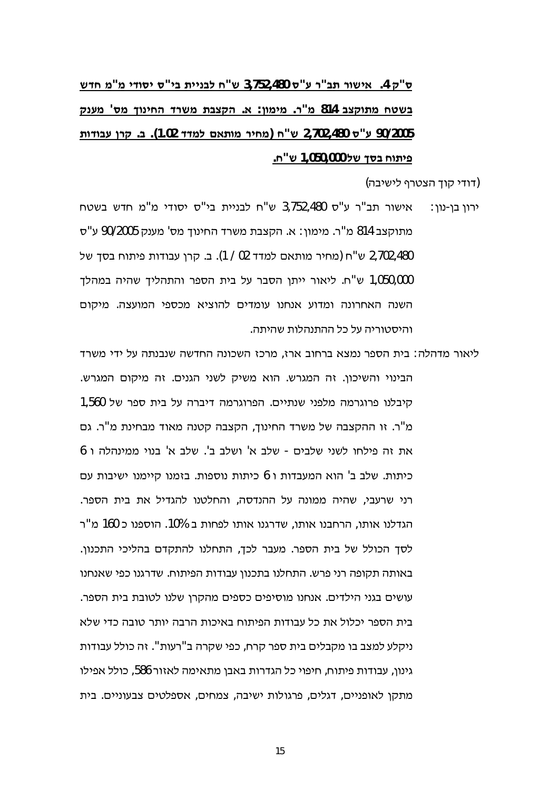# ס"ק 4. אישור תב"ר ע"ס 3,752,480 ש"ח לבניית בי"ס יסודי מ"מ חדש בשטח מתוקצב 814 מ"ר. מימוו: א. הקצבת משרד החינוד מס' מענק 90/2005 ע"ס 2,702,480 ש"ח (מחיר מותאם למדד 1.02). ב. קרן עבודות פיתוח בסך של 1,050,000 ש"ח.

(דודי קוד הצטרף לישיבה)

- אישור תב"ר ע"ס 3,752,480 ש"ח לבניית בי"ס יסודי מ"מ חדש בשטח ירון בן-נון∶ מתוקצב 814 מ"ר. מימון: א. הקצבת משרד החינוך מס' מענק 90/2005 ע"ס 2,702,480 ש"ח (מחיר מותאם למדד 02 / 1). ב. קרן עבודות פיתוח בסך של 1,050,000 ש"ח. ליאור ייתן הסבר על בית הספר והתהליך שהיה במהלך השנה האחרונה ומדוע אנחנו עומדים להוציא מכספי המועצה. מיקום והיסטוריה על כל ההתנהלות שהיתה.
- ליאור מדהלה: בית הספר נמצא ברחוב ארז, מרכז השכונה החדשה שנבנתה על ידי משרד הבינוי והשיכון. זה המגרש. הוא משיק לשני הגנים. זה מיקום המגרש. קיבלנו פרוגרמה מלפני שנתיים. הפרוגרמה דיברה על בית ספר של 1,560 מ"ר. זו ההקצבה של משרד החינוד, הקצבה קטנה מאוד מבחינת מ"ר. גם את זה פילחו לשני שלבים - שלב א' ושלב ב'. שלב א' בנוי ממינהלה ו 6 כיתות. שלב ב' הוא המעבדות ו 6 כיתות נוספות. בזמנו קיימנו ישיבות עם רני שרעבי, שהיה ממונה על ההנדסה, והחלטנו להגדיל את בית הספר. הגדלנו אותו, הרחבנו אותו, שדרגנו אותו לפחות ב 10%. הוספנו כ 160 מ"ר לסך הכולל של בית הספר. מעבר לכך, התחלנו להתקדם בהליכי התכנון. באותה תקופה רני פרש. התחלנו בתכנון עבודות הפיתוח. שדרגנו כפי שאנחנו עושים בגני הילדים. אנחנו מוסיפים כספים מהקרן שלנו לטובת בית הספר. בית הספר יכלול את כל עבודות הפיתוח באיכות הרבה יותר טובה כדי שלא ניקלע למצב בו מקבלים בית ספר קרח, כפי שקרה ב"רעות". זה כולל עבודות גינון, עבודות פיתוח, חיפוי כל הגדרות באבן מתאימה לאזור 586, כולל אפילו מתקן לאופניים, דגלים, פרגולות ישיבה, צמחים, אספלטים צבעוניים. בית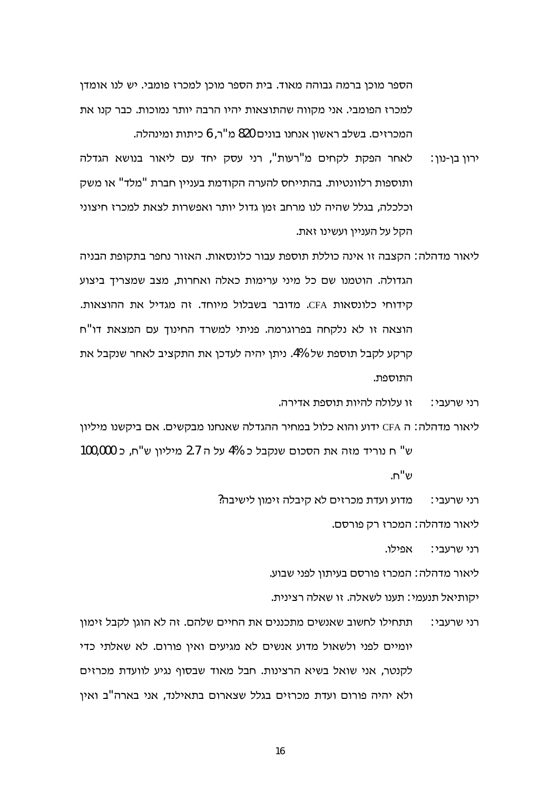הספר מוכן ברמה גבוהה מאוד. בית הספר מוכן למכרז פומבי. יש לנו אומדן למכרז הפומבי. אני מקווה שהתוצאות יהיו הרבה יותר נמוכות. כבר קנו את המכרזים. בשלב ראשון אנחנו בונים 820 מ"ר, 6 כיתות ומינהלה.

- לאחר הפקת לקחים מ"רעות", רני עסק יחד עם ליאור בנושא הגדלה ירון בו-נון: ותוספות רלוונטיות. בהתייחס להערה הקודמת בעניין חברת "מלד" או משק וכלכלה, בגלל שהיה לנו מרחב זמן גדול יותר ואפשרות לצאת למכרז חיצוני הקל על העניין ועשינו זאת.
- ליאור מדהלה: הקצבה זו אינה כוללת תוספת עבור כלונסאות. האזור נחפר בתקופת הבניה הגדולה. הוטמנו שם כל מיני ערימות כאלה ואחרות, מצב שמצריך ביצוע סידוחי כלונסאות CFA. מדובר בשבלול מיוחד, זה מגדיל את ההוצאות. הוצאה זו לא נלקחה בפרוגרמה. פניתי למשרד החינוך עם המצאת דו"ח קרקע לקבל תוספת של 4%. ניתן יהיה לעדכן את התקציב לאחר שנקבל את התוספת.

זו עלולה להיות תוספת אדירה. רני שרעבי∶

ליאור מדהלה: ה CFA ידוע והוא כלול במחיר ההגדלה שאנחנו מבקשים. אם ביקשנו מיליון ש" ח נוריד מזה את הסכום שנקבל כ 4% על ה 2.7 מיליון ש"ח, כ 100,000

ש"ח.

מדוע ועדת מכרזים לא קיבלה זימון לישיבה? רני שרעבי∶

ליאור מדהלה : המכרז רק פורסם.

אפילו. רני שרעבי∶

ליאור מדהלה: המכרז פורסם בעיתון לפני שבוע.

יקותיאל תנעמי∶ תענו לשאלה. זו שאלה רצינית.

תתחילו לחשוב שאנשים מתכננים את החיים שלהם. זה לא הוגן לקבל זימון רני שרעבי∶ יומיים לפני ולשאול מדוע אנשים לא מגיעים ואין פורום. לא שאלתי כדי לקנטר, אני שואל בשיא הרצינות. חבל מאוד שבסוף נגיע לוועדת מכרזים ולא יהיה פורום ועדת מכרזים בגלל שצארום בתאילנד, אני בארה"ב ואין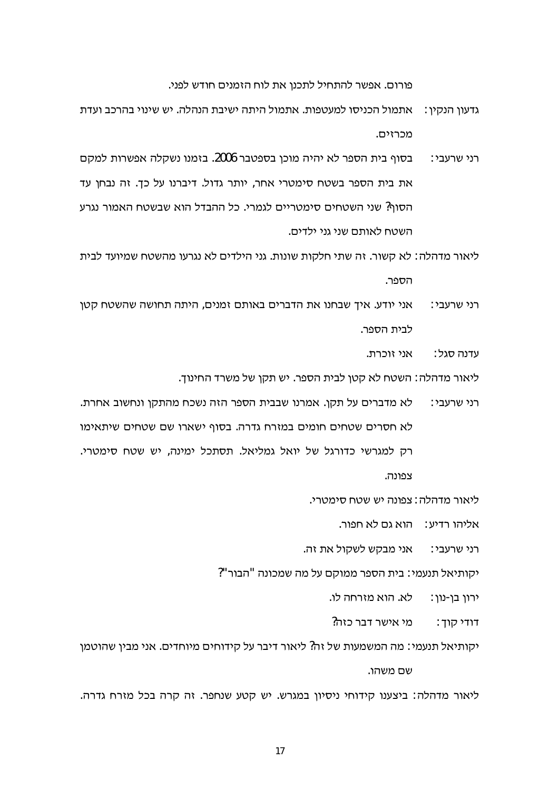פורום. אפשר להתחיל לתכנן את לוח הזמנים חודש לפני.

- גדעוו הנקיו : \_ אתמול הכניסו למעטפות. אתמול היתה ישיבת הנהלה. יש שינוי בהרכב ועדת מכרזים.
- בסוף בית הספר לא יהיה מוכן בספטבר 2006. בזמנו נשקלה אפשרות למקם רני שרעבי∶ את בית הספר בשטח סימטרי אחר, יותר גדול. דיברנו על כך. זה נבחן עד הסוף? שני השטחים סימטריים לגמרי. כל ההבדל הוא שבשטח האמור נגרע השטח לאותם שני גני ילדים.
- ליאור מדהלה: לא קשור. זה שתי חלקות שונות. גני הילדים לא נגרעו מהשטח שמיועד לבית הספר.
- אני יודע. איך שבחנו את הדברים באותם זמנים, היתה תחושה שהשטח קטן רני שרעבי∶ לבית הספר.

אני זוכרת. עדנה סגל∶

ליאור מדהלה : השטח לא קטן לבית הספר. יש תקן של משרד החינוך.

לא מדברים על תקן. אמרנו שבבית הספר הזה נשכח מהתקן ונחשוב אחרת. רני שרעבי∶ לא חסרים שטחים חומים במזרח גדרה. בסוף ישארו שם שטחים שיתאימו רק למגרשי כדורגל של יואל גמליאל. תסתכל ימינה, יש שטח סימטרי. צפונה.

ליאור מדהלה : צפונה יש שטח סימטרי.

אליהו רדיע: הוא גם לא חפור.

רני שרעבי: אני מבקש לשקול את זה.

יקותיאל תנעמי∶ בית הספר ממוקם על מה שמכונה "הבור"?

לא. הוא מזרחה לו. ירון בן-נון:

מי אישר דבר כזה? דודי קוך :

יקותיאל תנעמי: מה המשמעות של זה? ליאור דיבר על קידוחים מיוחדים. אני מבין שהוטמן

שם משהו.

ליאור מדהלה: ביצענו קידוחי ניסיון במגרש. יש קטע שנחפר. זה קרה בכל מזרח גדרה.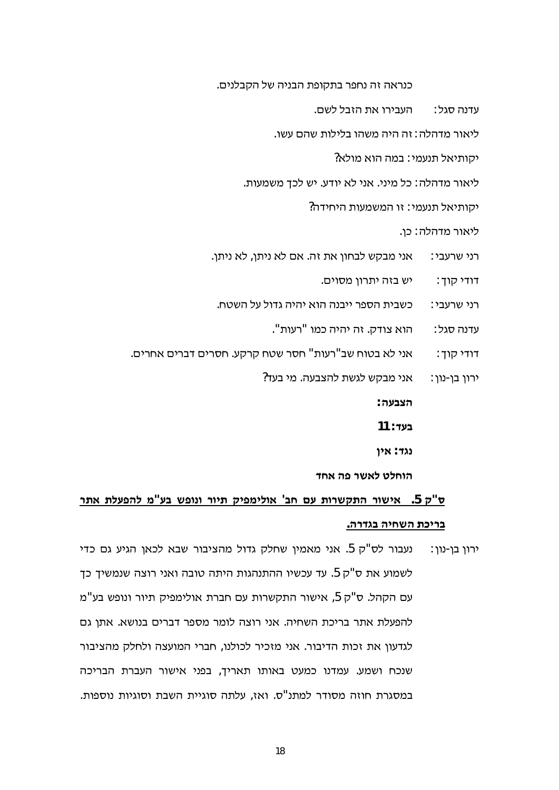כנראה זה נחפר בתקופת הבניה של הקבלנים.

העבירו את הזבל לשם. עדנה סגל :

ליאור מדהלה : זה היה משהו בלילות שהם עשו.

יקותיאל תנעמי: במה הוא מולא?

ליאור מדהלה: כל מיני. אני לא יודע. יש לכך משמעות.

יקותיאל תנעמי∶ זו המשמעות היחידה?

ליאור מדהלה: כן.

אני מבקש לבחון את זה. אם לא ניתן, לא ניתן. רני שרעבי∶

> יש בזה יתרון מסוים. דודי קוך :

כשבית הספר ייבנה הוא יהיה גדול על השטח. רני שרעבי∶

> הוא צודק. זה יהיה כמו "רעות". עדנה סגל∶

אני לא בטוח שב"רעות" חסר שטח קרקע. חסרים דברים אחרים. דודי קוך:

> אני מבקש לגשת להצבעה. מי בעד? ירון בן-נון:

> > הצבעה∶

11 : **בעד** 

נגד: אין

הוחלט לאשר פה אחד

## ס"ק 5. אישור התקשרות עם חב' אולימפיק תיור ונופש בע"מ להפעלת אתר בריכת השחיה בגדרה.

נעבור לס"ק 5. אני מאמין שחלק גדול מהציבור שבא לכאן הגיע גם כדי ירון בן-נון : לשמוע את ס"ק 5. עד עכשיו ההתנהגות היתה טובה ואני רוצה שנמשיך כך עם הקהל. ס"ק 5, אישור התקשרות עם חברת אולימפיק תיור ונופש בע"מ להפעלת אתר בריכת השחיה. אני רוצה לומר מספר דברים בנושא. אתן גם לגדעון את זכות הדיבור. אני מזכיר לכולנו, חברי המועצה ולחלק מהציבור שנכח ושמע. עמדנו כמעט באותו תאריך, בפני אישור העברת הבריכה במסגרת חוזה מסודר למתנ"ס. ואז, עלתה סוגיית השבת וסוגיות נוספות.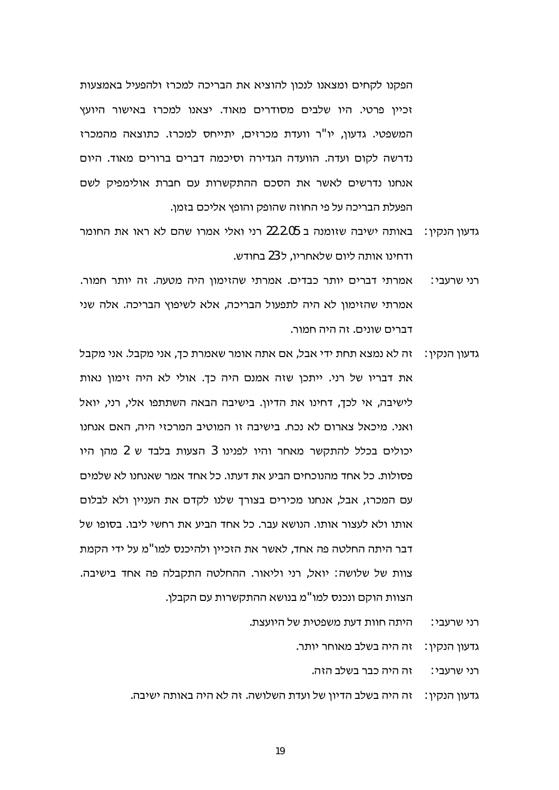הפקנו לקחים ומצאנו לנכון להוציא את הבריכה למכרז ולהפעיל באמצעות זכייו פרטי. היו שלבים מסודרים מאוד. יצאנו למכרז באישור היועץ המשפטי. גדעון, יו"ר וועדת מכרזים, יתייחס למכרז. כתוצאה מהמכרז נדרשה לקום ועדה. הוועדה הגדירה וסיכמה דברים ברורים מאוד. היום אנחנו נדרשים לאשר את הסכם ההתקשרות עם חברת אולימפיק לשם הפעלת הבריכה על פי החוזה שהופק והופץ אליכם בזמן.

- גדעוו הנקיו: נאותה ישיבה שזומנה ב 22.2.05 רני ואלי אמרו שהם לא ראו את החומר ודחינו אותה ליום שלאחריו. ל 23 בחודש.
- אמרתי דברים יותר כבדים. אמרתי שהזימון היה מטעה. זה יותר חמור. רני שרעבי∶ אמרתי שהזימון לא היה לתפעול הבריכה, אלא לשיפוץ הבריכה. אלה שני דברים שונים. זה היה חמור.
- גדעון הנקין: \_ זה לא נמצא תחת ידי אבל, אם אתה אומר שאמרת כך, אני מקבל. אני מקבל את דבריו של רני. ייתכן שזה אמנם היה כך. אולי לא היה זימון נאות לישיבה, אי לכך, דחינו את הדיון. בישיבה הבאה השתתפו אלי, רני, יואל ואני. מיכאל צארום לא נכח. בישיבה זו המוטיב המרכזי היה. האם אנחנו יכולים בכלל להתקשר מאחר והיו לפנינו 3 הצעות בלבד ש 2 מהן היו פסולות. כל אחד מהנוכחים הביע את דעתו. כל אחד אמר שאנחנו לא שלמים עם המכרז, אבל, אנחנו מכירים בצורך שלנו לקדם את העניין ולא לבלום אותו ולא לעצור אותו. הנושא עבר. כל אחד הביע את רחשי ליבו. בסופו של דבר היתה החלטה פה אחד, לאשר את הזכיין ולהיכנס למו"מ על ידי הקמת צוות של שלושה: יואל, רני וליאור. ההחלטה התקבלה פה אחד בישיבה. הצוות הוקם ונכנס למו"מ בנושא ההתקשרות עם הקבלן.
	- היתה חוות דעת משפטית של היועצת. רני שרעבי∶

גדעון הנקין: זה היה בשלב מאוחר יותר.

זה היה כבר בשלב הזה. רני שרעבי∶

גדעון הנקין: אה היה בשלב הדיון של ועדת השלושה. זה לא היה באותה ישיבה.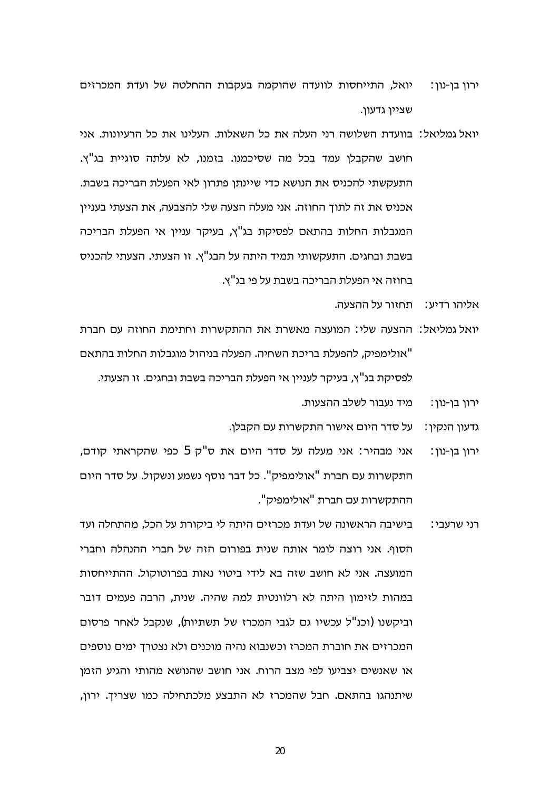- ירון בן-נון: נואל, התייחסות לוועדה שהוקמה בעקבות ההחלטה של ועדת המכרזים שציין גדעוו.
- יואל גמליאל: בוועדת השלושה רני העלה את כל השאלות. העלינו את כל הרעיונות. אני חושב שהקבלן עמד בכל מה שסיכמנו. בזמנו, לא עלתה סוגיית בג"ץ. התעקשתי להכניס את הנושא כדי שיינתן פתרון לאי הפעלת הבריכה בשבת. אכניס את זה לתוך החוזה. אני מעלה הצעה שלי להצבעה, את הצעתי בעניין המגבלות החלות בהתאם לפסיקת בג"ץ, בעיקר עניין אי הפעלת הבריכה בשבת ובחגים. התעקשותי תמיד היתה על הבג"ץ. זו הצעתי. הצעתי להכניס בחוזה אי הפעלת הבריכה בשבת על פי בג"ץ.
	- אליהו רדיע∶ תחזור על ההצעה.
- יואל גמליאל: ההצעה שלי: המועצה מאשרת את ההתקשרות וחתימת החוזה עם חברת "אולימפיק, להפעלת בריכת השחיה. הפעלה בניהול מוגבלות החלות בהתאם לפסיקת בג"ץ, בעיקר לעניין אי הפעלת הבריכה בשבת ובחגים. זו הצעתי.
	- מיד נעבור לשלב ההצעות. ∶ירון בן-נון
	- גדעון הנקין: על סדר היום אישור התקשרות עם הקבלן.
- אני מבהיר: אני מעלה על סדר היום את ס"ק 5 כפי שהקראתי קודם, ∶ירון בן-נון התקשרות עם חברת "אולימפיק". כל דבר נוסף נשמע ונשקול. על סדר היום ההתקשרות עם חברת "אולימפיק".
- בישיבה הראשונה של ועדת מכרזים היתה לי ביקורת על הכל, מהתחלה ועד רני שרעבי∶ הסוף. אני רוצה לומר אותה שנית בפורום הזה של חברי ההנהלה וחברי המועצה. אני לא חושב שזה בא לידי ביטוי נאות בפרוטוקול. ההתייחסות במהות לזימון היתה לא רלוונטית למה שהיה. שנית, הרבה פעמים דובר וביקשנו (וכנ"ל עכשיו גם לגבי המכרז של תשתיות), שנקבל לאחר פרסום המכרזים את חוברת המכרז וכשנבוא נהיה מוכנים ולא נצטרך ימים נוספים או שאנשים יצביעו לפי מצב הרוח. אני חושב שהנושא מהותי והגיע הזמן שיתנהגו בהתאם. חבל שהמכרז לא התבצע מלכתחילה כמו שצריך. ירון,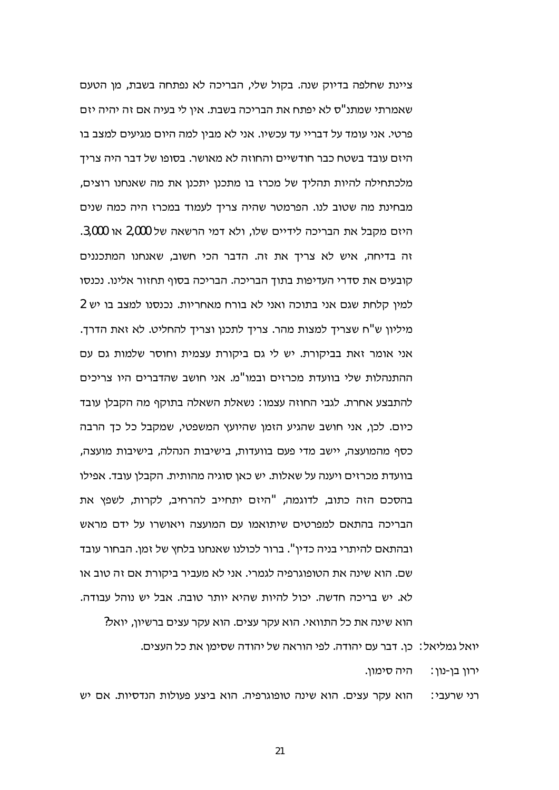ציינת שחלפה בדיוק שנה. בקול שלי, הבריכה לא נפתחה בשבת, מן הטעם שאמרתי שמתנ"ס לא יפתח את הבריכה בשבת. איו לי בעיה אם זה יהיה יזם פרטי. אני עומד על דבריי עד עכשיו. אני לא מבין למה היום מגיעים למצב בו היזם עובד בשטח כבר חודשיים והחוזה לא מאושר. בסופו של דבר היה צריד מלכתחילה להיות תהליד של מכרז בו מתכנו יתכנו את מה שאנחנו רוצים, מבחינת מה שטוב לנו. הפרמטר שהיה צריד לעמוד במכרז היה כמה שנים היזם מקבל את הבריכה לידיים שלו, ולא דמי הרשאה של 2,000 או 3,000. זה בדיחה, איש לא צריך את זה. הדבר הכי חשוב, שאנחנו המתכננים קובעים את סדרי העדיפות בתוך הבריכה. הבריכה בסוף תחזור אלינו. נכנסו למין קלחת שגם אני בתוכה ואני לא בורח מאחריות. נכנסנו למצב בו יש 2 מיליון ש"ח שצריך למצות מהר. צריך לתכנו וצריך להחליט. לא זאת הדרך. אני אומר זאת בביקורת. יש לי גם ביקורת עצמית וחוסר שלמות גם עם ההתנהלות שלי בוועדת מכרזים ובמו"מ. אני חושב שהדברים היו צריכים להתבצע אחרת. לגבי החוזה עצמו: נשאלת השאלה בתוקף מה הקבלן עובד כיום. לכן, אני חושב שהגיע הזמן שהיועץ המשפטי, שמקבל כל כך הרבה כסף מהמועצה, יישב מדי פעם בוועדות, בישיבות הנהלה, בישיבות מועצה, בוועדת מכרזים ויענה על שאלות. יש כאן סוגיה מהותית. הקבלן עובד. אפילו בהסכם הזה כתוב, לדוגמה, "היזם יתחייב להרחיב, לקרות, לשפץ את הבריכה בהתאם למפרטים שיתואמו עם המועצה ויאושרו על ידם מראש ובהתאם להיתרי בניה כדין". ברור לכולנו שאנחנו בלחץ של זמן. הבחור עובד שם. הוא שינה את הטופוגרפיה לגמרי. אני לא מעביר ביקורת אם זה טוב או לא. יש בריכה חדשה. יכול להיות שהיא יותר טובה. אבל יש נוהל עבודה. הוא שינה את כל התוואי. הוא עקר עצים. הוא עקר עצים ברשיון, יואל?

> ּהיה סימון. ירון בן-נון:

הוא עקר עצים. הוא שינה טופוגרפיה. הוא ביצע פעולות הנדסיות. אם יש רני שרעבי∶

יואל גמליאל∶ כן. דבר עם יהודה. לפי הוראה של יהודה שסימן את כל העצים.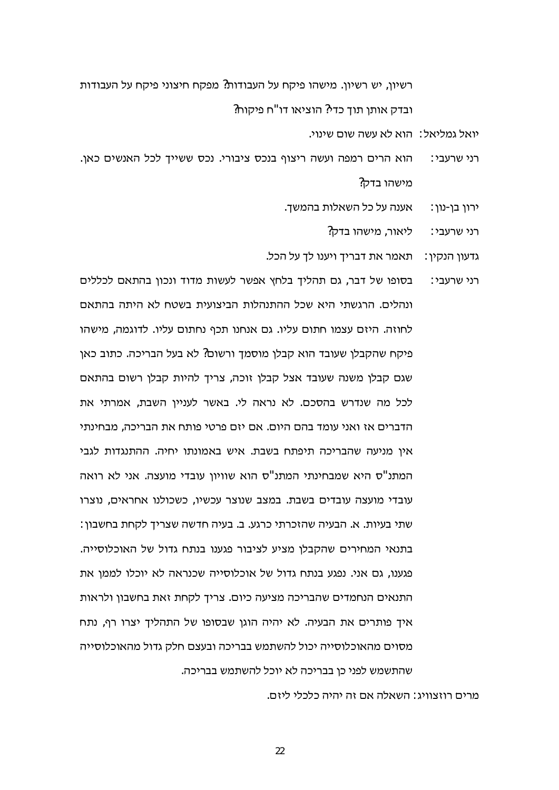רשיון, יש רשיון. מישהו פיקח על העבודות? מפקח חיצוני פיקח על העבודות ובדק אותו תוד כדי? הוציאו דו"ח פיקוח?

יואל גמליאל: | הוא לא עשה שום שינוי.

- הוא הרים רמפה ועשה ריצוף בנכס ציבורי. נכס ששייך לכל האנשים כאן. רני שרעבי∶ מישהו בדק?
	- אענה על כל השאלות בהמשך. ירון בן-נון :
		- ליאור, מישהו בדק? רני שרעבי∶
	- גדעון הנקין: תאמר את דבריך ויענו לך על הכל.
- בסופו של דבר, גם תהליך בלחץ אפשר לעשות מדוד ונכון בהתאם לכללים רני שרעבי∶ ונהלים. הרגשתי היא שכל ההתנהלות הביצועית בשטח לא היתה בהתאם לחוזה. היזם עצמו חתום עליו. גם אנחנו תכף נחתום עליו. לדוגמה. מישהו פיקח שהקבלן שעובד הוא קבלן מוסמך ורשום? לא בעל הבריכה. כתוב כאן שגם קבלן משנה שעובד אצל קבלן זוכה, צריך להיות קבלן רשום בהתאם לכל מה שנדרש בהסכם. לא נראה לי. באשר לעניין השבת, אמרתי את הדברים אז ואני עומד בהם היום. אם יזם פרטי פותח את הבריכה. מבחינתי אין מניעה שהבריכה תיפתח בשבת. איש באמונתו יחיה. ההתנגדות לגבי המתנ"ס היא שמבחינתי המתנ"ס הוא שוויון עובדי מועצה. אני לא רואה עובדי מועצה עובדים בשבת. במצב שנוצר עכשיו, כשכולנו אחראים, נוצרו שתי בעיות. א. הבעיה שהזכרתי כרגע. ב. בעיה חדשה שצריך לקחת בחשבון: בתנאי המחירים שהקבלן מציע לציבור פגענו בנתח גדול של האוכלוסייה. פגענו, גם אני. נפגע בנתח גדול של אוכלוסייה שכנראה לא יוכלו לממן את התנאים הנחמדים שהבריכה מציעה כיום. צריך לקחת זאת בחשבון ולראות איך פותרים את הבעיה. לא יהיה הוגן שבסופו של התהליך יצרו רף, נתח מסוים מהאוכלוסייה יכול להשתמש בבריכה ובעצם חלק גדול מהאוכלוסייה שהתשמש לפני כן בבריכה לא יוכל להשתמש בבריכה.

מרים רוזצוויג: השאלה אם זה יהיה כלכלי ליזם.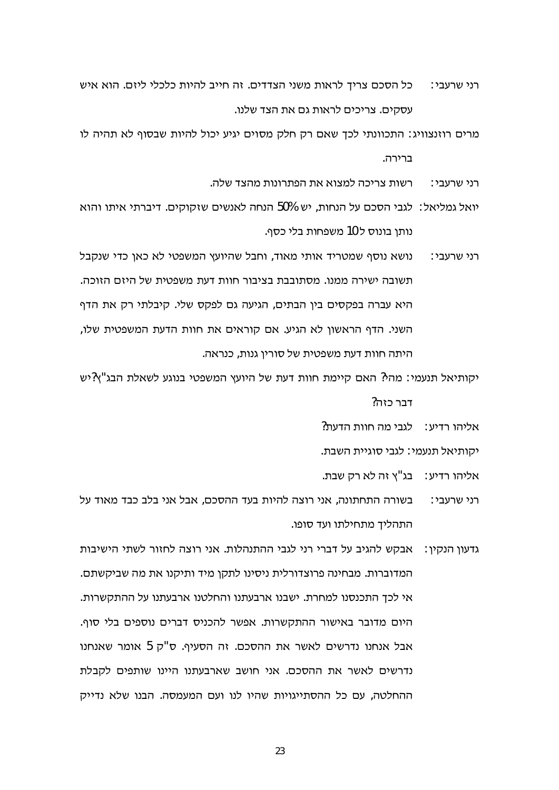- רני שרעבי: כל הסכם צריך לראות משני הצדדים. זה חייב להיות כלכלי ליזם. הוא איש עסקים. צריכים לראות גם את הצד שלנו.
- מרים רוזנצוויג: התכוונתי לכך שאם רק חלק מסוים יגיע יכול להיות שבסוף לא תהיה לו ברירה.
	- רשות צריכה למצוא את הפתרונות מהצד שלה. רני שרעבי∶
- יואל גמליאל: 'לגבי הסכם על הנחות, יש 50% הנחה לאנשים שזקוקים. דיברתי איתו והוא נותן בונוס ל 10 משפחות בלי כסף.
- נושא נוסף שמטריד אותי מאוד, וחבל שהיועץ המשפטי לא כאן כדי שנקבל רני שרעבי∶ תשובה ישירה ממנו. מסתובבת בציבור חוות דעת משפטית של היזם הזוכה. היא עברה בפקסים בין הבתים, הגיעה גם לפקס שלי. קיבלתי רק את הדף השני. הדף הראשון לא הגיע. אם קוראים את חוות הדעת המשפטית שלו, היתה חוות דעת משפטית של סורין גנות, כנראה.
- יקותיאל תנעמי: מהי? האם קיימת חוות דעת של היועץ המשפטי בנוגע לשאלת הבג"ץ?יש דבר כזה?
	- אליהו רדיע: לגבי מה חוות הדעת?
	- יקותיאל תנעמי: לגבי סוגיית השבת.
	- אליהו רדיע∶ בג"ץ זה לא רק שבת.
- בשורה התחתונה, אני רוצה להיות בעד ההסכם, אבל אני בלב כבד מאוד על רני שרעבי∶ התהליך מתחילתו ועד סופו.
- גדעון הנקין: ) אבקש להגיב על דברי רני לגבי ההתנהלות. אני רוצה לחזור לשתי הישיבות המדוברות. מבחינה פרוצדורלית ניסינו לתקן מיד ותיקנו את מה שביקשתם. אי לכך התכנסנו למחרת. ישבנו ארבעתנו והחלטנו ארבעתנו על ההתקשרות. היום מדובר באישור ההתקשרות. אפשר להכניס דברים נוספים בלי סוף. אבל אנחנו נדרשים לאשר את ההסכם. זה הסעיף. ס"ק 5 אומר שאנחנו נדרשים לאשר את ההסכם. אני חושב שארבעתנו היינו שותפים לקבלת ההחלטה, עם כל ההסתייגויות שהיו לנו ועם המעמסה. הבנו שלא נדייק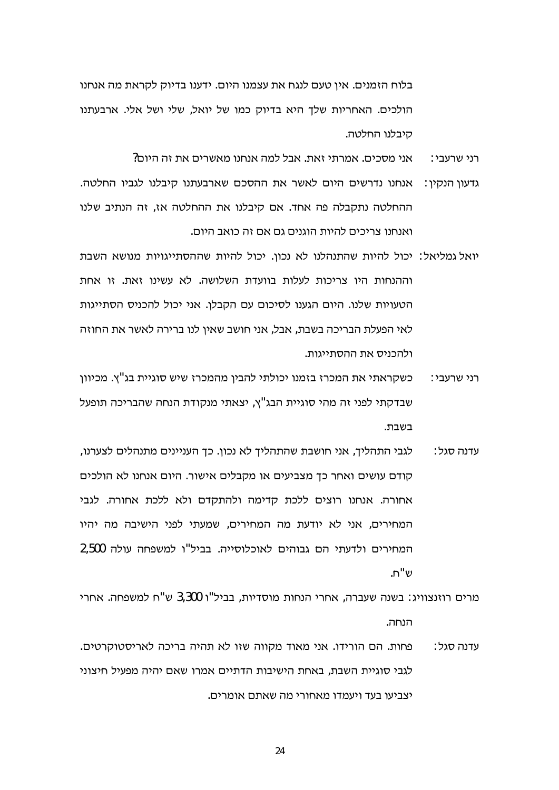בלוח הזמנים. אין טעם לנגח את עצמנו היום. ידענו בדיוק לקראת מה אנחנו הולכים. האחריות שלד היא בדיוק כמו של יואל, שלי ושל אלי, ארבעתנו קיבלנו החלטה.

> $?$ אני מסכים. אמרתי זאת. אבל למה אנחנו מאשרים את זה היום רני שרעבי:

- גדעון הנקין: אנחנו נדרשים היום לאשר את ההסכם שארבעתנו קיבלנו לגביו החלטה. ההחלטה נתקבלה פה אחד. אם קיבלנו את ההחלטה אז, זה הנתיב שלנו ואנחנו צריכים להיות הוגנים גם אם זה כואב היום.
- יואל גמליאל: יכול להיות שהתנהלנו לא נכון. יכול להיות שההסתייגויות מנושא השבת וההנחות היו צריכות לעלות בוועדת השלושה. לא עשינו זאת. זו אחת הטעויות שלנו. היום הגענו לסיכום עם הקבלן. אני יכול להכניס הסתייגות לאי הפעלת הבריכה בשבת. אבל. אני חושב שאיו לנו ברירה לאשר את החוזה ולהכניס את ההסתייגות.
- כשקראתי את המכרז בזמנו יכולתי להבין מהמכרז שיש סוגיית בג"ץ. מכיוון רני שרעבי∶ שבדקתי לפני זה מהי סוגיית הבג"ץ, יצאתי מנקודת הנחה שהבריכה תופעל בשבת.
- לגבי התהליך, אני חושבת שהתהליך לא נכון. כך העניינים מתנהלים לצערנו, עדנה סגל∶ קודם עושים ואחר כך מצביעים או מקבלים אישור. היום אנחנו לא הולכים אחורה. אנחנו רוצים ללכת קדימה ולהתקדם ולא ללכת אחורה. לגבי המחירים, אני לא יודעת מה המחירים, שמעתי לפני הישיבה מה יהיו המחירים ולדעתי הם גבוהים לאוכלוסייה. בביל"ו למשפחה עולה 2,500 ש"ח.

מרים רוזנצוויג: בשנה שעברה, אחרי הנחות מוסדיות, בביל"ו 3,300 ש"ח למשפחה. אחרי הנחה.

פחות. הם הורידו. אני מאוד מקווה שזו לא תהיה בריכה לאריסטוקרטים. עדנה סגל∶ לגבי סוגיית השבת, באחת הישיבות הדתיים אמרו שאם יהיה מפעיל חיצוני יצביעו בעד ויעמדו מאחורי מה שאתם אומרים.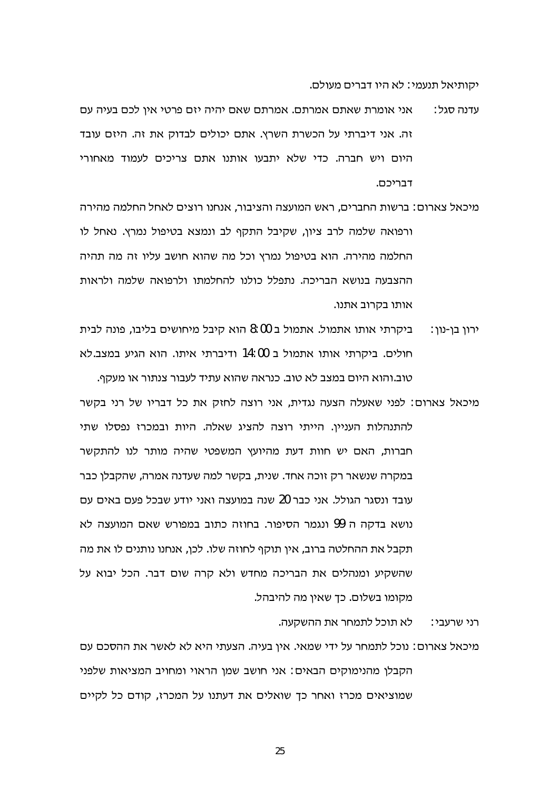יקותיאל תנעמי: לא היו דברים מעולם.

- אני אומרת שאתם אמרתם. אמרתם שאם יהיה יזם פרטי איו לכם בעיה עם עדנה סגל∶ זה. אני דיברתי על הכשרת השרץ. אתם יכולים לבדוק את זה. היזם עובד היום ויש חברה. כדי שלא יתבעו אותנו אתם צריכים לעמוד מאחורי דבריכם.
- מיכאל צארום∶ ברשות החברים, ראש המועצה והציבור, אנחנו רוצים לאחל החלמה מהירה ורפואה שלמה לרב ציון, שקיבל התקף לב ונמצא בטיפול נמרץ. נאחל לו החלמה מהירה. הוא בטיפול נמרץ וכל מה שהוא חושב עליו זה מה תהיה ההצבעה בנושא הבריכה. נתפלל כולנו להחלמתו ולרפואה שלמה ולראות אותו בקרוב אתנו.
- ביקרתי אותו אתמול. אתמול ב 8:00 הוא קיבל מיחושים בליבו, פונה לבית ירון בן-נון: חולים. ביקרתי אותו אתמול ב 14:00 ודיברתי איתו. הוא הגיע במצב לא טוב.והוא היום במצב לא טוב. כנראה שהוא עתיד לעבור צנתור או מעקף.
- מיכאל צארום: לפני שאעלה הצעה נגדית, אני רוצה לחזק את כל דבריו של רני בקשר להתנהלות העניין. הייתי רוצה להציג שאלה. היות ובמכרז נפסלו שתי חברות, האם יש חוות דעת מהיועץ המשפטי שהיה מותר לנו להתקשר במקרה שנשאר רק זוכה אחד. שנית, בקשר למה שעדנה אמרה, שהקבלן כבר עובד ונסגר הגולל. אני כבר 20 שנה במועצה ואני יודע שבכל פעם באים עם נושא בדקה ה 99 ונגמר הסיפור. בחוזה כתוב במפורש שאם המועצה לא תקבל את ההחלטה ברוב, אין תוקף לחוזה שלו. לכן, אנחנו נותנים לו את מה שהשקיע ומנהלים את הבריכה מחדש ולא קרה שום דבר. הכל יבוא על מקומו בשלום. כך שאין מה להיבהל.

לא תוכל לתמחר את ההשקעה. רני שרעבי:

מיכאל צארום: נוכל לתמחר על ידי שמאי. אין בעיה. הצעתי היא לא לאשר את ההסכם עם הקבלן מהנימוקים הבאים: אני חושב שמן הראוי ומחויב המציאות שלפני שמוציאים מכרז ואחר כך שואלים את דעתנו על המכרז, קודם כל לקיים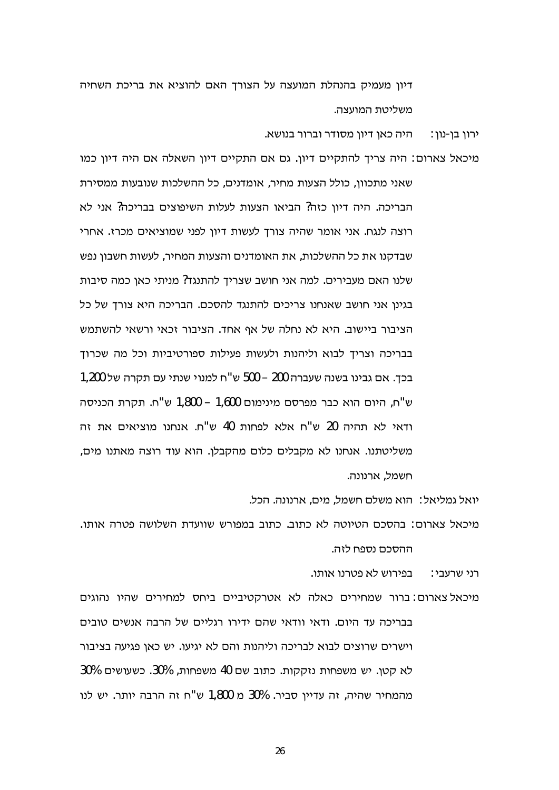דיון מעמיק בהנהלת המועצה על הצורך האם להוציא את בריכת השחיה משליטת המועצה.

> היה כאן דיון מסודר וברור בנושא. ירון בן-נון:

מיכאל צארום: היה צריך להתקיים דיון. גם אם התקיים דיון השאלה אם היה דיון כמו שאני מתכוון, כולל הצעות מחיר, אומדנים, כל ההשלכות שנובעות ממסירת הבריכה. היה דיון כזה? הביאו הצעות לעלות השיפוצים בבריכה? אני לא רוצה לנגח. אני אומר שהיה צורך לעשות דיון לפני שמוציאים מכרז. אחרי שבדקנו את כל ההשלכות, את האומדנים והצעות המחיר, לעשות חשבון נפש שלנו האם מעבירים. למה אני חושב שצריך להתנגד? מניתי כאן כמה סיבות בגינן אני חושב שאנחנו צריכים להתנגד להסכם. הבריכה היא צורך של כל הציבור ביישוב. היא לא נחלה של אף אחד. הציבור זכאי ורשאי להשתמש בבריכה וצריך לבוא וליהנות ולעשות פעילות ספורטיביות וכל מה שכרוך בכך. אם גבינו בשנה שעברה 200 – 500 ש"ח למנוי שנתי עם תקרה של 1,200 ש"ח, היום הוא כבר מפרסם מינימום 1,600 – 1,800 ש"ח. תקרת הכניסה ודאי לא תהיה 20 ש"ח אלא לפחות 40 ש"ח. אנחנו מוציאים את זה משליטתנו. אנחנו לא מקבלים כלום מהקבלן. הוא עוד רוצה מאתנו מים, חשמל, ארנונה.

יואל גמליאל: הוא משלם חשמל, מים, ארנונה. הכל.

מיכאל צארום: בהסכם הטיוטה לא כתוב. כתוב במפורש שוועדת השלושה פטרה אותו. ההסכם נספח לזה.

רני שרעבי: בפירוש לא פטרנו אותו.

מיכאל צארום: ברור שמחירים כאלה לא אטרקטיביים ביחס למחירים שהיו נהוגים בבריכה עד היום. ודאי וודאי שהם ידירו רגליים של הרבה אנשים טובים וישרים שרוצים לבוא לבריכה וליהנות והם לא יגיעו. יש כאו פגיעה בציבור לא קטן. יש משפחות נזקקות. כתוב שם 40 משפחות, 30%. כשעושים 30% מהמחיר שהיה, זה עדיין סביר. 30% מ 1,800 ש"ח זה הרבה יותר. יש לנו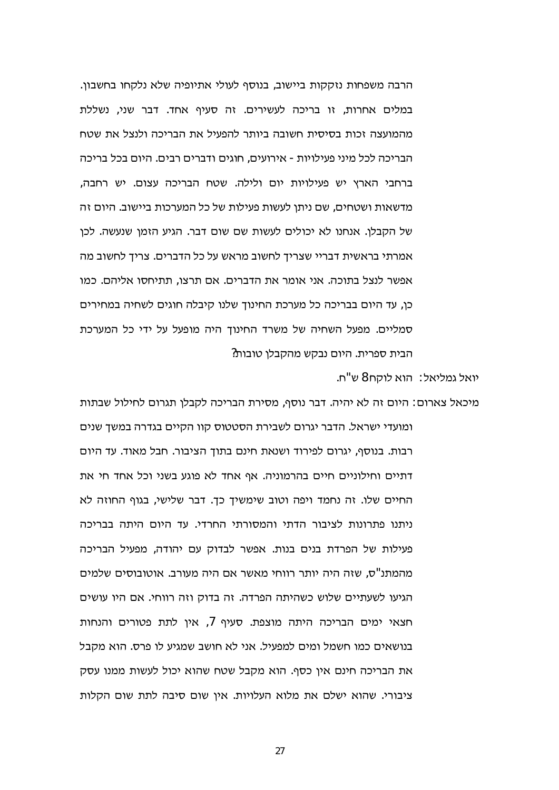הרבה משפחות נזקקות ביישוב, בנוסף לעולי אתיופיה שלא נלקחו בחשבון. במלים אחרות, זו בריכה לעשירים. זה סעיף אחד, דבר שני, נשללת מהמועצה זכות בסיסית חשובה ביותר להפעיל את הבריכה ולנצל את שטח הבריכה לכל מיני פעילויות - אירועים. חוגים ודברים רבים. היום בכל בריכה ברחבי הארץ יש פעילויות יום ולילה. שטח הבריכה עצום. יש רחבה, מדשאות ושטחים, שם ניתו לעשות פעילות של כל המערכות ביישוב. היום זה של הקבלו. אנחנו לא יכולים לעשות שם שום דבר. הגיע הזמן שנעשה. לכן אמרתי בראשית דבריי שצריך לחשוב מראש על כל הדברים. צריך לחשוב מה אפשר לנצל בתוכה. אני אומר את הדברים. אם תרצו, תתיחסו אליהם. כמו כן, עד היום בבריכה כל מערכת החינוך שלנו קיבלה חוגים לשחיה במחירים סמליים. מפעל השחיה של משרד החינוד היה מופעל על ידי כל המערכת הבית ספרית. היום נבקש מהקבלן טובות?

יואל גמליאל∶ הוא לוקח 8 ש"ח.

מיכאל צארום: היום זה לא יהיה. דבר נוסף, מסירת הבריכה לקבלן תגרום לחילול שבתות ומועדי ישראל. הדבר יגרום לשבירת הסטטוס קוו הקיים בגדרה במשד שנים רבות. בנוסף, יגרום לפירוד ושנאת חינם בתוך הציבור. חבל מאוד. עד היום דתיים וחילוניים חיים בהרמוניה. אף אחד לא פוגע בשני וכל אחד חי את החיים שלו. זה נחמד ויפה וטוב שימשיך כך. דבר שלישי, בגוף החוזה לא ניתנו פתרונות לציבור הדתי והמסורתי החרדי. עד היום היתה בבריכה פעילות של הפרדת בנים בנות. אפשר לבדוק עם יהודה, מפעיל הבריכה מהמתנ"ס, שזה היה יותר רווחי מאשר אם היה מעורב. אוטובוסים שלמים הגיעו לשעתיים שלוש כשהיתה הפרדה. זה בדוק וזה רווחי. אם היו עושים חצאי ימים הבריכה היתה מוצפת. סעיף 7, אין לתת פטורים והנחות בנושאים כמו חשמל ומים למפעיל. אני לא חושב שמגיע לו פרס. הוא מקבל את הבריכה חינם אין כסף. הוא מקבל שטח שהוא יכול לעשות ממנו עסק ציבורי. שהוא ישלם את מלוא העלויות. אין שום סיבה לתת שום הקלות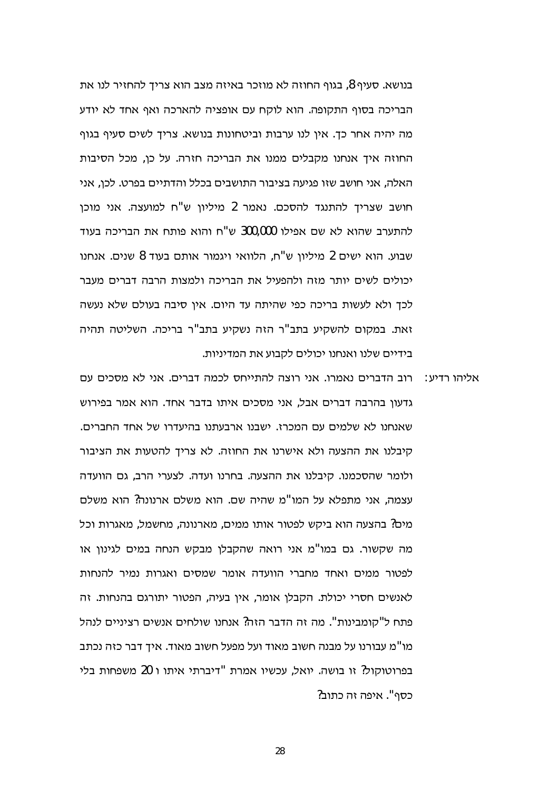בנושא. סעיף 8, בגוף החוזה לא מוזכר באיזה מצב הוא צריך להחזיר לנו את הבריכה בסוף התקופה. הוא לוקח עם אופציה להארכה ואף אחד לא יודע מה יהיה אחר כך. אין לנו ערבות וביטחונות בנושא. צריך לשים סעיף בגוף החוזה איך אנחנו מקבלים ממנו את הבריכה חזרה. על כן, מכל הסיבות האלה, אני חושב שזו פגיעה בציבור התושבים בכלל והדתיים בפרט. לכו, אני חושב שצריד להתנגד להסכם. נאמר 2 מיליון ש"ח למועצה. אני מוכן להתערב שהוא לא שם אפילו 300,000 ש"ח והוא פותח את הבריכה בעוד שבוע. הוא ישים 2 מיליוו ש"ח, הלוואי ויגמור אותם בעוד 8 שנים. אנחנו יכולים לשים יותר מזה ולהפעיל את הבריכה ולמצות הרבה דברים מעבר לכך ולא לעשות בריכה כפי שהיתה עד היום. אין סיבה בעולם שלא נעשה זאת. במקום להשקיע בתב"ר הזה נשקיע בתב"ר בריכה. השליטה תהיה בידיים שלנו ואנחנו יכולים לקבוע את המדיניות.

רוב הדברים נאמרו. אני רוצה להתייחס לכמה דברים. אני לא מסכים עם : אליהו רדיע גדעון בהרבה דברים אבל, אני מסכים איתו בדבר אחד. הוא אמר בפירוש שאנחנו לא שלמים עם המכרז. ישבנו ארבעתנו בהיעדרו של אחד החברים. קיבלנו את ההצעה ולא אישרנו את החוזה. לא צריך להטעות את הציבור ולומר שהסכמנו. קיבלנו את ההצעה. בחרנו ועדה. לצערי הרב, גם הוועדה עצמה. אני מתפלא על המו"מ שהיה שם. הוא משלם ארנונה? הוא משלם מים? בהצעה הוא ביקש לפטור אותו ממים, מארנונה, מחשמל, מאגרות וכל מה שקשור. גם במו"מ אני רואה שהקבלן מבקש הנחה במים לגינון או לפטור ממים ואחד מחברי הוועדה אומר שמסים ואגרות נמיר להנחות לאנשים חסרי יכולת. הקבלן אומר, אין בעיה, הפטור יתורגם בהנחות. זה פתח ל"קומבינות". מה זה הדבר הזה? אנחנו שולחים אנשים רציניים לנהל מו"מ עבורנו על מבנה חשוב מאוד ועל מפעל חשוב מאוד. איד דבר כזה נכתב בפרוטוקול? זו בושה. יואל, עכשיו אמרת "דיברתי איתו ו 20 משפחות בלי כסף". איפה זה כתוב?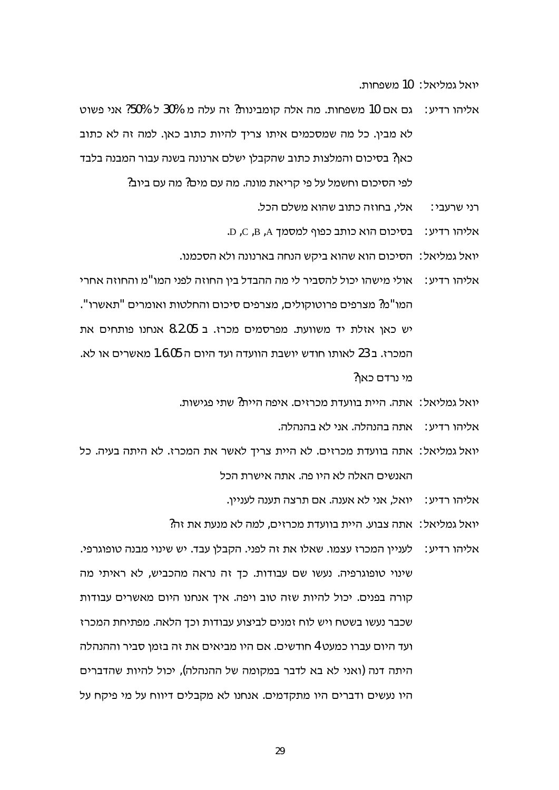יואל גמליאל: 10 משפחות.

- אליהו רדיע: נם אם 10 משפחות. מה אלה קומבינות? זה עלה מ 30% ל 50% אני פשוט לא מבין. כל מה שמסכמים איתו צריך להיות כתוב כאן. למה זה לא כתוב כאן? בסיכום והמלצות כתוב שהקבלן ישלם ארנונה בשנה עבור המבנה בלבד לפי הסיכום וחשמל על פי קריאת מונה. מה עם מים? מה עם ביוב?
	- אלי, בחוזה כתוב שהוא משלם הכל. רני שרעבי∶
	- .D ,C ,B ,A ליהו רדיע: בסיכום הוא כותב כפוף למסמך A, B ,A .
	- יואל גמליאל: הסיכום הוא שהוא ביקש הנחה בארנונה ולא הסכמנו.
- אליהו רדיע: אולי מישהו יכול להסביר לי מה ההבדל בין החוזה לפני המו"מ והחוזה אחרי המו"מ? מצרפים פרוטוקולים. מצרפים סיכום והחלטות ואומרים "תאשרו". יש כאו אזלת יד משוועת. מפרסמים מכרז. ב 8.2.05 אנחנו פותחים את המכרז. ב 23 לאותו חודש יושבת הוועדה ועד היום ה 1.6.05 מאשרים או לא. מי נרדם כאו?
	- יואל גמליאל: אתה. היית בוועדת מכרזים. איפה היית? שתי פגישות.
		- אליהו רדיע∶\_ אתה בהנהלה. אני לא בהנהלה.
- יואל גמליאל: אתה בוועדת מכרזים. לא היית צריך לאשר את המכרז. לא היתה בעיה. כל האנשים האלה לא היו פה. אתה אישרת הכל
	- . אליהו רדיע: יואל, אני לא אענה. אם תרצה תענה לעניין
	- יואל גמליאל∶ אתה צבוע. היית בוועדת מכרזים, למה לא מנעת את זה?
- אליהו רדיע: | לעניין המכרז עצמו. שאלו את זה לפני. הקבלן עבד. יש שינוי מבנה טופוגרפי. שינוי טופוגרפיה. נעשו שם עבודות. כך זה נראה מהכביש, לא ראיתי מה קורה בפנים. יכול להיות שזה טוב ויפה. איך אנחנו היום מאשרים עבודות שכבר נעשו בשטח ויש לוח זמנים לביצוע עבודות וכך הלאה. מפתיחת המכרז ועד היום עברו כמעט 4 חודשים. אם היו מביאים את זה בזמו סביר וההנהלה היתה דנה (ואני לא בא לדבר במקומה של ההנהלה), יכול להיות שהדברים היו נעשים ודברים היו מתקדמים. אנחנו לא מקבלים דיווח על מי פיקח על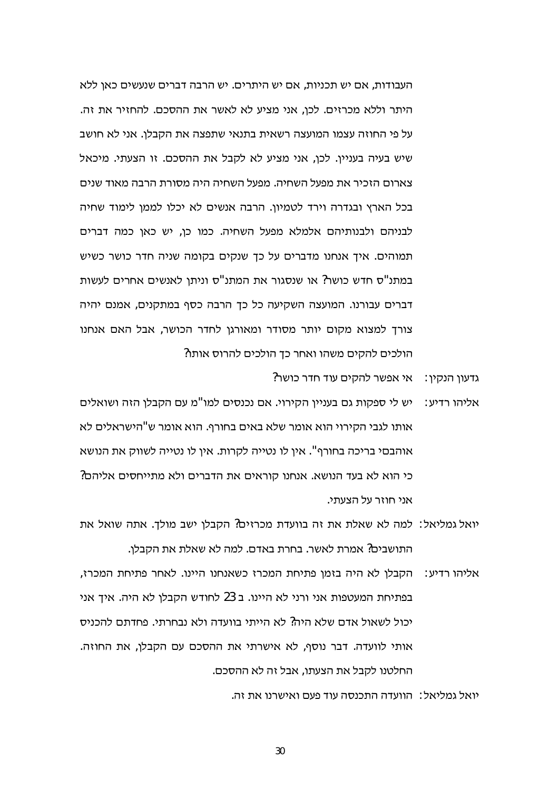העבודות, אם יש תכניות, אם יש היתרים. יש הרבה דברים שנעשים כאן ללא היתר וללא מכרזים. לכו, אני מציע לא לאשר את ההסכם. להחזיר את זה. על פי החוזה עצמו המועצה רשאית בתנאי שתפצה את הקבלן. אני לא חושב שיש בעיה בעניין. לכן, אני מציע לא לקבל את ההסכם. זו הצעתי. מיכאל צארום הזכיר את מפעל השחיה. מפעל השחיה היה מסורת הרבה מאוד שנים בכל הארץ ובגדרה וירד לטמיון. הרבה אנשים לא יכלו לממו לימוד שחיה לבניהם ולבנותיהם אלמלא מפעל השחיה. כמו כן, יש כאן כמה דברים תמוהים. איך אנחנו מדברים על כך שנקים בקומה שניה חדר כושר כשיש במתנ"ס חדש כושר? או שנסגור את המתנ"ס וניתן לאנשים אחרים לעשות דברים עבורנו. המועצה השקיעה כל כך הרבה כסף במתקנים, אמנם יהיה צורך למצוא מקום יותר מסודר ומאורגן לחדר הכושר, אבל האם אנחנו הולכים להקים משהו ואחר כך הולכים להרוס אותו?

- גדעון הנקין: \_ אי אפשר להקים עוד חדר כושר?
- אליהו רדיע: יש לי ספקות גם בעניין הקירוי. אם נכנסים למו"מ עם הקבלן הזה ושואלים אותו לגבי הקירוי הוא אומר שלא באים בחורף. הוא אומר ש"הישראלים לא אוהבםי בריכה בחורף". אין לו נטייה לקרות. אין לו נטייה לשווק את הנושא כי הוא לא בעד הנושא. אנחנו קוראים את הדברים ולא מתייחסים אליהם? אני חוזר על הצעתי.
- יואל גמליאל: למה לא שאלת את זה בוועדת מכרזים? הקבלן ישב מולך. אתה שואל את התושבים? אמרת לאשר. בחרת באדם. למה לא שאלת את הקבלן.
- אליהו רדיע: הקבלן לא היה בזמן פתיחת המכרז כשאנחנו היינו. לאחר פתיחת המכרז, בפתיחת המעטפות אני ורני לא היינו. ב 23 לחודש הקבלו לא היה. איך אני יכול לשאול אדם שלא היה? לא הייתי בוועדה ולא נבחרתי. פחדתם להכניס אותי לוועדה. דבר נוסף, לא אישרתי את ההסכם עם הקבלן, את החוזה. החלטנו לקבל את הצעתו, אבל זה לא ההסכם.

יואל גמליאל∶ |הוועדה התכנסה עוד פעם ואישרנו את זה.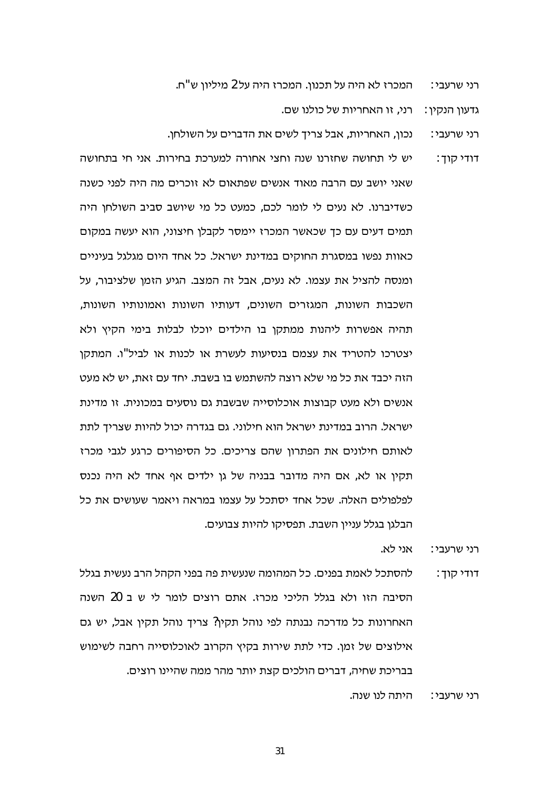המכרז לא היה על תכנון. המכרז היה על 2 מיליון ש"ח. רני שרעבי∶

גדעוו הנקיו: | רני, זו האחריות של כולנו שם.

- נכון, האחריות, אבל צריך לשים את הדברים על השולחן. רני שרעבי∶
- יש לי תחושה שחזרנו שנה וחצי אחורה למערכת בחירות. אני חי בתחושה דודי קוך : שאני יושב עם הרבה מאוד אנשים שפתאום לא זוכרים מה היה לפני כשנה כשדיברנו. לא נעים לי לומר לכם, כמעט כל מי שיושב סביב השולחו היה תמים דעים עם כך שכאשר המכרז יימסר לקבלן חיצוני, הוא יעשה במקום כאוות נפשו במסגרת החוקים במדינת ישראל. כל אחד היום מגלגל בעיניים ומנסה להציל את עצמו. לא נעים, אבל זה המצב. הגיע הזמן שלציבור, על השכבות השונות. המגזרים השונים, דעותיו השונות ואמונותיו השונות. תהיה אפשרות ליהנות ממתקן בו הילדים יוכלו לבלות בימי הקיץ ולא יצטרכו להטריד את עצמם בנסיעות לעשרת או לכנות או לביל"ו. המתקן הזה יכבד את כל מי שלא רוצה להשתמש בו בשבת. יחד עם זאת, יש לא מעט אנשים ולא מעט קבוצות אוכלוסייה שבשבת גם נוסעים במכונית. זו מדינת ישראל. הרוב במדינת ישראל הוא חילוני. גם בגדרה יכול להיות שצריך לתת לאותם חילונים את הפתרון שהם צריכים. כל הסיפורים כרגע לגבי מכרז תקין או לא, אם היה מדובר בבניה של גן ילדים אף אחד לא היה נכנס לפלפולים האלה. שכל אחד יסתכל על עצמו במראה ויאמר שעושים את כל הבלגן בגלל עניין השבת. תפסיקו להיות צבועים.

אני לא. רני שרעבי∶

להסתכל לאמת בפנים. כל המהומה שנעשית פה בפני הקהל הרב נעשית בגלל דודי קוד : הסיבה הזו ולא בגלל הליכי מכרז. אתם רוצים לומר לי ש ב 20 השנה האחרונות כל מדרכה נבנתה לפי נוהל תקין? צריך נוהל תקין אבל, יש גם אילוצים של זמן. כדי לתת שירות בקיץ הקרוב לאוכלוסייה רחבה לשימוש בבריכת שחיה, דברים הולכים קצת יותר מהר ממה שהיינו רוצים.

> היתה לנו שנה. רני שרעבי∶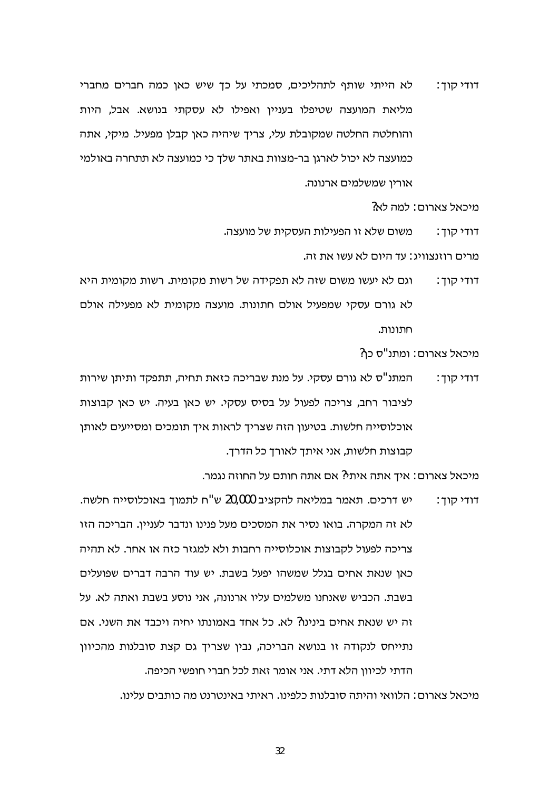לא הייתי שותף לתהליכים, סמכתי על כך שיש כאן כמה חברים מחברי דודי קוך : מליאת המועצה שטיפלו בענייו ואפילו לא עסקתי בנושא. אבל, היות והוחלטה החלטה שמקובלת עלי, צריך שיהיה כאן קבלן מפעיל. מיקי, אתה כמועצה לא יכול לארגן בר-מצוות באתר שלך כי כמועצה לא תתחרה באולמי אוריו שמשלמים ארנונה.

מיכאל צארום: למה לא?

משום שלא זו הפעילות העסקית של מועצה. דודי קוד :

מרים רוזוצווינ∸ עד היום לא עשו את זה

וגם לא יעשו משום שזה לא תפקידה של רשות מקומית. רשות מקומית היא דודי קוך : לא גורם עסקי שמפעיל אולם חתונות. מועצה מקומית לא מפעילה אולם חתונות.

מיכאל צארום: ומתנ"ס כו?

המתנ"ס לא גורם עסקי. על מנת שבריכה כזאת תחיה, תתפקד ותיתן שירות דודי קוד∶ לציבור רחב, צריכה לפעול על בסיס עסקי. יש כאן בעיה. יש כאן קבוצות אוכלוסייה חלשות. בטיעון הזה שצריך לראות איך תומכים ומסייעים לאותן קבוצות חלשות, אני איתך לאורך כל הדרך.

מיכאל צארום: איך אתה איתי? אם אתה חותם על החוזה נגמר.

יש דרכים. תאמר במליאה להקציב 20,000 ש"ח לתמוך באוכלוסייה חלשה. דודי קוך : לא זה המקרה. בואו נסיר את המסכים מעל פנינו ונדבר לעניין. הבריכה הזו צריכה לפעול לקבוצות אוכלוסייה רחבות ולא למגזר כזה או אחר. לא תהיה כאן שנאת אחים בגלל שמשהו יפעל בשבת. יש עוד הרבה דברים שפועלים בשבת. הכביש שאנחנו משלמים עליו ארנונה, אני נוסע בשבת ואתה לא. על זה יש שנאת אחים בינינו? לא. כל אחד באמונתו יחיה ויכבד את השני. אם נתייחס לנקודה זו בנושא הבריכה, נבין שצריך גם קצת סובלנות מהכיוון הדתי לכיוון הלא דתי. אני אומר זאת לכל חברי חופשי הכיפה.

מיכאל צארום : הלוואי והיתה סובלנות כלפינו. ראיתי באינטרנט מה כותבים עלינו.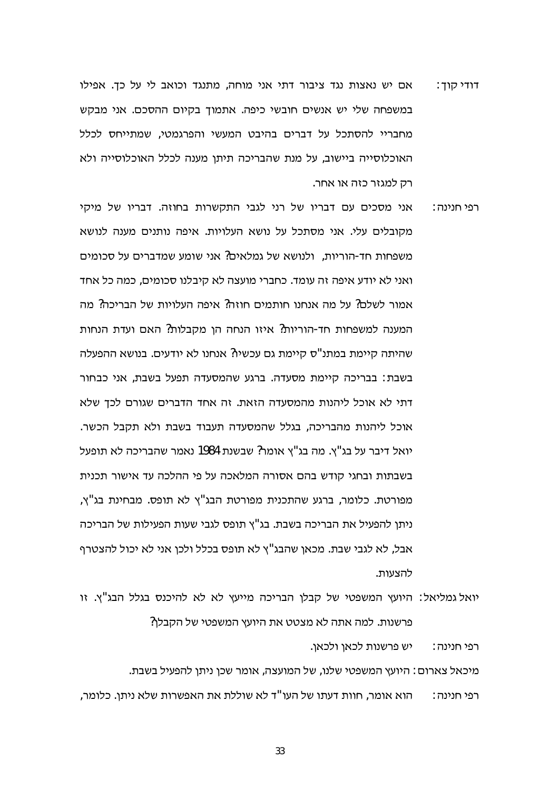- אם יש נאצות נגד ציבור דתי אני מוחה, מתנגד וכואב לי על כך. אפילו דודי קוד : במשפחה שלי יש אנשים חובשי כיפה. אתמוד בקיום ההסכם. אני מבקש מחבריי להסתכל על דברים בהיבט המעשי והפרגמטי, שמתייחס לכלל האוכלוסייה ביישוב, על מנת שהבריכה תיתן מענה לכלל האוכלוסייה ולא רק למגזר כזה או אחר.
- אני מסכים עם דבריו של רני לגבי התקשרות בחוזה. דבריו של מיקי רפי חנינה : מקובלים עלי. אני מסתכל על נושא העלויות. איפה נותנים מענה לנושא משפחות חד-הוריות, ולנושא של גמלאים? אני שומע שמדברים על סכומים ואני לא יודע איפה זה עומד. כחברי מועצה לא קיבלנו סכומים, כמה כל אחד אמור לשלם? על מה אנחנו חותמים חוזה? איפה העלויות של הבריכה? מה המענה למשפחות חד-הוריות? איזו הנחה הו מקבלות? האם ועדת הנחות שהיתה קיימת במתנ"ס קיימת גם עכשיו? אנחנו לא יודעים. בנושא ההפעלה בשבת: בבריכה קיימת מסעדה. ברגע שהמסעדה תפעל בשבת, אני כבחור דתי לא אוכל ליהנות מהמסעדה הזאת. זה אחד הדברים שגורם לכך שלא אוכל ליהנות מהבריכה, בגלל שהמסעדה תעבוד בשבת ולא תקבל הכשר. יואל דיבר על בג"ץ. מה בג"ץ אומר? שבשנת 1984 נאמר שהבריכה לא תופעל בשבתות ובחגי קודש בהם אסורה המלאכה על פי ההלכה עד אישור תכנית מפורטת. כלומר, ברגע שהתכנית מפורטת הבג"ץ לא תופס. מבחינת בג"ץ, ניתן להפעיל את הבריכה בשבת. בג"ץ תופס לגבי שעות הפעילות של הבריכה אבל, לא לגבי שבת. מכאן שהבג"ץ לא תופס בכלל ולכן אני לא יכול להצטרף להצעות.

יואל גמליאל: היועץ המשפטי של קבלן הבריכה מייעץ לא לא להיכנס בגלל הבג"ץ. זו פרשנות. למה אתה לא מצטט את היועץ המשפטי של הקבלן?

> יש פרשנות לכאו ולכאו. רפי חנינה :

מיכאל צארום: היועץ המשפטי שלנו, של המועצה, אומר שכן ניתן להפעיל בשבת. הוא אומר, חוות דעתו של העו"ד לא שוללת את האפשרות שלא ניתן. כלומר, רפי חנינה :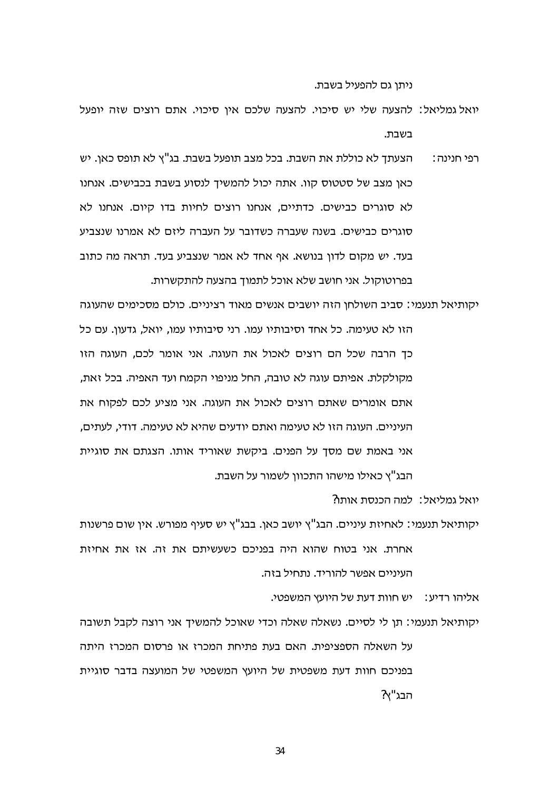ניתן גם להפעיל בשבת.

- יואל גמליאל: להצעה שלי יש סיכוי, להצעה שלכם איו סיכוי, אתם רוצים שזה יופעל בשבת.
- הצעתך לא כוללת את השבת. בכל מצב תופעל בשבת. בג"ץ לא תופס כאן. יש רפי חנינה : כאן מצב של סטטוס קוו. אתה יכול להמשיך לנסוע בשבת בכבישים. אנחנו לא סוגרים כבישים. כדתיים, אנחנו רוצים לחיות בדו קיום. אנחנו לא סוגרים כבישים. בשנה שעברה כשדובר על העברה ליזם לא אמרנו שנצביע בעד. יש מקום לדון בנושא. אף אחד לא אמר שנצביע בעד. תראה מה כתוב בפרוטוקול. אני חושב שלא אוכל לתמוך בהצעה להתקשרות.
- יקותיאל תנעמי: סביב השולחו הזה יושבים אנשים מאוד רציניים. כולם מסכימים שהעוגה הזו לא טעימה. כל אחד וסיבותיו עמו. רני סיבותיו עמו, יואל, גדעון. עם כל כך הרבה שכל הם רוצים לאכול את העוגה. אני אומר לכם, העוגה הזו מקולקלת. אפיתם עוגה לא טובה, החל מניפוי הקמח ועד האפיה. בכל זאת, אתם אומרים שאתם רוצים לאכול את העוגה. אני מציע לכם לפקוח את העיניים. העוגה הזו לא טעימה ואתם יודעים שהיא לא טעימה. דודי. לעתים. אני באמת שם מסך על הפנים. ביקשת שאוריד אותו. הצגתם את סוגיית הבג"ץ כאילו מישהו התכוון לשמור על השבת.

יואל גמליאל: למה הכנסת אותו?

יקותיאל תנעמי∶ לאחיזת עיניים. הבג"ץ יושב כאן. בבג"ץ יש סעיף מפורש. אין שום פרשנות אחרת. אני בטוח שהוא היה בפניכם כשעשיתם את זה. אז את אחיזת העיניים אפשר להוריד. נתחיל בזה.

אליהו רדיע∶\_ יש חוות דעת של היועץ המשפטי.

יקותיאל תנעמי: תן לי לסיים. נשאלה שאלה וכדי שאוכל להמשיך אני רוצה לקבל תשובה על השאלה הספציפית. האם בעת פתיחת המכרז או פרסום המכרז היתה בפניכם חוות דעת משפטית של היועץ המשפטי של המועצה בדבר סוגיית הבג"ץ?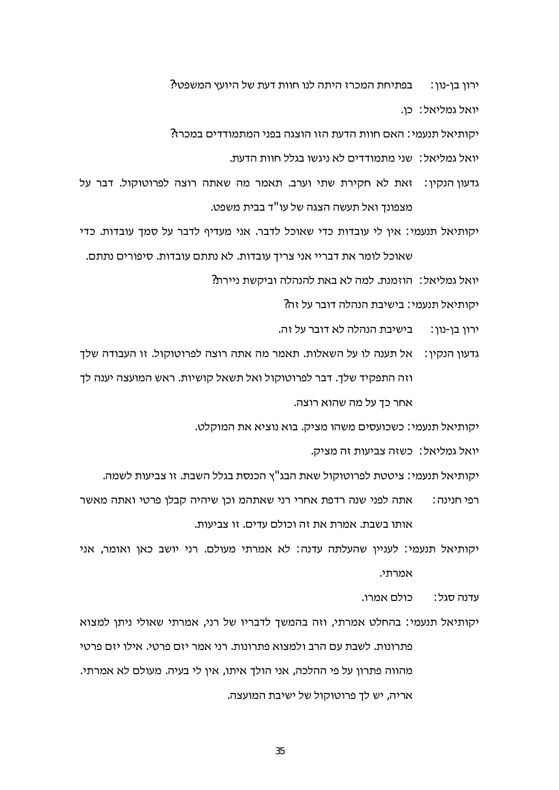ירון בן-נון: נבתיחת המכרז היתה לנו חוות דעת של היועץ המשפטי? יואל גמליאל: כו.

יקותיאל תנעמי: האם חוות הדעת הזו הוצגה בפני המתמודדים במכרז?

יואל גמליאל∶\_שני מתמודדים לא ניגשו בגלל חוות הדעת.\_

- גדעון הנקין: זאת לא חקירת שתי וערב. תאמר מה שאתה רוצה לפרוטוקול. דבר על מצפונך ואל תעשה הצגה של עו"ד בבית משפט.
- יקותיאל תנעמי: אין לי עובדות כדי שאוכל לדבר. אני מעדיף לדבר על סמך עובדות. כדי שאוכל לומר את דבריי אני צריך עובדות. לא נתתם עובדות. סיפורים נתתם.

יואל גמליאל: הוזמנת. למה לא באת להנהלה וביקשת ניירת?

יקותיאל תנעמי∶ בישיבת הנהלה דובר על זה?

בישיבת הנהלה לא דובר על זה. ירוו בו-נוו∶

גדעון הנקין: אל תענה לו על השאלות. תאמר מה אתה רוצה לפרוטוקול. זו העבודה שלך וזה התפקיד שלך. דבר לפרוטוקול ואל תשאל קושיות. ראש המועצה יענה לך

אחר כך על מה שהוא רוצה.

יקותיאל תנעמי: כשכועסים משהו מציק. בוא נוציא את המוקלט.

יואל גמליאל: כשזה צביעות זה מציק.

יקותיאל תנעמי: ציטטת לפרוטוקול שאת הבג"ץ הכנסת בגלל השבת. זו צביעות לשמה.

אתה לפני שנה רדפת אחרי רני שאתהמ וכן שיהיה קבלן פרטי ואתה מאשר רפי חנינה∶ אותו בשבת. אמרת את זה וכולם עדים. זו צביעות.

יקותיאל תנעמי: לעניין שהעלתה עדנה: לא אמרתי מעולם. רני יושב כאן ואומר, אני אמרתי.

> כולם אמרו. עדנה סגל∶

יקותיאל תנעמי: בהחלט אמרתי, וזה בהמשך לדבריו של רני, אמרתי שאולי ניתן למצוא פתרונות. לשבת עם הרב ולמצוא פתרונות. רני אמר יזם פרטי. אילו יזם פרטי מהווה פתרון על פי ההלכה, אני הולך איתו, אין לי בעיה. מעולם לא אמרתי. אריה, יש לך פרוטוקול של ישיבת המועצה.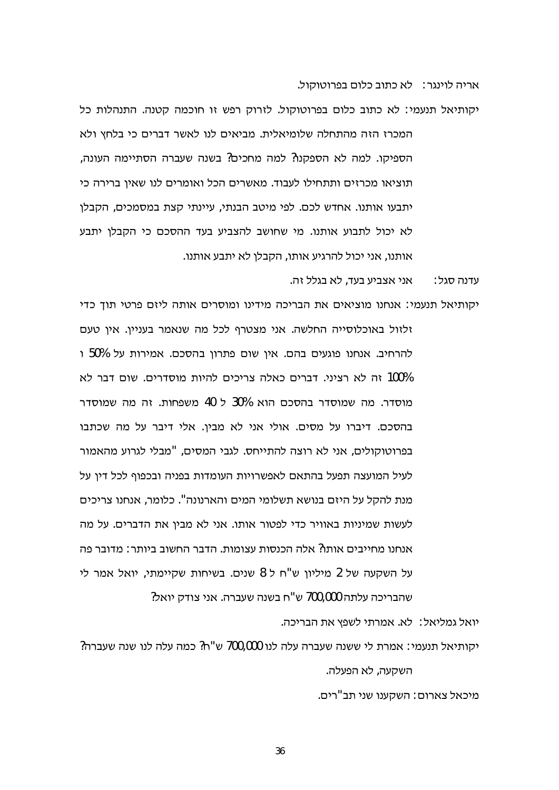אריה לוינגר: לא כתוב כלום בפרוטוקול.

יקותיאל תנעמי: לא כתוב כלום בפרוטוקול. לזרוק רפש זו חוכמה קטנה. התנהלות כל המכרז הזה מהתחלה שלומיאלית. מביאים לנו לאשר דברים כי בלחץ ולא הספיקו. למה לא הספקנו? למה מחכים? בשנה שעברה הסתיימה העונה, תוציאו מכרזים ותתחילו לעבוד. מאשרים הכל ואומרים לנו שאין ברירה כי יתבעו אותנו. אחדש לכם. לפי מיטב הבנתי, עיינתי קצת במסמכים, הקבלו לא יכול לתבוע אותנו. מי שחושב להצביע בעד ההסכם כי הקבלן יתבע אותנו, אני יכול להרגיע אותו, הקבלן לא יתבע אותנו.

> אני אצביע בעד, לא בגלל זה. עדנה סגל∶

יקותיאל תנעמי: אנחנו מוציאים את הבריכה מידינו ומוסרים אותה ליזם פרטי תוך כדי זלזול באוכלוסייה החלשה. אני מצטרף לכל מה שנאמר בעניין. אין טעם להרחיב. אנחנו פוגעים בהם. אין שום פתרון בהסכם. אמירות על 50% ו 100% זה לא רציני. דברים כאלה צריכים להיות מוסדרים. שום דבר לא מוסדר. מה שמוסדר בהסכם הוא 30% ל 40 משפחות. זה מה שמוסדר בהסכם. דיברו על מסים. אולי אני לא מבין. אלי דיבר על מה שכתבו בפרוטוקולים, אני לא רוצה להתייחס. לגבי המסים, "מבלי לגרוע מהאמור לעיל המועצה תפעל בהתאם לאפשרויות העומדות בפניה ובכפוף לכל דין על מנת להקל על היזם בנושא תשלומי המים והארנונה". כלומר, אנחנו צריכים לעשות שמיניות באוויר כדי לפטור אותו. אני לא מבין את הדברים. על מה אנחנו מחייבים אותו? אלה הכנסות עצומות. הדבר החשוב ביותר: מדובר פה על השקעה של 2 מיליון ש"ח ל 8 שנים. בשיחות שקיימתי, יואל אמר לי שהבריכה עלתה 700,000 ש"ח בשנה שעברה. אני צודק יואל?

יואל גמליאל: לא. אמרתי לשפץ את הבריכה.

יקותיאל תנעמי: אמרת לי ששנה שעברה עלה לנו 700,000 ש"ח? כמה עלה לנו שנה שעברה? השקעה, לא הפעלה.

מיכאל צארום∶ השקענו שני תב"רים.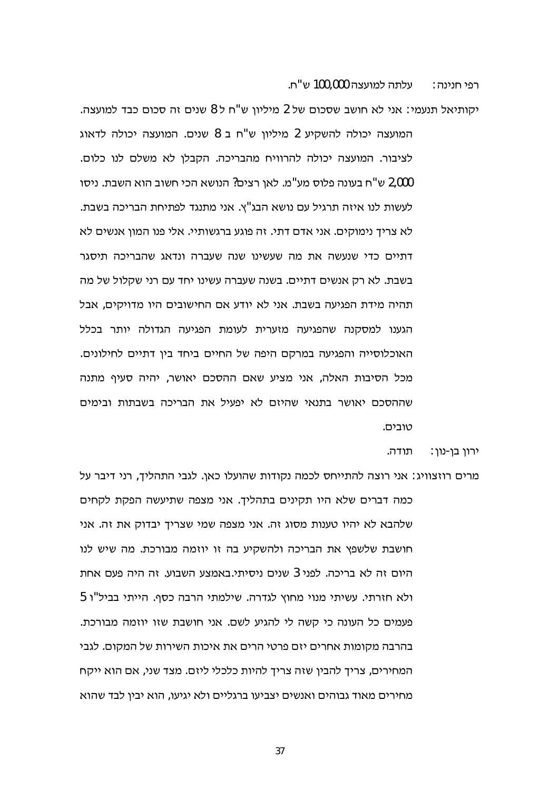עלתה למועצה 100.000 ש"ח. רפי חנינה :

יקותיאל תנעמי: אני לא חושב שסכום של 2 מיליוו ש"ח ל 8 שנים זה סכום כבד למועצה. המועצה יכולה להשקיע 2 מיליון ש"ח ב 8 שנים. המועצה יכולה לדאוג לציבור. המועצה יכולה להרוויח מהבריכה. הקבלן לא משלם לנו כלום. 2,000 ש"ח בעונה פלוס מע"מ. לאן רצים? הנושא הכי חשוב הוא השבת. ניסו לעשות לנו איזה תרגיל עם נושא הבג"ץ. אני מתנגד לפתיחת הבריכה בשבת. לא צריך נימוקים. אני אדם דתי. זה פוגע ברגשותיי. אלי פנו המון אנשים לא דתיים כדי שנעשה את מה שעשינו שנה שעברה ונדאג שהבריכה תיסגר בשבת. לא רק אנשים דתיים. בשנה שעברה עשינו יחד עם רני שקלול של מה תהיה מידת הפגיעה בשבת. אני לא יודע אם החישובים היו מדויקים, אבל הגענו למסקנה שהפגיעה מזערית לעומת הפגיעה הגדולה יותר בכלל האוכלוסייה והפגיעה במרקם היפה של החיים ביחד בין דתיים לחילונים. מכל הסיבות האלה, אני מציע שאם ההסכם יאושר, יהיה סעיף מתנה שההסכם יאושר בתנאי שהיזם לא יפעיל את הבריכה בשבתות ובימים טובים.

> תודה. ∶ירון בן-נון

מרים רוזצוויג: אני רוצה להתייחס לכמה נקודות שהועלו כאן. לגבי התהליך, רני דיבר על כמה דברים שלא היו תקינים בתהליך. אני מצפה שתיעשה הפקת לקחים שלהבא לא יהיו טענות מסוג זה. אני מצפה שמי שצריך יבדוק את זה. אני חושבת שלשפץ את הבריכה ולהשקיע בה זו יוזמה מבורכת. מה שיש לנו היום זה לא בריכה. לפני 3 שנים ניסיתי.באמצע השבוע. זה היה פעם אחת ולא חזרתי. עשיתי מנוי מחוץ לגדרה. שילמתי הרבה כסף. הייתי בביל"ו 5 פעמים כל העונה כי קשה לי להגיע לשם. אני חושבת שזו יוזמה מבורכת. בהרבה מקומות אחרים יזם פרטי הרים את איכות השירות של המקום. לגבי המחירים, צריך להבין שזה צריך להיות כלכלי ליזם. מצד שני, אם הוא ייקח מחירים מאוד גבוהים ואנשים יצביעו ברגליים ולא יגיעו, הוא יבין לבד שהוא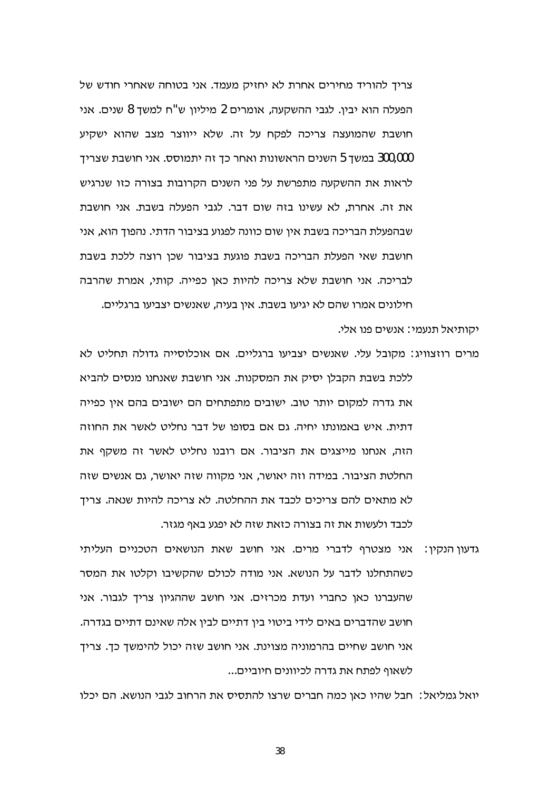צריך להוריד מחירים אחרת לא יחזיק מעמד. אני בטוחה שאחרי חודש של הפעלה הוא יביו. לגבי ההשקעה, אומרים 2 מיליוו ש"ח למשד 8 שנים. אני חושבת שהמועצה צריכה לפקח על זה. שלא ייווצר מצב שהוא ישקיע 300,000 במשך 5 השנים הראשונות ואחר כך זה יתמוסס. אני חושבת שצריך לראות את ההשקעה מתפרשת על פני השנים הקרובות בצורה כזו שנרגיש את זה. אחרת, לא עשינו בזה שום דבר. לגבי הפעלה בשבת. אני חושבת שבהפעלת הבריכה בשבת אין שום כוונה לפגוע בציבור הדתי. נהפוך הוא, אני חושבת שאי הפעלת הבריכה בשבת פוגעת בציבור שכן רוצה ללכת בשבת לבריכה. אני חושבת שלא צריכה להיות כאן כפייה. קותי, אמרת שהרבה חילונים אמרו שהם לא יגיעו בשבת. איו בעיה, שאנשים יצביעו ברגליים.

מרים רוזצוויג: מקובל עלי. שאנשים יצביעו ברגליים. אם אוכלוסייה גדולה תחליט לא ללכת בשבת הקבלן יסיק את המסקנות. אני חושבת שאנחנו מנסים להביא את גדרה למקום יותר טוב. ישובים מתפתחים הם ישובים בהם אין כפייה דתית. איש באמונתו יחיה. גם אם בסופו של דבר נחליט לאשר את החוזה הזה, אנחנו מייצגים את הציבור. אם רובנו נחליט לאשר זה משקף את החלטת הציבור. במידה וזה יאושר, אני מקווה שזה יאושר, גם אנשים שזה לא מתאים להם צריכים לכבד את ההחלטה. לא צריכה להיות שנאה. צריך

יקותיאל תנעמי∶ אנשים פנו אלי.

גדעון הנקין: אני מצטרף לדברי מרים. אני חושב שאת הנושאים הטכניים העליתי כשהתחלנו לדבר על הנושא. אני מודה לכולם שהקשיבו וקלטו את המסר שהעברנו כאן כחברי ועדת מכרזים. אני חושב שההגיון צריך לגבור. אני חושב שהדברים באים לידי ביטוי בין דתיים לבין אלה שאינם דתיים בגדרה. אני חושב שחיים בהרמוניה מצוינת. אני חושב שזה יכול להימשך כך. צריך לשאוף לפתח את גדרה לכיוונים חיוביים...

לכבד ולעשות את זה בצורה כזאת שזה לא יפגע באף מגזר.

יואל גמליאל: חבל שהיו כאן כמה חברים שרצו להתסיס את הרחוב לגבי הנושא. הם יכלו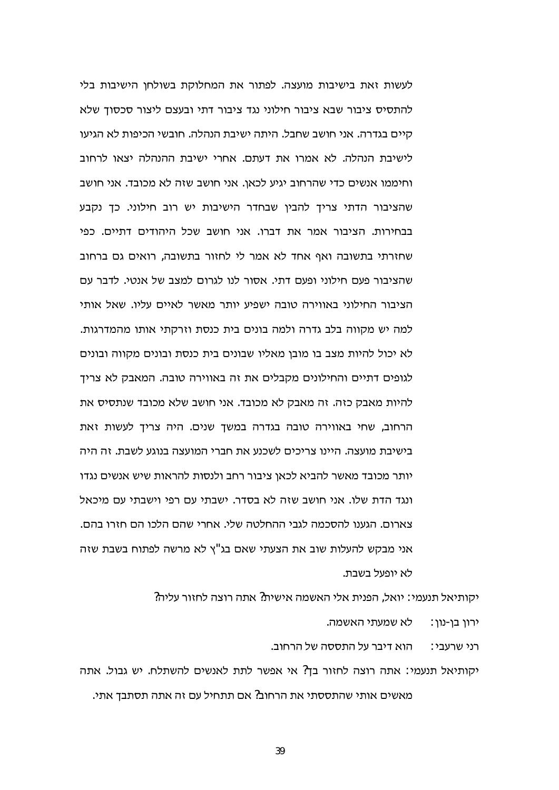לעשות זאת בישיבות מועצה. לפתור את המחלוקת בשולחן הישיבות בלי להתסיס ציבור שבא ציבור חילוני נגד ציבור דתי ובעצם ליצור סכסוד שלא קיים בגדרה. אני חושב שחבל. היתה ישיבת הנהלה. חובשי הכיפות לא הגיעו לישיבת הנהלה. לא אמרו את דעתם, אחרי ישיבת ההנהלה יצאו לרחוב וחיממו אנשים כדי שהרחוב יגיע לכאן. אני חושב שזה לא מכובד. אני חושב שהציבור הדתי צריך להבין שבחדר הישיבות יש רוב חילוני. כך נקבע בבחירות. הציבור אמר את דברו. אני חושב שכל היהודים דתיים. כפי שחזרתי בתשובה ואף אחד לא אמר לי לחזור בתשובה, רואים גם ברחוב שהציבור פעם חילוני ופעם דתי. אסור לנו לגרום למצב של אנטי. לדבר עם הציבור החילוני באווירה טובה ישפיע יותר מאשר לאיים עליו. שאל אותי למה יש מקווה בלב גדרה ולמה בונים בית כנסת וזרקתי אותו מהמדרגות. לא יכול להיות מצב בו מובן מאליו שבונים בית כנסת ובונים מקווה ובונים לגופים דתיים והחילונים מקבלים את זה באווירה טובה. המאבק לא צריך להיות מאבק כזה. זה מאבק לא מכובד. אני חושב שלא מכובד שנתסיס את הרחוב, שחי באווירה טובה בגדרה במשך שנים. היה צריך לעשות זאת בישיבת מועצה. היינו צריכים לשכנע את חברי המועצה בנוגע לשבת. זה היה יותר מכובד מאשר להביא לכאן ציבור רחב ולנסות להראות שיש אנשים נגדו ונגד הדת שלו. אני חושב שזה לא בסדר. ישבתי עם רפי וישבתי עם מיכאל צארום. הגענו להסכמה לגבי ההחלטה שלי. אחרי שהם הלכו הם חזרו בהם. אני מבקש להעלות שוב את הצעתי שאם בג"ץ לא מרשה לפתוח בשבת שזה לא יופעל בשבת.

יקותיאל תנעמי∶ יואל, הפנית אלי האשמה אישית? אתה רוצה לחזור עליה?

לא שמעתי האשמה. ירון בן-נון:

הוא דיבר על התססה של הרחוב. רני שרעבי∶

יקותיאל תנעמי: אתה רוצה לחזור בך? אי אפשר לתת לאנשים להשתלח. יש גבול. אתה מאשים אותי שהתססתי את הרחוב? אם תתחיל עם זה אתה תסתבך אתי.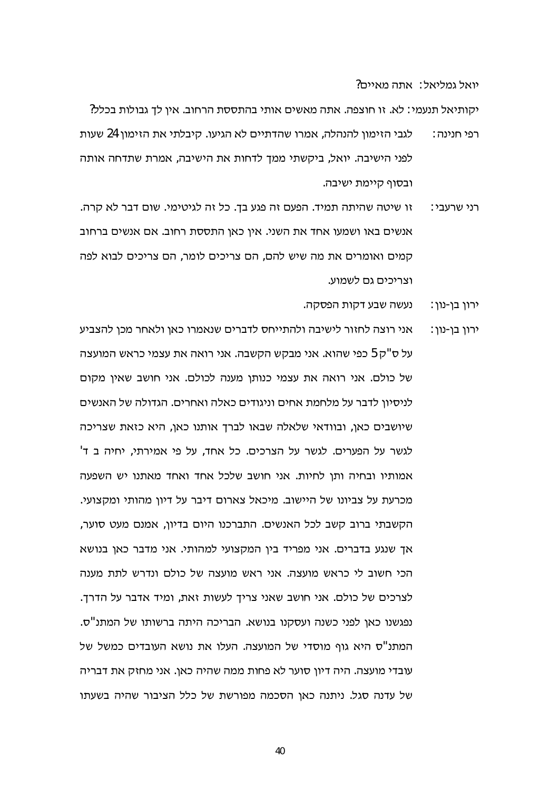יואל גמליאל: אתה מאיים?

יקותיאל תנעמי: לא. זו חוצפה. אתה מאשים אותי בהתססת הרחוב. אין לך גבולות בכלל?

- לגבי הזימון להנהלה, אמרו שהדתיים לא הגיעו. קיבלתי את הזימון 24 שעות רפי חנינה∶ לפני הישיבה. יואל, ביקשתי ממך לדחות את הישיבה, אמרת שתדחה אותה ובסוף קיימת ישיבה.
- זו שיטה שהיתה תמיד. הפעם זה פגע בך. כל זה לגיטימי. שום דבר לא קרה. רני שרעבי∶ אנשים באו ושמעו אחד את השני. אין כאן התססת רחוב. אם אנשים ברחוב קמים ואומרים את מה שיש להם, הם צריכים לומר, הם צריכים לבוא לפה וצריכים גם לשמוע.
	- נעשה שבע דקות הפסקה. ירון בן-נון:
- אני רוצה לחזור לישיבה ולהתייחס לדברים שנאמרו כאן ולאחר מכן להצביע ירון בן-נון: על ס"ק 5 כפי שהוא. אני מבקש הקשבה. אני רואה את עצמי כראש המועצה של כולם. אני רואה את עצמי כנותן מענה לכולם. אני חושב שאין מקום לניסיון לדבר על מלחמת אחים וניגודים כאלה ואחרים. הגדולה של האנשים שיושבים כאן, ובוודאי שלאלה שבאו לברד אותנו כאן, היא כזאת שצריכה לגשר על הפערים. לגשר על הצרכים. כל אחד, על פי אמירתי, יחיה ב ד' אמותיו ובחיה ותן לחיות. אני חושב שלכל אחד ואחד מאתנו יש השפעה מכרעת על צביונו של היישוב. מיכאל צארום דיבר על דיון מהותי ומקצועי. הקשבתי ברוב קשב לכל האנשים. התברכנו היום בדיון, אמנם מעט סוער, אך שנגע בדברים. אני מפריד בין המקצועי למהותי. אני מדבר כאן בנושא הכי חשוב לי כראש מועצה. אני ראש מועצה של כולם ונדרש לתת מענה לצרכים של כולם. אני חושב שאני צריך לעשות זאת, ומיד אדבר על הדרך. נפגשנו כאן לפני כשנה ועסקנו בנושא. הבריכה היתה ברשותו של המתנ"ס. המתנ"ס היא גוף מוסדי של המועצה. העלו את נושא העובדים כמשל של עובדי מועצה. היה דיון סוער לא פחות ממה שהיה כאן. אני מחזק את דבריה של עדנה סגל. ניתנה כאן הסכמה מפורשת של כלל הציבור שהיה בשעתו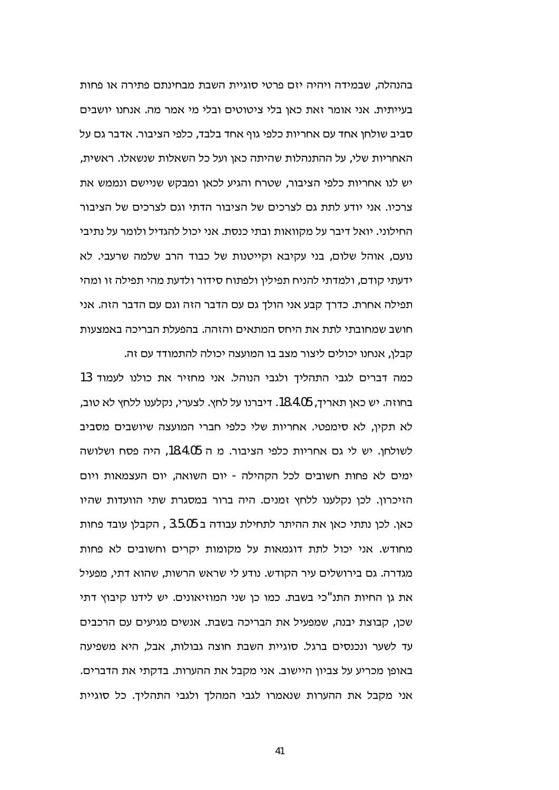בהנהלה. שבמידה ויהיה יזם פרטי סוגיית השבת מבחינתם פתירה או פחות בעייתית. אני אומר זאת כאו בלי ציטוטים ובלי מי אמר מה. אנחנו יושבים סביב שולחן אחד עם אחריות כלפי גוף אחד בלבד, כלפי הציבור. אדבר גם על האחריות שלי, על ההתנהלות שהיתה כאן ועל כל השאלות שנשאלו. ראשית, יש לנו אחריות כלפי הציבור, שטרח והגיע לכאן ומבקש שניישם ונממש את צרכיו. אני יודע לתת גם לצרכים של הציבור הדתי וגם לצרכים של הציבור החילוני. יואל דיבר על מקוואות ובתי כנסת. אני יכול להגדיל ולומר על נתיבי נועם, אוהל שלום, בני עקיבא וקייטנות של כבוד הרב שלמה שרעבי. לא ידעתי קודם, ולמדתי להניח תפילין ולפתוח סידור ולדעת מהי תפילה זו ומהי תפילה אחרת. כדרך קבע אני הולך גם עם הדבר הזה וגם עם הדבר הזה. אני חושב שמחובתי לתת את היחס המתאים והזהה. בהפעלת הבריכה באמצעות קבלן, אנחנו יכולים ליצור מצב בו המועצה יכולה להתמודד עם זה.

כמה דברים לגבי התהליך ולגבי הנוהל. אני מחזיר את כולנו לעמוד 13 בחוזה. יש כאן תאריך, 18.4.05. דיברנו על לחץ. לצערי, נקלענו ללחץ לא טוב, לא תקין, לא סימפטי. אחריות שלי כלפי חברי המועצה שיושבים מסביב לשולחן. יש לי גם אחריות כלפי הציבור. מ ה 18.4.05, היה פסח ושלושה ימים לא פחות חשובים לכל הקהילה - יום השואה, יום העצמאות ויום הזיכרון. לכן נקלענו ללחץ זמנים. היה ברור במסגרת שתי הוועדות שהיו כאן. לכן נתתי כאן את ההיתר לתחילת עבודה ב 3.5.05 , הקבלן עובד פחות מחודש. אני יכול לתת דוגמאות על מקומות יקרים וחשובים לא פחות מגדרה. גם בירושלים עיר הקודש. נודע לי שראש הרשות, שהוא דתי, מפעיל את גן החיות התנ"כי בשבת. כמו כן שני המוזיאונים. יש לידנו קיבוץ דתי שכן, קבוצת יבנה, שמפעיל את הבריכה בשבת. אנשים מגיעים עם הרכבים עד לשער ונכנסים ברגל. סוגיית השבת חוצה גבולות, אבל, היא משפיעה באופן מכריע על צביון היישוב. אני מקבל את ההערות. בדקתי את הדברים. אני מקבל את ההערות שנאמרו לגבי המהלך ולגבי התהליך. כל סוגיית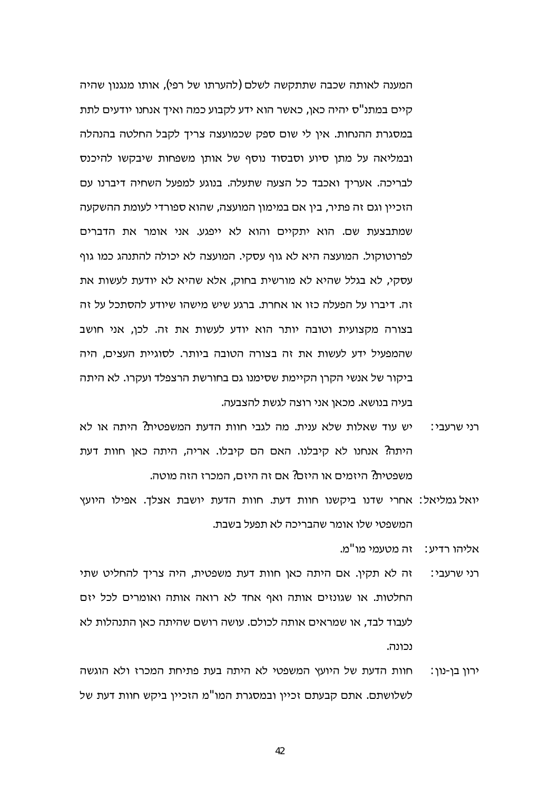המענה לאותה שכבה שתתקשה לשלם (להערתו של רפי), אותו מנגנון שהיה קיים במתנ"ס יהיה כאו. כאשר הוא ידע לקבוע כמה ואיד אנחנו יודעים לתת במסגרת ההנחות. אין לי שום ספק שכמועצה צריך לקבל החלטה בהנהלה ובמליאה על מתן סיוע וסבסוד נוסף של אותן משפחות שיבקשו להיכנס לבריכה. אעריך ואכבד כל הצעה שתעלה. בנוגע למפעל השחיה דיברנו עם הזכיין וגם זה פתיר, בין אם במימון המועצה, שהוא ספורדי לעומת ההשקעה שמתבצעת שם. הוא יתקיים והוא לא ייפגע. אני אומר את הדברים לפרוטוקול. המועצה היא לא גוף עסקי. המועצה לא יכולה להתנהג כמו גוף עסקי, לא בגלל שהיא לא מורשית בחוק, אלא שהיא לא יודעת לעשות את זה. דיברו על הפעלה כזו או אחרת. ברגע שיש מישהו שיודע להסתכל על זה בצורה מקצועית וטובה יותר הוא יודע לעשות את זה. לכן, אני חושב שהמפעיל ידע לעשות את זה בצורה הטובה ביותר. לסוגיית העצים, היה ביקור של אנשי הקרן הקיימת שסימנו גם בחורשת הרצפלד ועקרו. לא היתה בעיה בנושא. מכאן אני רוצה לגשת להצבעה.

- יש עוד שאלות שלא ענית. מה לגבי חוות הדעת המשפטית? היתה או לא רני שרעבי∶ היתה? אנחנו לא קיבלנו. האם הם קיבלו. אריה, היתה כאן חוות דעת משפטית? היזמים או היזם? אם זה היזם, המכרז הזה מוטה.
- יואל גמליאל: אחרי שדנו ביקשנו חוות דעת. חוות הדעת יושבת אצלך. אפילו היועץ המשפטי שלו אומר שהבריכה לא תפעל בשבת.
	- אליהו רדיע∶ זה מטעמי מו"מ.
- זה לא תקין. אם היתה כאן חוות דעת משפטית, היה צריך להחליט שתי רני שרעבי∶ החלטות. או שגונזים אותה ואף אחד לא רואה אותה ואומרים לכל יזם לעבוד לבד, או שמראים אותה לכולם. עושה רושם שהיתה כאן התנהלות לא נכונה.
- חוות הדעת של היועץ המשפטי לא היתה בעת פתיחת המכרז ולא הוגשה ירון בן-נון: לשלושתם. אתם קבעתם זכיין ובמסגרת המו"מ הזכיין ביקש חוות דעת של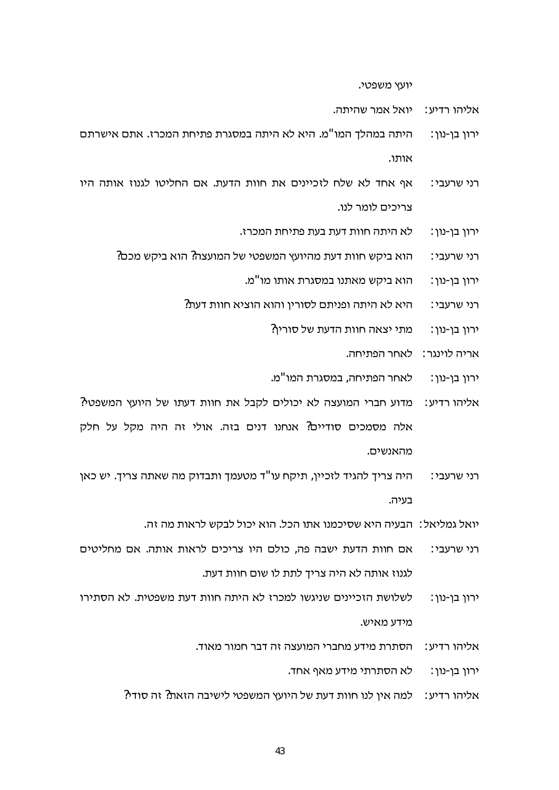יועץ משפטי.

אליהו רדיע∶ \_ יואל אמר שהיתה.

- היתה במהלך המו"מ. היא לא היתה במסגרת פתיחת המכרז. אתם אישרתם ירון בן-נון: אותו.
- אף אחד לא שלח לזכיינים את חוות הדעת. אם החליטו לגנוז אותה היו רני שרעבי: צריכים לומר לנו.
	- לא היתה חוות דעת בעת פתיחת המכרז. ירון בן-נון:
	- הוא ביקש חוות דעת מהיועץ המשפטי של המועצה? הוא ביקש מכם? רני שרעבי:
		- הוא ביקש מאתנו במסגרת אותו מו"מ. ירון בן-נון:
		- היא לא היתה ופניתם לסורין והוא הוציא חוות דעת? רני שרעבי∶
			- מתי יצאה חוות הדעת של סוריו? ירון בן-נון:
				- אריה לוינגר: לאחר הפתיחה.
			- לאחר הפתיחה, במסגרת המו"מ. ירון בן-נון:
- מדוע חברי המועצה לא יכולים לקבל את חוות דעתו של היועץ המשפטי? אליהו רדיע∶ אלה מסמכים סודיים? אנחנו דנים בזה. אולי זה היה מקל על חלק מהאנשים.
- היה צריך להגיד לזכיין, תיקח עו"ד מטעמך ותבדוק מה שאתה צריך. יש כאן רני שרעבי∶ בעיה.
	- יואל גמליאל∶ הבעיה היא שסיכמנו אתו הכל. הוא יכול לבקש לראות מה זה.
- אם חוות הדעת ישבה פה, כולם היו צריכים לראות אותה. אם מחליטים רני שרעבי∶ לגנוז אותה לא היה צריד לתת לו שום חוות דעת.
- לשלושת הזכיינים שניגשו למכרז לא היתה חוות דעת משפטית. לא הסתירו ירון בן-נון: מידע מאיש.
	- הסתרת מידע מחברי המועצה זה דבר חמור מאוד. אליהו רדיע∶

לא הסתרתי מידע מאף אחד. ירון בן-נון:

אליהו רדיע: למה אין לנו חוות דעת של היועץ המשפטי לישיבה הזאת? זה סודי?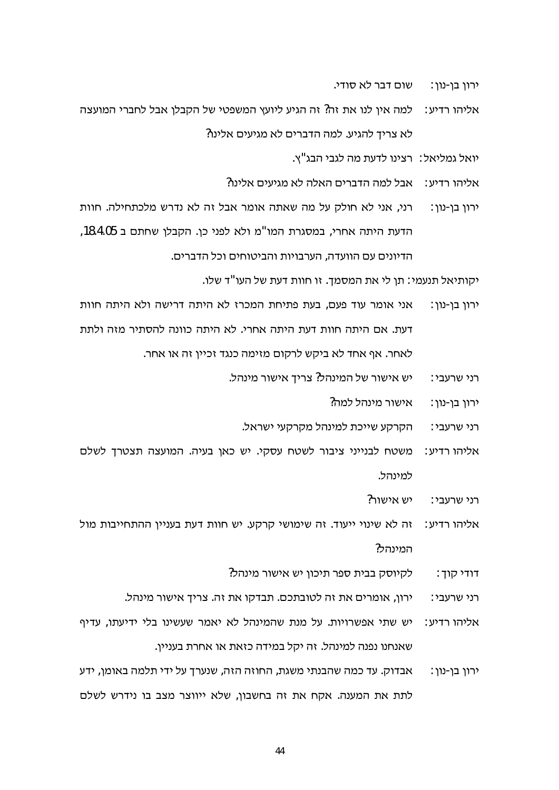- שום דבר לא סודי. ירון בן-נון:
- אליהו רדיע: למה אין לנו את זה? זה הגיע ליועץ המשפטי של הקבלן אבל לחברי המועצה לא צריך להגיע. למה הדברים לא מגיעים אלינו?
	- יואל גמליאל∶ רצינו לדעת מה לגבי הבג"צ.
	- $?$ אליהו רדיע $\cdot$  אבל למה הדברים האלה לא מגיעים אלינו
- רני, אני לא חולק על מה שאתה אומר אבל זה לא נדרש מלכתחילה. חוות ירון בן-נון : הדעת היתה אחרי, במסגרת המו"מ ולא לפני כן. הקבלן שחתם ב 18.4.05, הדיונים עם הוועדה. הערבויות והביטוחים וכל הדברים.

יקותיאל תנעמי: תן לי את המסמך. זו חוות דעת של העו"ד שלו.

- אני אומר עוד פעם. בעת פתיחת המכרז לא היתה דרישה ולא היתה חוות ירון בן-נון: דעת. אם היתה חוות דעת היתה אחרי. לא היתה כוונה להסתיר מזה ולתת לאחר. אף אחד לא ביקש לרקום מזימה כנגד זכיין זה או אחר.
	- יש אישור של המינהל? צריך אישור מינהל. רני שרעבי:
		- אישור מינהל למה? ∶ירון בן-נון
		- הקרקע שייכת למינהל מקרקעי ישראל. רני שרעבי∶
- משטח לבנייני ציבור לשטח עסקי. יש כאן בעיה. המועצה תצטרך לשלם : אליהו רדיע למינהל.
	- ?יש אישור רני שרעבי∶
- זה לא שינוי ייעוד. זה שימושי קרקע. יש חוות דעת בעניין ההתחייבות מול : אליהו רדיע המינהל?
	- לקיוסק בבית ספר תיכון יש אישור מינהל? דודי קוך:
	- ירון, אומרים את זה לטובתכם. תבדקו את זה. צריך אישור מינהל. רני שרעבי∶
- יש שתי אפשרויות. על מנת שהמינהל לא יאמר שעשינו בלי ידיעתו, עדיף : אליהו רדיע שאנחנו נפנה למינהל. זה יקל במידה כזאת או אחרת בעניין.
- אבדוק. עד כמה שהבנתי משגת, החוזה הזה, שנערך על ידי תלמה באומן, ידע ירון בן-נון: לתת את המענה. אקח את זה בחשבון, שלא ייווצר מצב בו נידרש לשלם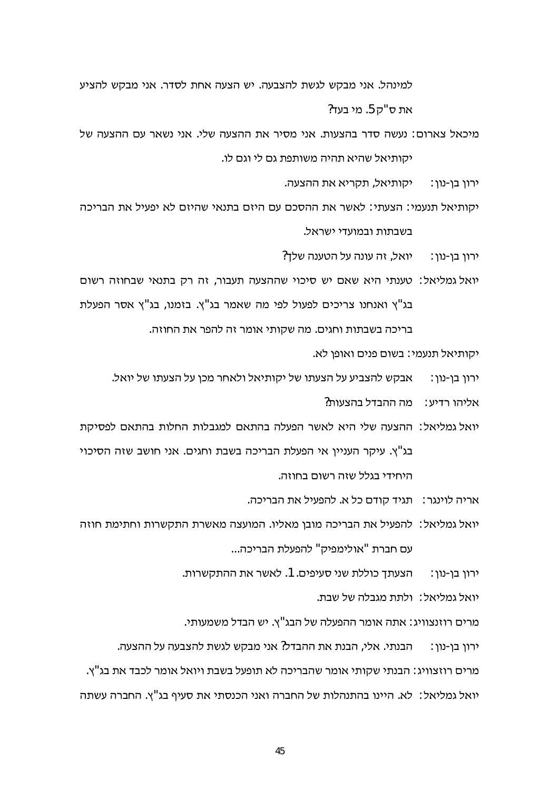למינהל. אני מבקש לגשת להצבעה. יש הצעה אחת לסדר. אני מבקש להציע את ס"ק 5. מי בעד?

מיכאל צארום: נעשה סדר בהצעות. אני מסיר את ההצעה שלי. אני נשאר עם ההצעה של יקותיאל שהיא תהיה משותפת גם לי וגם לו.

> יקותיאל, תקריא את ההצעה. ירוו בו-נוו∶

יקותיאל תנעמי: הצעתי: לאשר את ההסכם עם היזם בתנאי שהיזם לא יפעיל את הבריכה בשבתות ובמועדי ישראל.

ירוו בו-נוו∶ \_\_ יואל. זה עונה על הטענה שלד?

יואל גמליאל: טענתי היא שאם יש סיכוי שההצעה תעבור, זה רק בתנאי שבחוזה רשום בג"ץ ואנחנו צריכים לפעול לפי מה שאמר בג"ץ. בזמנו, בג"ץ אסר הפעלת בריכה בשבתות וחגים. מה שקותי אומר זה להפר את החוזה.

יקותיאל תנעמי: בשום פנים ואופן לא.

- - אליהו רדיע∶\_ מה ההבדל בהצעות?
- יואל גמליאל: ההצעה שלי היא לאשר הפעלה בהתאם למגבלות החלות בהתאם לפסיקת בג"ץ. עיקר העניין אי הפעלת הבריכה בשבת וחגים. אני חושב שזה הסיכוי היחידי בגלל שזה רשום בחוזה.
	- אריה לוינגר: תגיד קודם כל א. להפעיל את הבריכה.
- יואל גמליאל∶ להפעיל את הבריכה מובן מאליו. המועצה מאשרת התקשרות וחתימת חוזה עם חברת "אולימפיק" להפעלת הבריכה...
	- ירון בן-נון: הצעתך כוללת שני סעיפים. 1. לאשר את ההתקשרות.
		- יואל גמליאל∶ ולתת מגבלה של שבת.

מרים רוזנצוויג: אתה אומר ההפעלה של הבג"ץ. יש הבדל משמעותי.

הבנתי. אלי, הבנת את ההבדל? אני מבקש לגשת להצבעה על ההצעה. ירון בן-נון:

מרים רוזצוויג: הבנתי שקותי אומר שהבריכה לא תופעל בשבת ויואל אומר לכבד את בג"ץ.

יואל גמליאל: לא. היינו בהתנהלות של החברה ואני הכנסתי את סעיף בג"ץ. החברה עשתה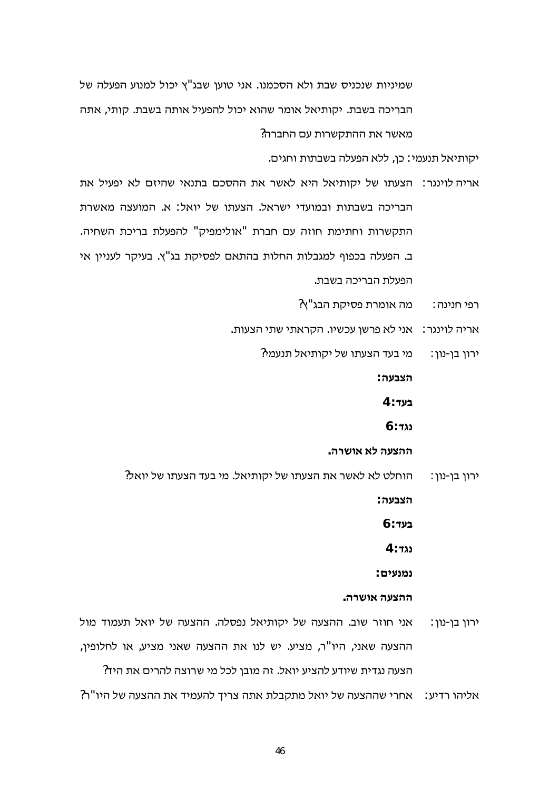שמיניות שנכניס שבת ולא הסכמנו. אני טוען שבג"ץ יכול למנוע הפעלה של הבריכה בשבת. יקותיאל אומר שהוא יכול להפעיל אותה בשבת. קותי, אתה מאשר את ההתקשרות עם החברה?

יקותיאל תנעמי: כן, ללא הפעלה בשבתות וחגים.

- אריה לוינגר: הצעתו של יקותיאל היא לאשר את ההסכם בתנאי שהיזם לא יפעיל את הבריכה בשבתות ובמועדי ישראל. הצעתו של יואל: א. המועצה מאשרת התקשרות וחתימת חוזה עם חברת "אולימפיק" להפעלת בריכת השחיה. ב. הפעלה בכפוף למגבלות החלות בהתאם לפסיקת בג"ץ. בעיקר לעניין אי הפעלת הבריכה בשבת.
	- מה אומרת פסיקת הבג"ץ? רפי חנינה :
	- אריה לוינגר: אני לא פרשן עכשיו. הקראתי שתי הצעות.
		- מי בעד הצעתו של יקותיאל תנעמי? ירון בן-נון:

הצבעה∶

4 : **בעד** 

 $6:722$ 

ההצעה לא אושרה.

הוחלט לא לאשר את הצעתו של יקותיאל. מי בעד הצעתו של יואל? ∶ירון בן-נון

∴הצבעה

 $6:$ בעד

4 ∶ גגד

נמנעים:

#### ההצעה אושרה.

אני חוזר שוב. ההצעה של יקותיאל נפסלה. ההצעה של יואל תעמוד מול ירון בן-נון: ההצעה שאני, היו"ר, מציע. יש לנו את ההצעה שאני מציע, או לחלופין, הצעה נגדית שיודע להציע יואל. זה מובן לכל מי שרוצה להרים את היד? אליהו רדיע: אחרי שההצעה של יואל מתקבלת אתה צריך להעמיד את ההצעה של היו"ר?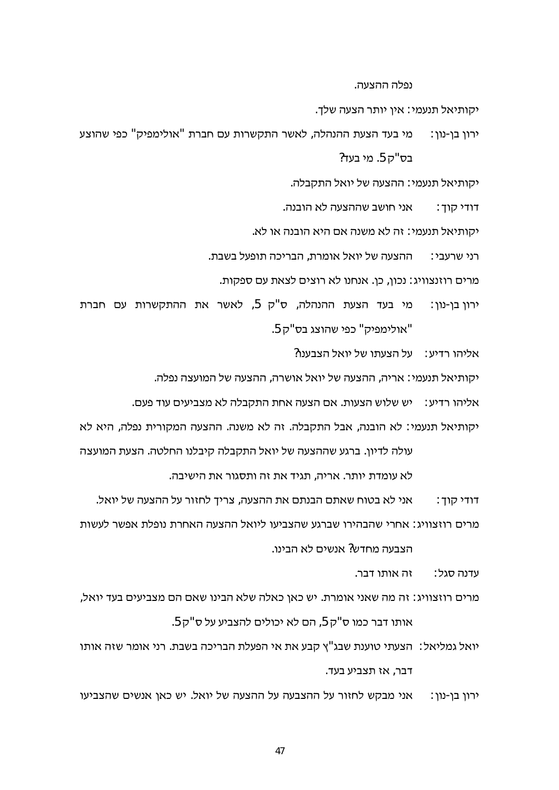נפלה ההצעה.

יקותיאל תנעמי∶ אין יותר הצעה שלך.

מי בעד הצעת ההנהלה, לאשר התקשרות עם חברת "אולימפיק" כפי שהוצע ירוו בו-נוו∶ בס"ק 5. מי בעד?

יקותיאל תנעמי: ההצעה של יואל התקבלה.

- אני חושב שההצעה לא הובנה. דודי קוד :
- יקותיאל תנעמי: זה לא משנה אם היא הובנה או לא.
- ההצעה של יואל אומרת, הבריכה תופעל בשבת. רני שרעבי∶
	- מרים רוזנצוויג: נכון, כן. אנחנו לא רוצים לצאת עם ספקות.
- מי בעד הצעת ההנהלה, ס"ק 5, לאשר את ההתקשרות עם חברת ירון בן-נון : "אולימפיק" כפי שהוצג בס"ק 5.

אליהו רדיע: על הצעתו של יואל הצבענו?

יקותיאל תנעמי: אריה, ההצעה של יואל אושרה, ההצעה של המועצה נפלה.

אליהו רדיע: יש שלוש הצעות. אם הצעה אחת התקבלה לא מצביעים עוד פעם.

יקותיאל תנעמי: לא הובנה, אבל התקבלה. זה לא משנה. ההצעה המקורית נפלה, היא לא עולה לדיון. ברגע שההצעה של יואל התקבלה קיבלנו החלטה. הצעת המועצה

לא עומדת יותר. אריה, תגיד את זה ותסגור את הישיבה.

- אני לא בטוח שאתם הבנתם את ההצעה, צריך לחזור על ההצעה של יואל. דודי קוך :
- מרים רוזצוויג∶ אחרי שהבהירו שברגע שהצביעו ליואל ההצעה האחרת נופלת אפשר לעשות

הצבעה מחדש? אנשים לא הבינו.

זה אותו דבר. עדנה סגל∶

- מרים רוזצוויג: זה מה שאני אומרת. יש כאן כאלה שלא הבינו שאם הם מצביעים בעד יואל, אותו דבר כמו ס"ק 5, הם לא יכולים להצביע על ס"ק 5.
- יואל גמליאל: הצעתי טוענת שבג"ץ קבע את אי הפעלת הבריכה בשבת. רני אומר שזה אותו דבר, אז תצביע בעד.
- ירון בן-נון: אני מבקש לחזור על ההצבעה על ההצעה של יואל. יש כאן אנשים שהצביעו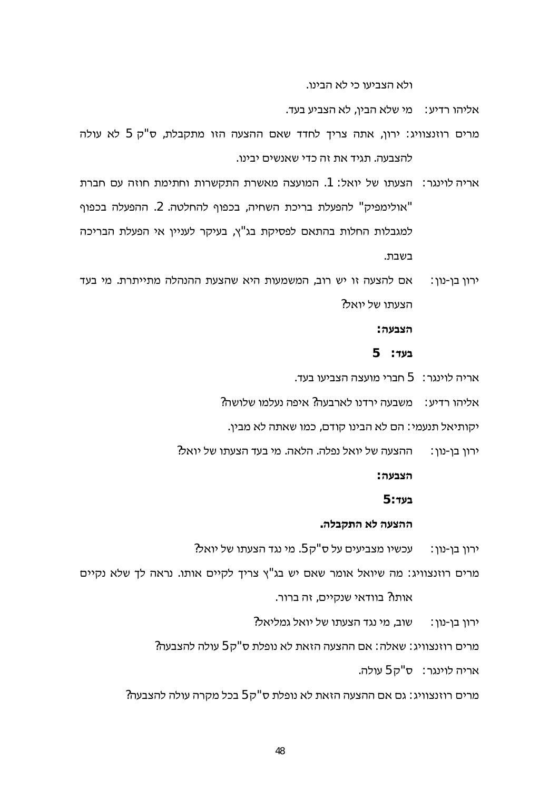ולא הצביעו כי לא הבינו.

אליהו רדיע∶ מי שלא הבין, לא הצביע בעד.

- מרים רוזנצוויג: ירון, אתה צריך לחדד שאם ההצעה הזו מתקבלת, ס"ק 5 לא עולה להצבעה. תגיד את זה כדי שאנשים יבינו.
- אריה לוינגר: הצעתו של יואל: 1. המועצה מאשרת התקשרות וחתימת חוזה עם חברת "אולימפיק" להפעלת בריכת השחיה, בכפוף להחלטה. 2. ההפעלה בכפוף למגבלות החלות בהתאם לפסיקת בג"ץ, בעיקר לעניין אי הפעלת הבריכה רעירת
- אם להצעה זו יש רוב, המשמעות היא שהצעת ההנהלה מתייתרת. מי בעד ירון בן-נון: הצעתו של יואל?

הצבעה∶

 $5 - 7$ בעד

- אריה לוינגר: 5 חברי מועצה הצביעו בעד.
- אליהו רדיע∶ משבעה ירדנו לארבעה? איפה נעלמו שלושה?
	- יקותיאל תנעמי∶ הם לא הבינו קודם, כמו שאתה לא מבין.
- ההצעה של יואל נפלה. הלאה. מי בעד הצעתו של יואל? ירון בן-נון:

הצבעה∶

 $5:$ בעד

#### ההצעה לא התקבלה.

עכשיו מצביעים על ס"ק 5. מי נגד הצעתו של יואל? ירון בן-נון :

מרים רוזנצוויג: מה שיואל אומר שאם יש בג"ץ צריך לקיים אותו. נראה לך שלא נקיים

אותו? בוודאי שנקיים, זה ברור.

שוב. מי נגד הצעתו של יואל גמליאל? ירון בן-נון:

מרים רוזנצוויג: שאלה: אם ההצעה הזאת לא נופלת ס"ק 5 עולה להצבעה?

אריה לוינגר: ס"ק 5 עולה.

מרים רוזנצוויג: גם אם ההצעה הזאת לא נופלת ס"ק 5 בכל מקרה עולה להצבעה?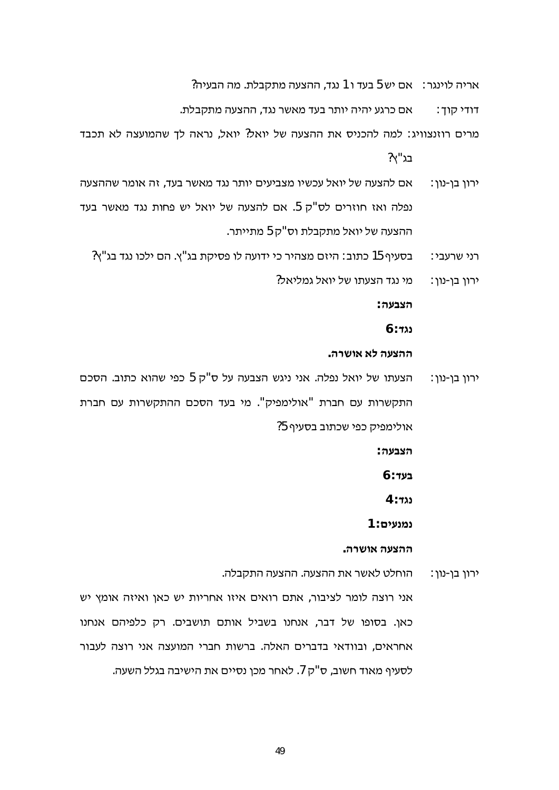אריה לוינגר: אם יש 5 בעד ו 1 נגד, ההצעה מתקבלת. מה הבעיה?

אם כרגע יהיה יותר בעד מאשר נגד, ההצעה מתקבלת. דודי קוד∶

מרים רוזנצוויג: למה להכניס את ההצעה של יואל? יואל, נראה לך שהמועצה לא תכבד ?בג"א

- אם להצעה של יואל עכשיו מצביעים יותר נגד מאשר בעד, זה אומר שההצעה ורון בן-נון: נפלה ואז חוזרים לס"ק 5. אם להצעה של יואל יש פחות נגד מאשר בעד ההצעה של יואל מתקבלת וס"ק 5 מתייתר.
	- בסעיף 15 כתוב: היזם מצהיר כי ידועה לו פסיקת בג"ץ. הם ילכו נגד בג"ץ? רני שרעבי∶
		- מי נגד הצעתו של יואל גמליאל? ירון בן-נון:

הצבעה∶

 $6:$  tab

#### ההצעה לא אושרה.

הצעתו של יואל נפלה. אני ניגש הצבעה על ס"ק 5 כפי שהוא כתוב. הסכם ירון בן-נון: התקשרות עם חברת "אולימפיק". מי בעד הסכם ההתקשרות עם חברת אולימפיק כפי שכתוב בסעיף 5?

הצבעה∶

 $6:$ בעד

 $4:723$ 

נמנעים: 1

ההצעה אושרה.

הוחלט לאשר את ההצעה. ההצעה התקבלה. ורון בן-נון:

אני רוצה לומר לציבור, אתם רואים איזו אחריות יש כאן ואיזה אומץ יש כאן. בסופו של דבר, אנחנו בשביל אותם תושבים. רק כלפיהם אנחנו אחראים, ובוודאי בדברים האלה. ברשות חברי המועצה אני רוצה לעבור לסעיף מאוד חשוב, ס"ק 7. לאחר מכן נסיים את הישיבה בגלל השעה.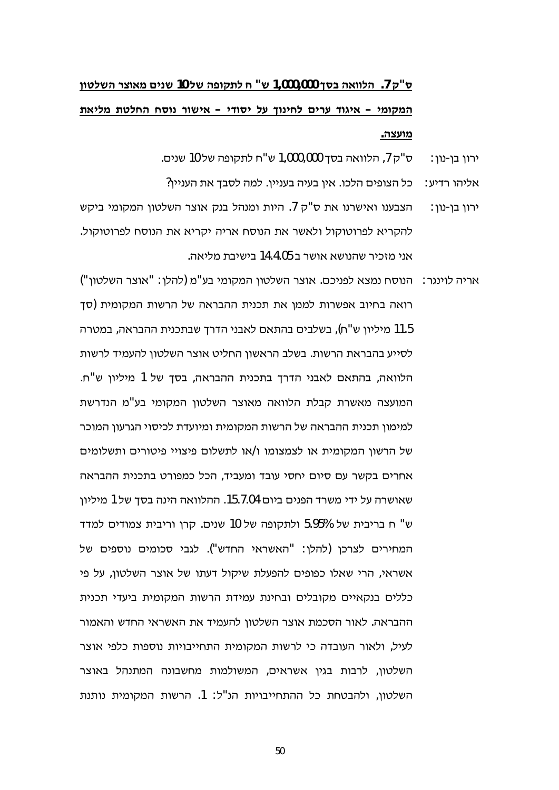# ס"ק 7. הלוואה בסך 1,000,000 ש" ח לתקופה של 10 שנים מאוצר השלטון המקומי – איגוד ערים לחינוך על יסודי – אישור נוסח החלטת מליאת מועצה.

- ס"ק 7, הלוואה בסך 1,000,000 ש"ח לתקופה של 10 שנים. ירון בן-נון:
- אליהו רדיע: נכל הצופים הלכו. אין בעיה בעניין. למה לסבד את העניין?
- הצבענו ואישרנו את ס"ק 7. היות ומנהל בנק אוצר השלטון המקומי ביקש ירון בן-נון : להקריא לפרוטוקול ולאשר את הנוסח אריה יקריא את הנוסח לפרוטוקול. אוי מזריר שהוושא אושר ר 15 1 14 רישירת מליאה
- אריה לוינגר: | הנוסח נמצא לפניכם. אוצר השלטון המקומי בע"מ (להלן: "אוצר השלטון") רואה בחיוב אפשרות לממן את תכנית ההבראה של הרשות המקומית (סך 11.5 מיליון ש"ח), בשלבים בהתאם לאבני הדרך שבתכנית ההבראה, במטרה לסייע בהבראת הרשות. בשלב הראשון החליט אוצר השלטון להעמיד לרשות הלוואה, בהתאם לאבני הדרך בתכנית ההבראה, בסך של 1 מיליון ש"ח. המועצה מאשרת קבלת הלוואה מאוצר השלטון המקומי בע"מ הנדרשת למימון תכנית ההבראה של הרשות המקומית ומיועדת לכיסוי הגרעון המוכר של הרשון המקומית או לצמצומו ו/או לתשלום פיצויי פיטורים ותשלומים אחרים בקשר עם סיום יחסי עובד ומעביד, הכל כמפורט בתכנית ההבראה שאושרה על ידי משרד הפנים ביום 15.7.04. ההלוואה הינה בסך של 1 מיליון ש" ח בריבית של 5.95% ולתקופה של 10 שנים. קרן וריבית צמודים למדד המחירים לצרכן (להלן: "האשראי החדש"). לגבי סכומים נוספים של אשראי, הרי שאלו כפופים להפעלת שיקול דעתו של אוצר השלטון, על פי כללים בנקאיים מקובלים ובחינת עמידת הרשות המקומית ביעדי תכנית ההבראה. לאור הסכמת אוצר השלטון להעמיד את האשראי החדש והאמור לעיל, ולאור העובדה כי לרשות המקומית התחייבויות נוספות כלפי אוצר השלטון, לרבות בגין אשראים, המשולמות מחשבונה המתנהל באוצר השלטון, ולהבטחת כל ההתחייבויות הנ"ל: 1. הרשות המקומית נותנת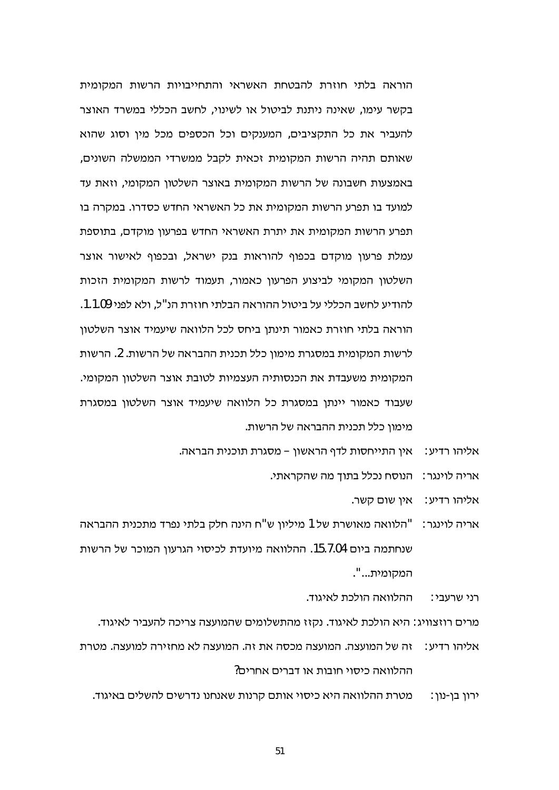הוראה בלתי חוזרת להבטחת האשראי והתחייבויות הרשות המקומית בקשר עימו, שאינה ניתנת לביטול או לשינוי, לחשב הכללי במשרד האוצר להעביר את כל התקציבים, המענקים וכל הכספים מכל מין וסוג שהוא שאותם תהיה הרשות המקומית זכאית לקבל ממשרדי הממשלה השונים, באמצעות חשבונה של הרשות המקומית באוצר השלטון המקומי, וזאת עד למועד בו תפרע הרשות המקומית את כל האשראי החדש כסדרו. במקרה בו תפרע הרשות המקומית את יתרת האשראי החדש בפרעון מוקדם, בתוספת עמלת פרעון מוקדם בכפוף להוראות בנק ישראל, ובכפוף לאישור אוצר השלטון המקומי לביצוע הפרעון כאמור, תעמוד לרשות המקומית הזכות להודיע לחשב הכללי על ביטול ההוראה הבלתי חוזרת הנ"ל. ולא לפני 1.1.09. הוראה בלתי חוזרת כאמור תינתו ביחס לכל הלוואה שיעמיד אוצר השלטוו לרשות המקומית במסגרת מימון כלל תכנית ההבראה של הרשות. 2. הרשות המקומית משעבדת את הכנסותיה העצמיות לטובת אוצר השלטון המקומי. שעבוד כאמור יינתן במסגרת כל הלוואה שיעמיד אוצר השלטון במסגרת מימון כלל תכנית ההבראה של הרשות.

- אליהו רדיע: אין התייחסות לדף הראשון מסגרת תוכנית הבראה.
	- אריה לוינגר: הנוסח נכלל בתוך מה שהקראתי.
		- אין שום קשר. אליהו רדיע∶
- אריה לוינגר: "הלוואה מאושרת של 1 מיליון ש"ח הינה חלק בלתי נפרד מתכנית ההבראה שנחתמה ביום 15.7.04. ההלוואה מיועדת לכיסוי הגרעון המוכר של הרשות המקומית...".

ההלוואה הולכת לאיגוד. רני שרעבי∶

מרים רוזצוויג: היא הולכת לאיגוד. נקזז מהתשלומים שהמועצה צריכה להעביר לאיגוד.

זה של המועצה. המועצה מכסה את זה. המועצה לא מחזירה למועצה. מטרת אליהו רדיע∶ ההלוואה כיסוי חובות או דברים אחרים?

מטרת ההלוואה היא כיסוי אותם קרנות שאנחנו נדרשים להשלים באיגוד. ירון בן-נון: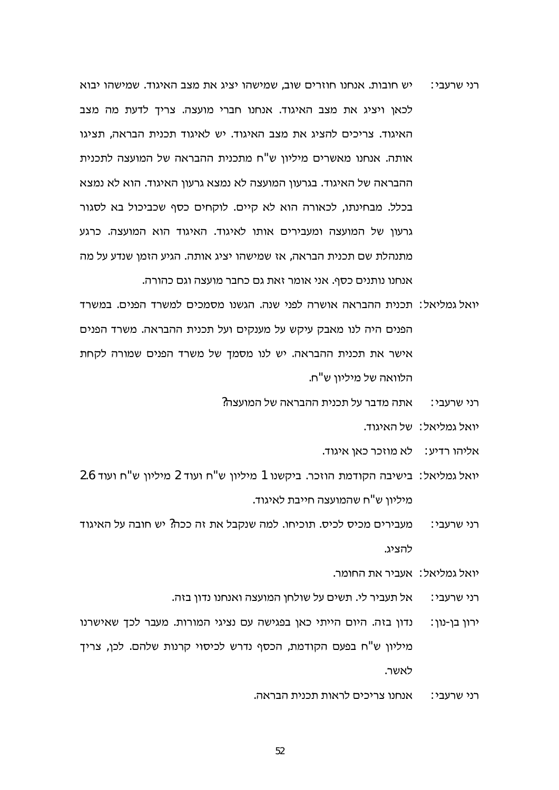- יש חובות. אנחנו חוזרים שוב, שמישהו יציג את מצב האיגוד. שמישהו יבוא רני שרעבי∶ לכאו ויציג את מצב האיגוד. אנחנו חברי מועצה, צריד לדעת מה מצב האיגוד. צריכים להציג את מצב האיגוד. יש לאיגוד תכנית הבראה. תציגו אותה. אנחנו מאשרים מיליון ש"ח מתכנית ההבראה של המועצה לתכנית ההבראה של האיגוד. בגרעון המועצה לא נמצא גרעון האיגוד. הוא לא נמצא בכלל. מבחינתו, לכאורה הוא לא קיים. לוקחים כסף שכביכול בא לסגור גרעון של המועצה ומעבירים אותו לאיגוד. האיגוד הוא המועצה. כרגע מתנהלת שם תכנית הבראה, אז שמישהו יציג אותה. הגיע הזמן שנדע על מה אנחנו נותנים כסף. אני אומר זאת גם כחבר מועצה וגם כהורה.
- יואל גמליאל: תכנית ההבראה אושרה לפני שנה. הגשנו מסמכים למשרד הפנים. במשרד הפנים היה לנו מאבק עיקש על מענקים ועל תכנית ההבראה. משרד הפנים אישר את תכנית ההבראה. יש לנו מסמך של משרד הפנים שמורה לקחת הלוואה של מיליון ש"ח.
	- אתה מדבר על תכנית ההבראה של המועצה? רני שרעבי∶
		- יואל גמליאל: של האיגוד.
		- אליהו רדיע: לא מוזכר כאן איגוד.
- יואל גמליאל: בישיבה הקודמת הוזכר. ביקשנו 1 מיליון ש"ח ועוד 2 מיליון ש"ח ועוד 2.6 מיליון ש"ח שהמועצה חייבת לאיגוד.
- מעבירים מכיס לכיס. תוכיחו. למה שנקבל את זה ככה? יש חובה על האיגוד רני שרעבי∶ להציג.
	- יואל גמליאל∶ אעביר את החומר.
	- אל תעביר לי. תשים על שולחן המועצה ואנחנו נדון בזה. רני שרעבי∶
- נדון בזה. היום הייתי כאן בפגישה עם נציגי המורות. מעבר לכך שאישרנו ירון בן-נון: מיליון ש"ח בפעם הקודמת, הכסף נדרש לכיסוי קרנות שלהם. לכן, צריך לאשר.
	- אנחנו צריכים לראות תכנית הבראה. רני שרעבי∶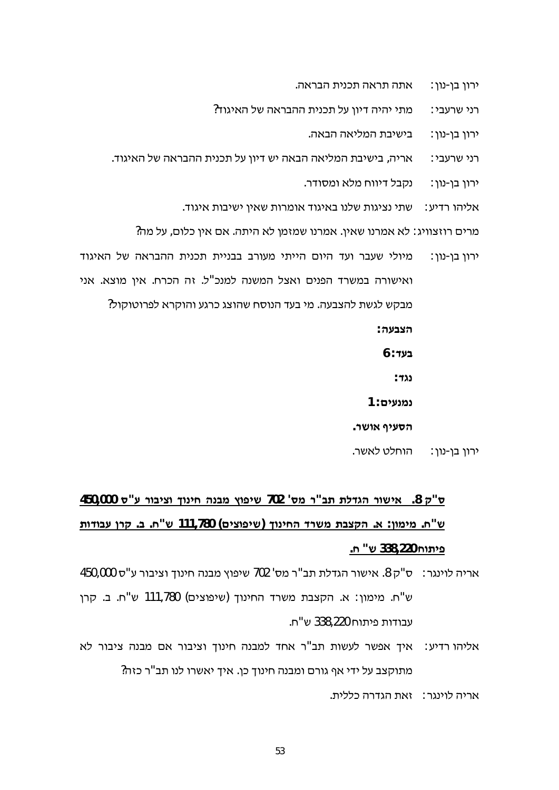- אתה תראה תכנית הבראה. ירון בו-נון:
- מתי יהיה דיוו על תכנית ההבראה של האיגוד? רני שרעבי:
	- בישיבת המליאה הבאה. ירון בו-נון:
- אריה, בישיבת המליאה הבאה יש דיון על תכנית ההבראה של האיגוד. רני שרעבי:
	- נקבל דיווח מלא ומסודר. ירון בן-נון:
	- שתי נציגות שלנו באיגוד אומרות שאין ישיבות איגוד. אליהו רדיע∶
	- מרים רוזצוויג: לא אמרנו שאין. אמרנו שמזמן לא היתה. אם אין כלום, על מה?
- מיולי שעבר ועד היום הייתי מעורב בבניית תכנית ההבראה של האיגוד ירוו בו-נוו: ואישורה במשרד הפנים ואצל המשנה למנכ"ל. זה הכרח. אין מוצא. אני מבקש לגשת להצבעה. מי בעד הנוסח שהוצג כרגע והוקרא לפרוטוקול? הצבעה∶
	- $6:$ בעד
		- ∶ גל
	- נמנעים: 1
	- הסעיף אושר.
	- הוחלט לאשר. ∶ירון בן-נון

# ש"ק 8. אישור הגדלת תב"ר מס' 702 שיפוץ מבנה חינוך וציבור ע"ס 450,000 ש"ח. מימון: א. הקצבת משרד החינוך (שיפוצים) 11,780 ש"ח. ב. קרן עבודות פ**יתוח** 338,220 ש<sup>יי</sup> ח.

אריה לוינגר: ס"ק 8. אישור הגדלת תב"ר מס' 702 שיפוץ מבנה חינוך וציבור ע"ס 450,000 ש"ח. מימון: א. הקצבת משרד החינוך (שיפוצים) 111,780 ש"ח. ב. קרן עבודות פיתוח 338.220 ש"ח.

- אליהו רדיע: איך אפשר לעשות תב"ר אחד למבנה חינוך וציבור אם מבנה ציבור לא מתוקצב על ידי אף גורם ומבנה חינוך כן. איך יאשרו לנו תב"ר כזה?
	- אריה לוינגר: אאת הגדרה כללית.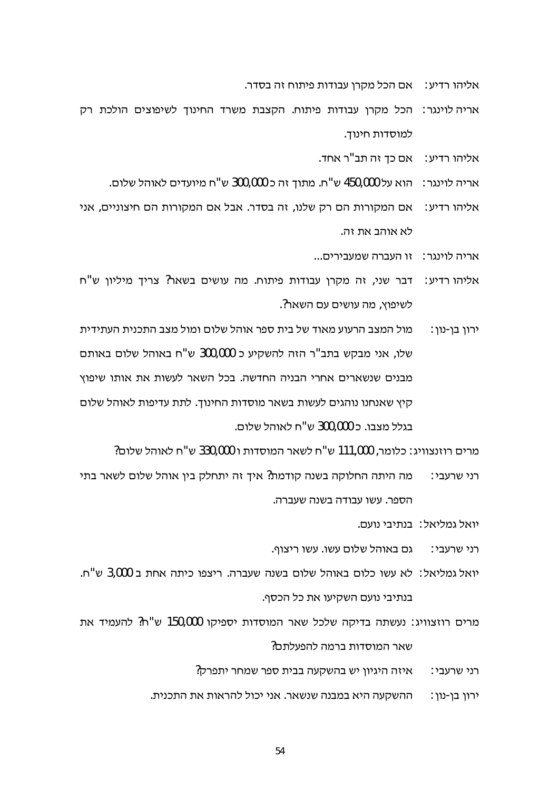אליהו רדיע: אם הכל מקרן עבודות פיתוח זה בסדר.

- אריה לוינגר: הכל מקרו עבודות פיתוח. הקצבת משרד החינוד לשיפוצים הולכת רק למוסדות חינוך.
	- אליהו רדיע: אם כד זה תב"ר אחד.
	- אריה לוינגר: הוא על 450,000 ש"ח. מתוך זה כ 300,000 ש"ח מיועדים לאוהל שלום.
- אליהו רדיע: אם המקורות הם רק שלנו, זה בסדר. אבל אם המקורות הם חיצוניים, אני לא אוהב את זה.
	- אריה לוינגר: זו העברה שמעבירים...
- אליהו רדיע: דבר שני, זה מקרן עבודות פיתוח. מה עושים בשאר? צריך מיליון ש"ח לשיפוצ, מה עושים עם השאר?.
- מול המצב הרעוע מאוד של בית ספר אוהל שלום ומול מצב התכנית העתידית ירוו בו-נוו∶ שלו, אני מבקש בתב"ר הזה להשקיע כ 300,000 ש"ח באוהל שלום באותם מבנים שנשארים אחרי הבניה החדשה. בכל השאר לעשות את אותו שיפוץ קיץ שאנחנו נוהגים לעשות בשאר מוסדות החינוך. לתת עדיפות לאוהל שלום בגלל מצבו. כ 300.000 ש"ח לאוהל שלום.

מרים רוזנצוויג: כלומר, 111,000 ש"ח לשאר המוסדות ו 330,000 ש"ח לאוהל שלום?

- מה היתה החלוקה בשנה קודמת? איך זה יתחלק בין אוהל שלום לשאר בתי רני שרעבי∶ הספר. עשו עבודה בשנה שעברה.
	- יואל גמליאל: בנתיבי נועם.
	- גם באוהל שלום עשו. עשו ריצוף. רני שרעבי∶
- יואל גמליאל: לא עשו כלום באוהל שלום בשנה שעברה. ריצפו כיתה אחת ב 3,000 ש"ח. בנתיבי נועם השקיעו את כל הכסף.
- מרים רוזצוויג: נעשתה בדיקה שלכל שאר המוסדות יספיקו 150,000 ש"ח? להעמיד את שאר המוסדות ברמה להפעלתם?
	- רני שרעבי: איזה היגיון יש בהשקעה בבית ספר שמחר יתפרק?
	- ירון בן-נון : \_\_\_ ההשקעה היא במבנה שנשאר. אני יכול להראות את התכנית.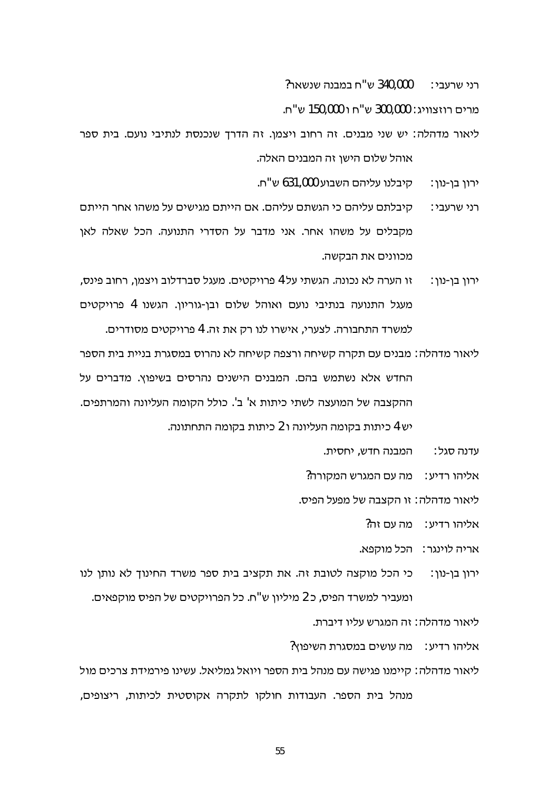340,000 ש"ח במבנה שנשאר? רני שרעבי∶

מרים רוזצוויג: 300,000 ש"ח ו 150,000 ש"ח.

ליאור מדהלה: יש שני מבנים. זה רחוב ויצמן. זה הדרך שנכנסת לנתיבי נועם. בית ספר אוהל שלום הישן זה המבנים האלה.

> קיבלנו עליהם השבוע 631,000 ש"ח. ורון בן-נון:

- קיבלתם עליהם כי הגשתם עליהם. אם הייתם מגישים על משהו אחר הייתם רני שרעבי∶ מקבלים על משהו אחר. אני מדבר על הסדרי התנועה. הכל שאלה לאן מכוונים את הבקשה.
- זו הערה לא נכונה. הגשתי על 4 פרויקטים. מעגל סברדלוב ויצמן, רחוב פינס, ירון בן-נון: מעגל התנועה בנתיבי נועם ואוהל שלום ובן-גוריון. הגשנו 4 פרויקטים למשרד התחבורה. לצערי, אישרו לנו רק את זה. 4 פרויקטים מסודרים.
- ליאור מדהלה: מבנים עם תקרה קשיחה ורצפה קשיחה לא נהרוס במסגרת בניית בית הספר החדש אלא נשתמש בהם. המבנים הישנים נהרסים בשיפוץ. מדברים על ההקצבה של המועצה לשתי כיתות א' ב'. כולל הקומה העליונה והמרתפים. יש 4 כיתות בקומה העליונה ו 2 כיתות בקומה התחתונה.

המבנה חדש, יחסית. עדנה סגל∶

אליהו רדיע∶ מה עם המגרש המקורה?

ליאור מדהלה: זו הקצבה של מפעל הפיס.

אליהו רדיע∶ \_ מה עם זה?

אריה לוינגר: הכל מוקפא.

כי הכל מוקצה לטובת זה. את תקציב בית ספר משרד החינוך לא נותן לנו ירוו בו-נוו∶ ומעביר למשרד הפיס, כ 2 מיליון ש"ח. כל הפרויקטים של הפיס מוקפאים.

ליאור מדהלה : זה המגרש עליו דיברת.

אליהו רדיע: מה עושים במסגרת השיפוץ?

ליאור מדהלה: קיימנו פגישה עם מנהל בית הספר ויואל גמליאל. עשינו פירמידת צרכים מול מנהל בית הספר. העבודות חולקו לתקרה אקוסטית לכיתות, ריצופים,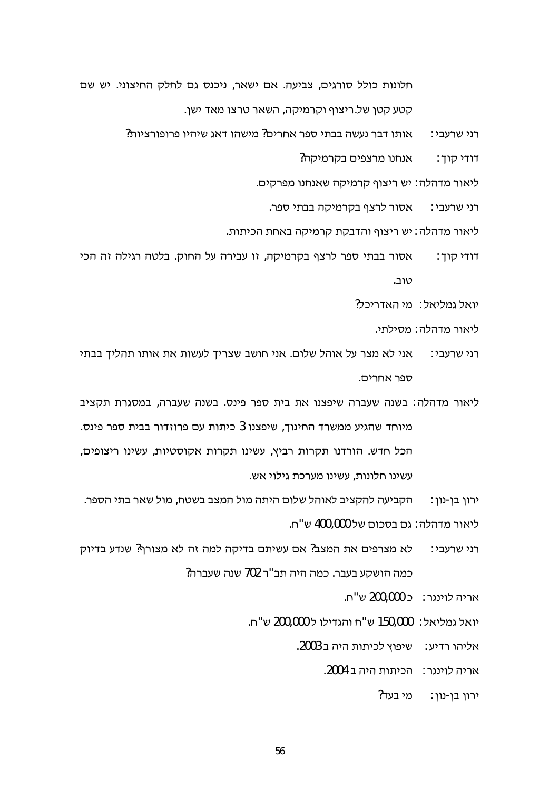חלונות כולל סורגים, צביעה. אם ישאר, ניכנס גם לחלק החיצוני. יש שם . קטע קטו של ריצוף וקרמיקה, השאר טרצו מאד ישו

> אותו דבר נעשה בבתי ספר אחרים? מישהו דאג שיהיו פרופורציות? רני שרעבי∶

> > אנחנו מרצפים בקרמיקה? דודי קוד :

ליאור מדהלה: יש ריצוף קרמיקה שאנחנו מפרקים.

אסור לרצף בקרמיקה בבתי ספר. רני שרעבי∶

ליאור מדהלה : יש ריצוף והדבקת קרמיקה באחת הכיתות.

אסור בבתי ספר לרצף בקרמיקה, זו עבירה על החוק. בלטה רגילה זה הכי דודי קוד : טוב.

יואל גמליאל: מי האדריכל?

ליאור מדהלה: מסילתי.

- אני לא מצר על אוהל שלום. אני חושב שצריך לעשות את אותו תהליך בבתי רני שרעבי∶ ספר אחרים.
- ליאור מדהלה: בשנה שעברה שיפצנו את בית ספר פינס. בשנה שעברה, במסגרת תקציב מיוחד שהגיע ממשרד החינוך, שיפצנו 3 כיתות עם פרוזדור בבית ספר פינס. הכל חדש. הורדנו תקרות רביץ, עשינו תקרות אקוסטיות, עשינו ריצופים, עשינו חלונות, עשינו מערכת גילוי אש.

הקביעה להקציב לאוהל שלום היתה מול המצב בשטח, מול שאר בתי הספר. ירון בן-נון: ליאור מדהלה: גם בסכום של 400,000 ש"ח.

- לא מצרפים את המצב? אם עשיתם בדיקה למה זה לא מצורף? שנדע בדיוק רני שרעבי∶ כמה הושקע בעבר. כמה היה תב"ר 702 שנה שעברה?
	- אריה לוינגר: כ 200,000 ש"ח.
	- יואל גמליאל: 150,000 ש"ח והגדילו ל 200,000 ש"ח.
		- אליהו רדיע: שיפוץ לכיתות היה ב 2003.

אריה לוינגר: הכיתות היה ב 2004.

?ירון בן-נון: מי בעד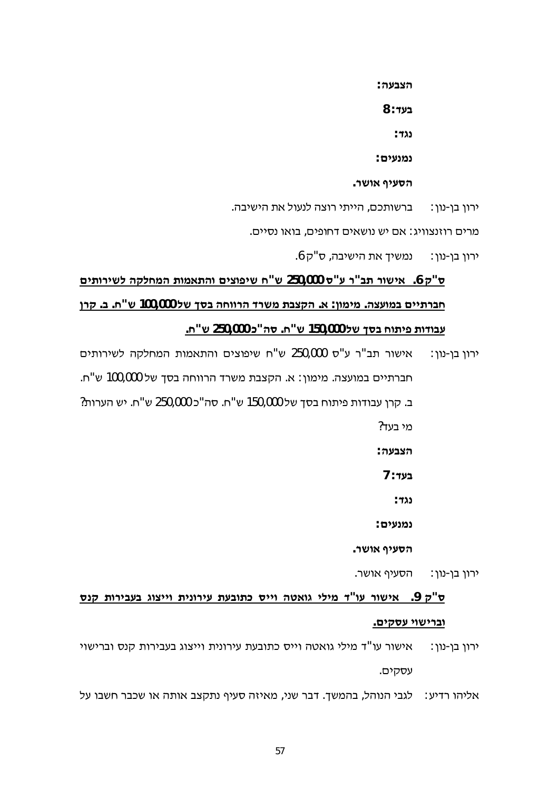הצבעה∶

 $8:$ בעד

: מד

נמנעים:

. הסעיף אושר

ברשותכם, הייתי רוצה לנעול את הישיבה. ירון בן-נון:

מרים רוזנצוויג: אם יש נושאים דחופים, בואו נסיים.

ירון בן-נון: נמשיך את הישיבה, ס"ק 6.

## ס"ק 6. אישור תב"ר ע"ס 250,000 ש"ח שיפוצים והתאמות המחלקה לשירותים חברתיים במועצה. מימון: א. הקצבת משרד הרווחה בסך של 100,000 ש"ח. ב. קרן עבודות פיתוח בסך של 150,000 ש"ח. סה"כ 250,000 ש"ח.

אישור תב"ר ע"ס 250,000 ש"ח שיפוצים והתאמות המחלקה לשירותים ירון בן-נון: חברתיים במועצה. מימון: א. הקצבת משרד הרווחה בסך של 100,000 ש"ח. ב. קרן עבודות פיתוח בסך של 150,000 ש"ח. סה"כ 250,000 ש"ח. יש הערות? ?מי בעד

הצבעה:

בע<del>ו</del> ∶ 7

 $: 722$ 

נמנעים:

. הסעיף אושר

. הסעיף אושר ירון בן-נון :

## ס"ק 9. אישור עו"ד מילי גואטה וייס כתובעת עירונית וייצוג בעבירות קנס וברישוי עסקים.

אישור עו"ד מילי גואטה וייס כתובעת עירונית וייצוג בעבירות קנס וברישוי ירון בן-נון: עסקים.

אליהו רדיע: לגבי הנוהל, בהמשך. דבר שני, מאיזה סעיף נתקצב אותה או שכבר חשבו על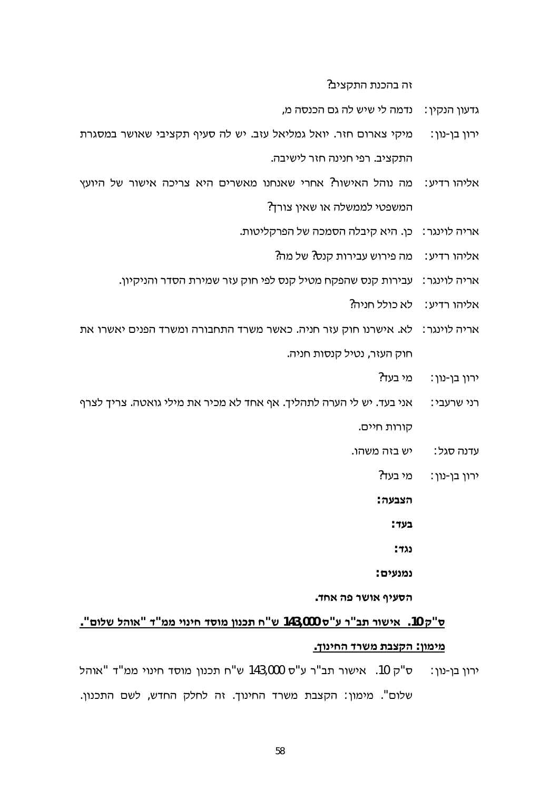זה בהכנת התקציב?

- גדעוו הנקיו∶ נדמה לי שיש לה גם הכנסה מ.
- מיקי צארום חזר. יואל גמליאל עזב. יש לה סעיף תקציבי שאושר במסגרת ירון בן-נון: התקציב. רפי חנינה חזר לישיבה.
- מה נוהל האישור? אחרי שאנחנו מאשרים היא צריכה אישור של היועץ :אליהו רדיע המשפטי לממשלה או שאין צורך?
	- אריה לוינגר: כן. היא קיבלה הסמכה של הפרקליטות.
		- מה פירוש עבירות קנס? של מה? אליהו רדיע∶
	- אריה לוינגר: עבירות קנס שהפקח מטיל קנס לפי חוק עזר שמירת הסדר והניקיון.
		- אליהו רדיע∶ לא כולל חניה?
- לא. אישרנו חוק עזר חניה. כאשר משרד התחבורה ומשרד הפנים יאשרו את אריה לוינגר∶ חוק העזר, נטיל קנסות חניה.
	- מי בעד? ירון בן-נון:
- אני בעד. יש לי הערה לתהליך. אף אחד לא מכיר את מילי גואטה. צריך לצרף רני שרעבי∶ קורות חיים.
	- יש בזה משהו. עדנה סגל∶
		- מי בעד? : ירון בן-נון

הצבעה∶

- בעד∶
- ּנגד∵
- נמנעים:

הסעיף אושר פה אחד.

## . ס"ק 10. אישור תב"ר ע"ס 143,000 ש"ח תכנון מוסד חינוי ממ"ד "אוהל שלום" מימון: הקצבת משרד החינוך.

ס"ק 10. אישור תב"ר ע"ס 143,000 ש"ח תכנון מוסד חינוי ממ"ד "אוהל ירון בן-נון: שלום". מימון: הקצבת משרד החינוך. זה לחלק החדש, לשם התכנון.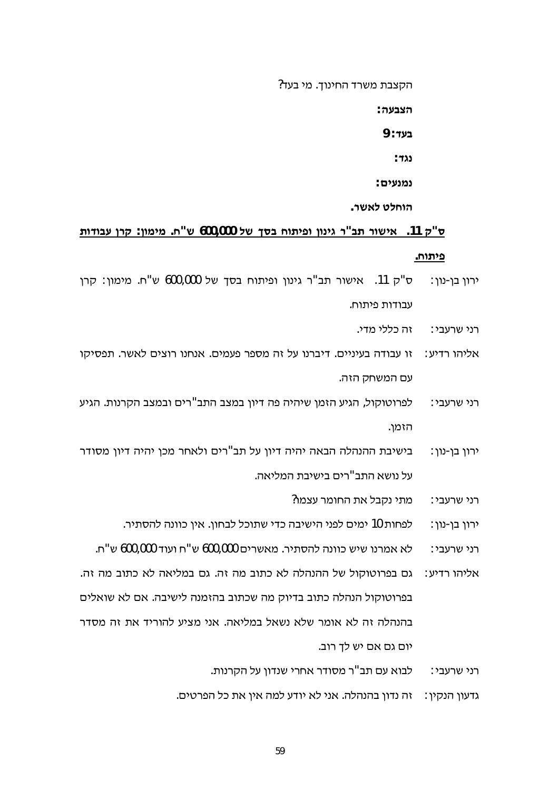הקצבת משרד החינוך. מי בעד?

הצבעה∶

9 : **בעד** 

 $: 722$ 

: נמנעים

הוחלט לאשר.

## ס"ק 11. אישור תב"ר גינון ופיתוח בסך של 600,000 ש"ח. מימון: קרן עבודות פיתוח.

- ס"ק 11. אישור תב"ר גינון ופיתוח בסך של 600,000 ש"ח. מימון: קרן ירון בן-נון: עבודות פיתוח.
	- זה כללי מדי. רני שרעבי∶
- זו עבודה בעיניים. דיברנו על זה מספר פעמים. אנחנו רוצים לאשר. תפסיקו אליהו רדיע∶ עם המשחק הזה.
- לפרוטוקול, הגיע הזמן שיהיה פה דיון במצב התב"רים ובמצב הקרנות. הגיע רני שרעבי∶ הזמו.
- בישיבת ההנהלה הבאה יהיה דיון על תב"רים ולאחר מכן יהיה דיון מסודר ∶ירון בן-נון על נושא התב"רים בישיבת המליאה.
	- מתי נקבל את החומר עצמו? רני שרעבי:
	- לפחות 10 ימים לפני הישיבה כדי שתוכל לבחון. אין כוונה להסתיר. ירון בן-נון:
	- לא אמרנו שיש כוונה להסתיר. מאשרים 600,000 ש"ח ועוד 600,000 ש"ח. רני שרעבי∶
- גם בפרוטוקול של ההנהלה לא כתוב מה זה. גם במליאה לא כתוב מה זה. : אליהו רדיע בפרוטוקול הנהלה כתוב בדיוק מה שכתוב בהזמנה לישיבה. אם לא שואלים בהנהלה זה לא אומר שלא נשאל במליאה. אני מציע להוריד את זה מסדר יום גם אם יש לך רוב.
	- לבוא עם תב"ר מסודר אחרי שנדון על הקרנות. רני שרעבי∶
	- גדעון הנקין: זה נדון בהנהלה. אני לא יודע למה אין את כל הפרטים.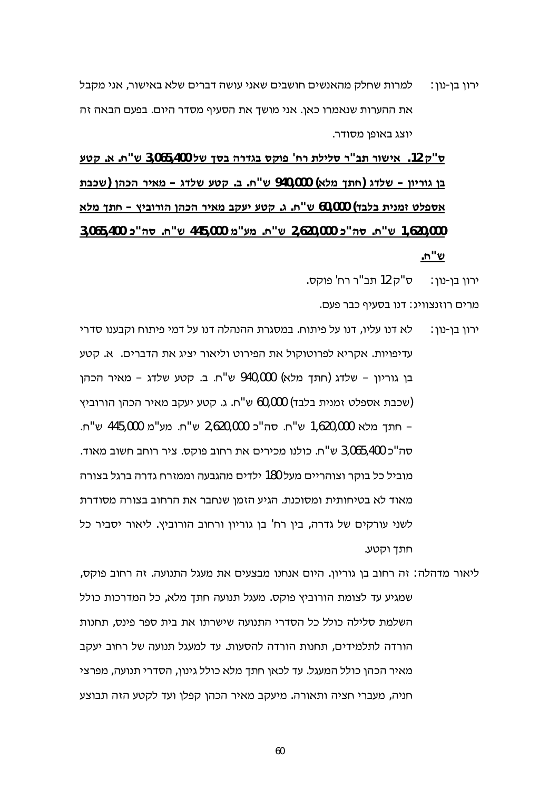למרות שחלק מהאנשים חושבים שאני עושה דברים שלא באישור, אני מקבל ירוו בו-נוו∶ את ההערות שנאמרו כאו. אני מושד את הסעיף מסדר היום. בפעם הבאה זה יוצג באופן מסודר.

ס"ק 12. אישור תב"ר סלילת רח' פוקס בגדרה בסך של 3,065,400 ש"ח. א. קטע בן גוריון – שלדג (חתך מלא) 940,000 ש"ח. ב. קטע שלדג – מאיר הכהן (שכבת אספלט זמנית בלבד) 60,000 ש"ח. ג. קטע יעקב מאיר הכהן הורוביץ - חתך מלא 1,620,000 ש"ח. סה"כ 2,620,000 ש"ח. מע"מ 445,000 ש"ח. סה"כ 3,065,400 .n"ש

ירון בן-נון : = ס"ק 12 תב"ר רח' פוקס.

מרים רוזנצוויג: דנו בסעיף כבר פעם.

- לא דנו עליו, דנו על פיתוח. במסגרת ההנהלה דנו על דמי פיתוח וקבענו סדרי ירוו בו-נוו∶ עדיפויות. אקריא לפרוטוקול את הפירוט וליאור יציג את הדברים. א. קטע בן גוריון - שלדג (חתך מלא) 940,000 ש"ח. ב. קטע שלדג - מאיר הכהן (שכבת אספלט זמנית בלבד) 60,000 ש"ח. ג. קטע יעקב מאיר הכהן הורוביץ – חתד מלא 1,620,000 ש"ח. סה"כ 2,620,000 ש"ח. מע"מ 445,000 ש"ח. סה"כ 3,065,400 ש"ח. כולנו מכירים את רחוב פוקס. ציר רוחב חשוב מאוד. מוביל כל בוקר וצוהריים מעל 180 ילדים מהגבעה וממזרח גדרה ברגל בצורה מאוד לא בטיחותית ומסוכנת. הגיע הזמן שנחבר את הרחוב בצורה מסודרת לשני עורקים של גדרה, בין רח' בן גוריון ורחוב הורוביץ. ליאור יסביר כל חתד וקטע.
- ליאור מדהלה: זה רחוב בן גוריון. היום אנחנו מבצעים את מעגל התנועה. זה רחוב פוקס, שמגיע עד לצומת הורוביץ פוקס. מעגל תנועה חתך מלא, כל המדרכות כולל השלמת סלילה כולל כל הסדרי התנועה שישרתו את בית ספר פינס. תחנות הורדה לתלמידים, תחנות הורדה להסעות. עד למעגל תנועה של רחוב יעקב מאיר הכהן כולל המעגל. עד לכאן חתך מלא כולל גינון, הסדרי תנועה, מפרצי חניה, מעברי חציה ותאורה. מיעקב מאיר הכהן קפלן ועד לקטע הזה תבוצע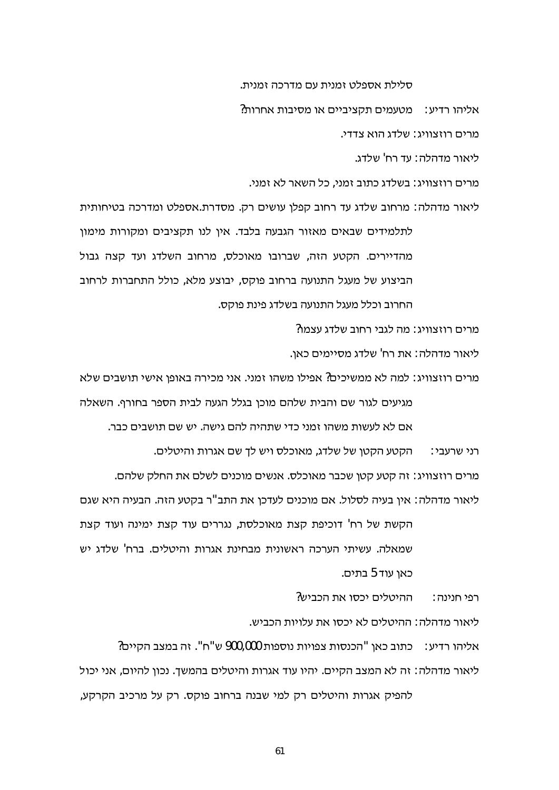סלילת אספלט זמנית עם מדרכה זמנית.

אליהו רדיע: מטעמים תקציביים או מסיבות אחרות?

מרים רוזצוויג: שלדג הוא צדדי.

ליאור מדהלה: עד רח' שלדג.

מרים רוזצוויג: בשלדג כתוב זמני. כל השאר לא זמני.

ליאור מדהלה: מרחוב שלדג עד רחוב קפלן עושים רק. מסדרת.אספלט ומדרכה בטיחותית לתלמידים שבאים מאזור הגבעה בלבד. אין לנו תקציבים ומקורות מימון מהדיירים. הקטע הזה, שברובו מאוכלס, מרחוב השלדג ועד קצה גבול הביצוע של מעגל התנועה ברחוב פוקס, יבוצע מלא, כולל התחברות לרחוב החרוב וכלל מעגל התנועה בשלדג פינת פוקס.

מרים רוזצוויג∶ מה לגבי רחוב שלדג עצמו?

ליאור מדהלה∶ את רח' שלדג מסיימים כאו.

מרים רוזצוויג∶ למה לא ממשיכים? אפילו משהו זמני. אני מכירה באופן אישי תושבים שלא מגיעים לגור שם והבית שלהם מוכן בגלל הגעה לבית הספר בחורף. השאלה

אם לא לעשות משהו זמני כדי שתהיה להם גישה. יש שם תושבים כבר.

הקטע הקטן של שלדג, מאוכלס ויש לך שם אגרות והיטלים. רני שרעבי∶

מרים רוזצוויג: זה קטע קטן שכבר מאוכלס. אנשים מוכנים לשלם את החלק שלהם.

ליאור מדהלה : אין בעיה לסלול. אם מוכנים לעדכן את התב"ר בקטע הזה. הבעיה היא שגם

הקשת של רח' דוכיפת קצת מאוכלסת, נגררים עוד קצת ימינה ועוד קצת שמאלה. עשיתי הערכה ראשונית מבחינת אגרות והיטלים. ברח' שלדג יש כאו עוד 5 בתים.

> ההיטלים יכסו את הכביש? רפי חנינה :

ליאור מדהלה: ההיטלים לא יכסו את עלויות הכביש.

אליהו רדיע: כתוב כאן "הכנסות צפויות נוספות 900,000 ש"ח". זה במצב הקיים? ליאור מדהלה: זה לא המצב הקיים. יהיו עוד אגרות והיטלים בהמשך. נכון להיום, אני יכול

להפיק אגרות והיטלים רק למי שבנה ברחוב פוקס. רק על מרכיב הקרקע,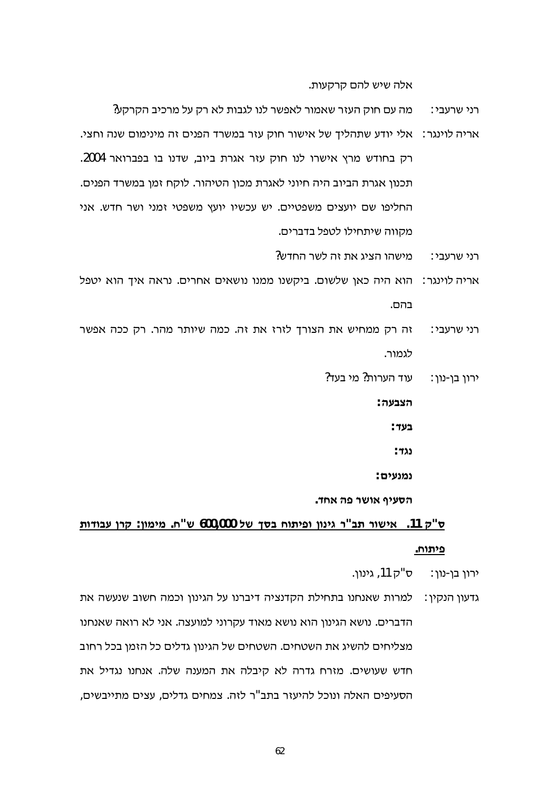אלה שיש להם קרקעות.

- מה עם חוק העזר שאמור לאפשר לנו לגבות לא רק על מרכיב הקרקע? רני שרעבי∶
- אריה לוינגר: אלי יודע שתהליך של אישור חוק עזר במשרד הפנים זה מינימום שנה וחצי. רק בחודש מרץ אישרו לנו חוק עזר אגרת ביוב, שדנו בו בפברואר 2004. תכנון אגרת הביוב היה חיוני לאגרת מכון הטיהור. לוקח זמן במשרד הפנים. החליפו שם יועצים משפטיים. יש עכשיו יועץ משפטי זמני ושר חדש. אני מקווה שיתחילו לטפל בדברים.
	- $\gamma$ מישהו הציג את זה לשר החדש רני שרעבי∶
- אריה לוינגר: הוא היה כאן שלשום. ביקשנו ממנו נושאים אחרים. נראה איך הוא יטפל בהם.
- זה רק ממחיש את הצורך לזרז את זה. כמה שיותר מהר. רק ככה אפשר רני שרעבי∶ לגמור.
	- עוד הערות? מי בעד? ירון בן-נון:

הצבעה∶

בעד∶

∶ גל

: נמנעים

הסעיף אושר פה אחד.

## ס"ק 11. אישור תב"ר גינון ופיתוח בסך של 600,000 ש"ח. מימון: קרן עבודות פיתוח.

ירוו בו-נוו: = ס"ק 11, גינוו.

גדעון הנקין : למרות שאנחנו בתחילת הקדנציה דיברנו על הגינון וכמה חשוב שנעשה את הדברים. נושא הגינון הוא נושא מאוד עקרוני למועצה. אני לא רואה שאנחנו מצליחים להשיג את השטחים. השטחים של הגינון גדלים כל הזמן בכל רחוב חדש שעושים. מזרח גדרה לא קיבלה את המענה שלה. אנחנו נגדיל את הסעיפים האלה ונוכל להיעזר בתב"ר לזה. צמחים גדלים, עצים מתייבשים,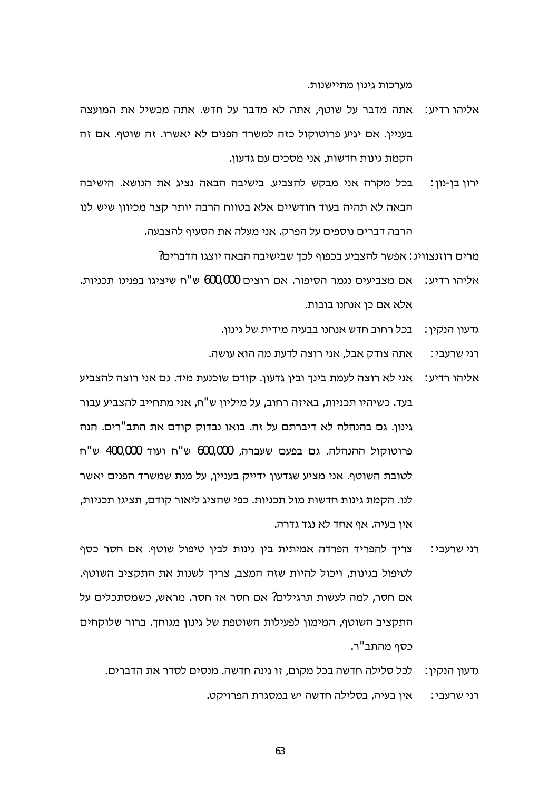מערכות גינון מתיישנות.

- אתה מדבר על שוטף, אתה לא מדבר על חדש. אתה מכשיל את המועצה אליהו רדיע∶ בעניין. אם יגיע פרוטוקול כזה למשרד הפנים לא יאשרו. זה שוטף. אם זה הקמת גינות חדשות, אני מסכים עם גדעון.
- בכל מקרה אני מבקש להצביע. בישיבה הבאה נציג את הנושא. הישיבה ורון בן-נון: הבאה לא תהיה בעוד חודשיים אלא בטווח הרבה יותר קצר מכיוון שיש לנו הרבה דברים נוספים על הפרק. אני מעלה את הסעיף להצבעה.

מרים רוזנצוויג: אפשר להצביע בכפוף לכך שבישיבה הבאה יוצגו הדברים?

- אם מצביעים נגמר הסיפור. אם רוצים 600,000 ש"ח שיציגו בפנינו תכניות. אליהו רדיע∶ אלא אם כן אנחנו בובות.
	- גדעון הנקין: בכל רחוב חדש אנחנו בבעיה מידית של גינון.
	- אתה צודק אבל, אני רוצה לדעת מה הוא עושה. רני שרעבי∶
- אליהו רדיע: | אני לא רוצה לעמת בינד ובין גדעון. קודם שוכנעת מיד. גם אני רוצה להצביע בעד. כשיהיו תכניות, באיזה רחוב, על מיליון ש"ח, אני מתחייב להצביע עבור גינון. גם בהנהלה לא דיברתם על זה. בואו נבדוק קודם את התב"רים. הנה פרוטוקול ההנהלה. גם בפעם שעברה, 600,000 ש"ח ועוד 400,000 ש"ח לטובת השוטף. אני מציע שגדעון ידייק בעניין, על מנת שמשרד הפנים יאשר לנו. הקמת גינות חדשות מול תכניות. כפי שהציג ליאור קודם, תציגו תכניות, אין בעיה. אף אחד לא נגד גדרה.
- צריך להפריד הפרדה אמיתית בין גינות לבין טיפול שוטף. אם חסר כסף רני שרעבי∶ לטיפול בגינות, ויכול להיות שזה המצב, צריך לשנות את התקציב השוטף. אם חסר, למה לעשות תרגילים? אם חסר אז חסר. מראש, כשמסתכלים על התקציב השוטף, המימון לפעילות השוטפת של גינון מגוחך. ברור שלוקחים כסף מהתב"ר.
	- לכל סלילה חדשה בכל מקום, זו גינה חדשה. מנסים לסדר את הדברים. גדעון הנקין∶ אין בעיה, בסלילה חדשה יש במסגרת הפרויקט. רני שרעבי∶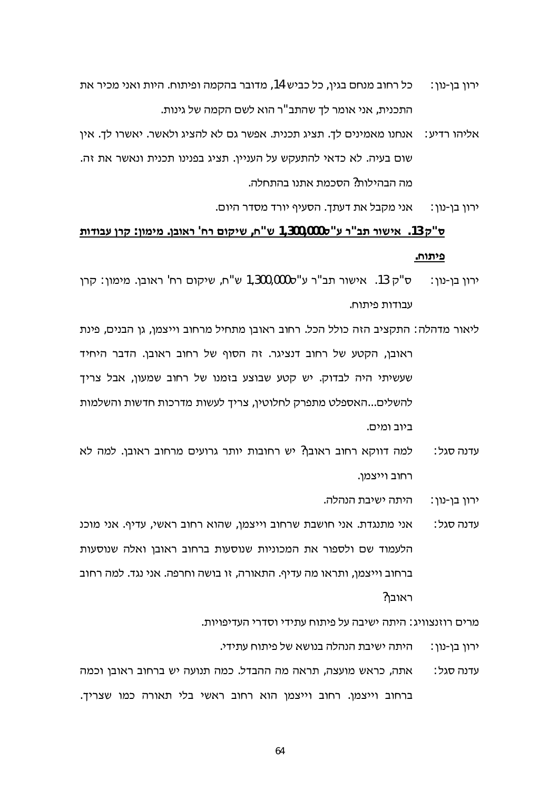- כל רחוב מנחם בגין, כל כביש 14, מדובר בהקמה ופיתוח. היות ואני מכיר את ירוו בו-נוו∶ התכנית. אני אומר לד שהתב"ר הוא לשם הקמה של גינות.
- אנחנו מאמינים לך. תציג תכנית. אפשר גם לא להציג ולאשר. יאשרו לך. אין :אליהו רדיע שום בעיה. לא כדאי להתעקש על העניין. תציג בפנינו תכנית ונאשר את זה. מה הבהילות? הסכמת אתנו בהתחלה.

אני מקבל את דעתד. הסעיף יורד מסדר היום. ירון בן-נון :

## ס"ק 13. אישור תב"ר ע"ס0,000,000 ש"ח, שיקום רח' ראובן. מימון: קרן עבודות פיתוח.

- ּס"ק 13. אישור תב"ר ע"ס1,300,000 ש"ח, שיקום רח' ראובן. מימון∶ קרן ירון בן-נון : עבודות פיתוח.
- ליאור מדהלה: התקציב הזה כולל הכל. רחוב ראובן מתחיל מרחוב וייצמן, גן הבנים, פינת ראובן, הקטע של רחוב דנציגר. זה הסוף של רחוב ראובן. הדבר היחיד שעשיתי היה לבדוק. יש קטע שבוצע בזמנו של רחוב שמעון, אבל צריך להשלים...האספלט מתפרק לחלוטין, צריך לעשות מדרכות חדשות והשלמות ביוב ומים.
- למה דווקא רחוב ראובן? יש רחובות יותר גרועים מרחוב ראובן. למה לא עדנה סגל∶ רחוב וייצמן.

היתה ישיבת הנהלה. ירון בן-נון:

אני מתנגדת. אני חושבת שרחוב וייצמן, שהוא רחוב ראשי, עדיף. אני מוכנ עדנה סגל∶ הלעמוד שם ולספור את המכוניות שנוסעות ברחוב ראובן ואלה שנוסעות ברחוב וייצמו, ותראו מה עדיף. התאורה, זו בושה וחרפה. אני נגד. למה רחוב ראובו?

מרים רוזנצוויג: היתה ישיבה על פיתוח עתידי וסדרי העדיפויות.

- היתה ישיבת הנהלה בנושא של פיתוח עתידי. ∶ירון בן-נון
- אתה, כראש מועצה, תראה מה ההבדל. כמה תנועה יש ברחוב ראובן וכמה עדנה סגל∶ ברחוב וייצמן. רחוב וייצמן הוא רחוב ראשי בלי תאורה כמו שצריך.